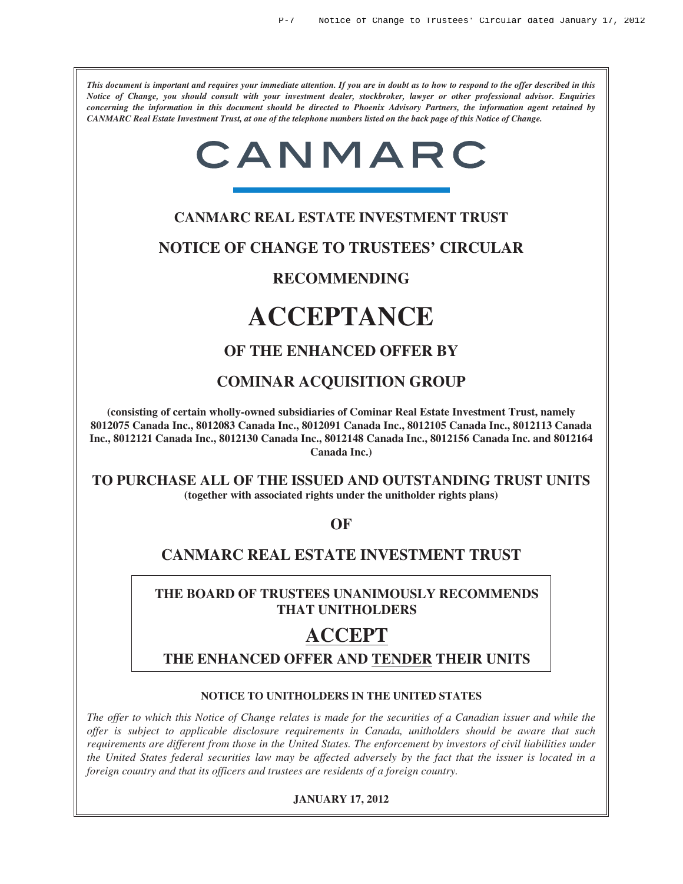*This document is important and requires your immediate attention. If you are in doubt as to how to respond to the offer described in this Notice of Change, you should consult with your investment dealer, stockbroker, lawyer or other professional advisor. Enquiries concerning the information in this document should be directed to Phoenix Advisory Partners, the information agent retained by CANMARC Real Estate Investment Trust, at one of the telephone numbers listed on the back page of this Notice of Change.*

# CANMARC

### **CANMARC REAL ESTATE INVESTMENT TRUST**

**NOTICE OF CHANGE TO TRUSTEES' CIRCULAR**

### **RECOMMENDING**

## **ACCEPTANCE**

### **OF THE ENHANCED OFFER BY**

### **COMINAR ACQUISITION GROUP**

**(consisting of certain wholly-owned subsidiaries of Cominar Real Estate Investment Trust, namely 8012075 Canada Inc., 8012083 Canada Inc., 8012091 Canada Inc., 8012105 Canada Inc., 8012113 Canada Inc., 8012121 Canada Inc., 8012130 Canada Inc., 8012148 Canada Inc., 8012156 Canada Inc. and 8012164 Canada Inc.)**

**TO PURCHASE ALL OF THE ISSUED AND OUTSTANDING TRUST UNITS (together with associated rights under the unitholder rights plans)**

**OF**

## **CANMARC REAL ESTATE INVESTMENT TRUST**

### **THE BOARD OF TRUSTEES UNANIMOUSLY RECOMMENDS THAT UNITHOLDERS**

## **ACCEPT**

**THE ENHANCED OFFER AND TENDER THEIR UNITS**

#### **NOTICE TO UNITHOLDERS IN THE UNITED STATES**

*The offer to which this Notice of Change relates is made for the securities of a Canadian issuer and while the offer is subject to applicable disclosure requirements in Canada, unitholders should be aware that such requirements are different from those in the United States. The enforcement by investors of civil liabilities under the United States federal securities law may be affected adversely by the fact that the issuer is located in a foreign country and that its officers and trustees are residents of a foreign country.*

#### **JANUARY 17, 2012**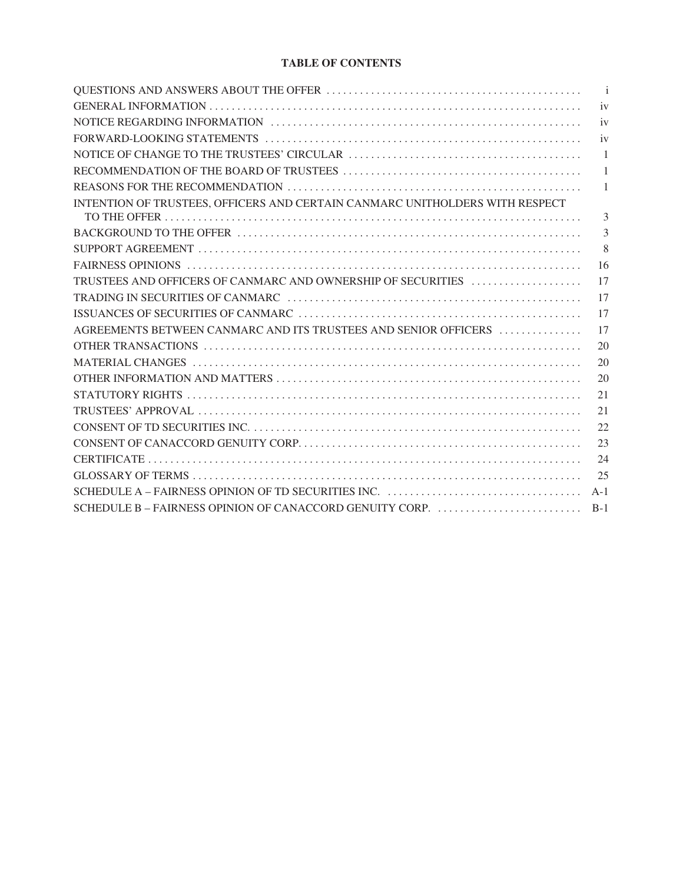#### **TABLE OF CONTENTS**

|                                                                              | $\overline{\phantom{a}}$ i |
|------------------------------------------------------------------------------|----------------------------|
|                                                                              | iv                         |
|                                                                              | iv                         |
|                                                                              | iv                         |
|                                                                              | $\overline{1}$             |
|                                                                              | $\overline{1}$             |
|                                                                              | 1                          |
| INTENTION OF TRUSTEES, OFFICERS AND CERTAIN CANMARC UNITHOLDERS WITH RESPECT |                            |
|                                                                              | 3                          |
|                                                                              | 3                          |
|                                                                              | 8                          |
|                                                                              | -16                        |
| TRUSTEES AND OFFICERS OF CANMARC AND OWNERSHIP OF SECURITIES                 | 17                         |
|                                                                              | 17                         |
|                                                                              | 17                         |
| AGREEMENTS BETWEEN CANMARC AND ITS TRUSTEES AND SENIOR OFFICERS              | 17                         |
|                                                                              | 20                         |
|                                                                              | 20                         |
|                                                                              | 20                         |
|                                                                              | 21                         |
|                                                                              | 21                         |
|                                                                              | 22                         |
|                                                                              | 23                         |
|                                                                              | 24                         |
|                                                                              | 25                         |
|                                                                              | $A-1$                      |
|                                                                              |                            |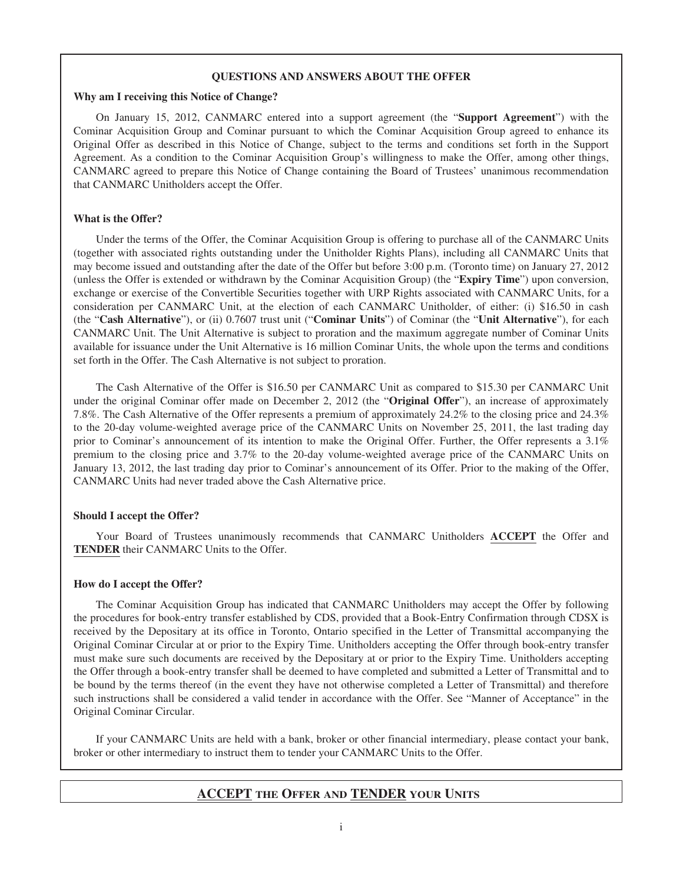#### **QUESTIONS AND ANSWERS ABOUT THE OFFER**

#### **Why am I receiving this Notice of Change?**

On January 15, 2012, CANMARC entered into a support agreement (the "**Support Agreement**") with the Cominar Acquisition Group and Cominar pursuant to which the Cominar Acquisition Group agreed to enhance its Original Offer as described in this Notice of Change, subject to the terms and conditions set forth in the Support Agreement. As a condition to the Cominar Acquisition Group's willingness to make the Offer, among other things, CANMARC agreed to prepare this Notice of Change containing the Board of Trustees' unanimous recommendation that CANMARC Unitholders accept the Offer.

#### **What is the Offer?**

Under the terms of the Offer, the Cominar Acquisition Group is offering to purchase all of the CANMARC Units (together with associated rights outstanding under the Unitholder Rights Plans), including all CANMARC Units that may become issued and outstanding after the date of the Offer but before 3:00 p.m. (Toronto time) on January 27, 2012 (unless the Offer is extended or withdrawn by the Cominar Acquisition Group) (the "**Expiry Time**") upon conversion, exchange or exercise of the Convertible Securities together with URP Rights associated with CANMARC Units, for a consideration per CANMARC Unit, at the election of each CANMARC Unitholder, of either: (i) \$16.50 in cash (the "**Cash Alternative**"), or (ii) 0.7607 trust unit ("**Cominar Units**") of Cominar (the "**Unit Alternative**"), for each CANMARC Unit. The Unit Alternative is subject to proration and the maximum aggregate number of Cominar Units available for issuance under the Unit Alternative is 16 million Cominar Units, the whole upon the terms and conditions set forth in the Offer. The Cash Alternative is not subject to proration.

The Cash Alternative of the Offer is \$16.50 per CANMARC Unit as compared to \$15.30 per CANMARC Unit under the original Cominar offer made on December 2, 2012 (the "**Original Offer**"), an increase of approximately 7.8%. The Cash Alternative of the Offer represents a premium of approximately 24.2% to the closing price and 24.3% to the 20-day volume-weighted average price of the CANMARC Units on November 25, 2011, the last trading day prior to Cominar's announcement of its intention to make the Original Offer. Further, the Offer represents a 3.1% premium to the closing price and 3.7% to the 20-day volume-weighted average price of the CANMARC Units on January 13, 2012, the last trading day prior to Cominar's announcement of its Offer. Prior to the making of the Offer, CANMARC Units had never traded above the Cash Alternative price.

#### **Should I accept the Offer?**

Your Board of Trustees unanimously recommends that CANMARC Unitholders **ACCEPT** the Offer and **TENDER** their CANMARC Units to the Offer.

#### **How do I accept the Offer?**

The Cominar Acquisition Group has indicated that CANMARC Unitholders may accept the Offer by following the procedures for book-entry transfer established by CDS, provided that a Book-Entry Confirmation through CDSX is received by the Depositary at its office in Toronto, Ontario specified in the Letter of Transmittal accompanying the Original Cominar Circular at or prior to the Expiry Time. Unitholders accepting the Offer through book-entry transfer must make sure such documents are received by the Depositary at or prior to the Expiry Time. Unitholders accepting the Offer through a book-entry transfer shall be deemed to have completed and submitted a Letter of Transmittal and to be bound by the terms thereof (in the event they have not otherwise completed a Letter of Transmittal) and therefore such instructions shall be considered a valid tender in accordance with the Offer. See "Manner of Acceptance" in the Original Cominar Circular.

If your CANMARC Units are held with a bank, broker or other financial intermediary, please contact your bank, broker or other intermediary to instruct them to tender your CANMARC Units to the Offer.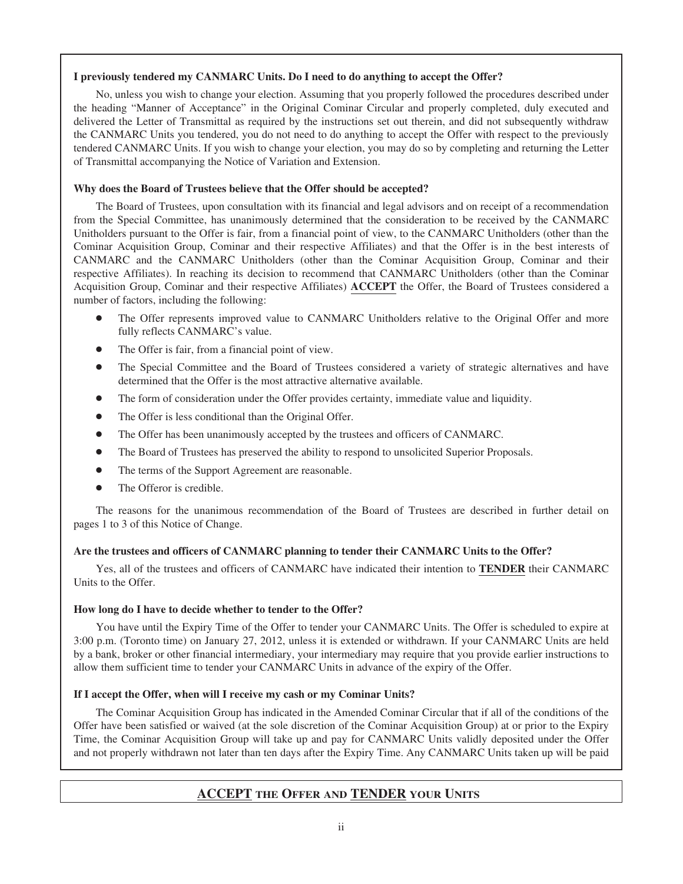#### **I previously tendered my CANMARC Units. Do I need to do anything to accept the Offer?**

No, unless you wish to change your election. Assuming that you properly followed the procedures described under the heading "Manner of Acceptance" in the Original Cominar Circular and properly completed, duly executed and delivered the Letter of Transmittal as required by the instructions set out therein, and did not subsequently withdraw the CANMARC Units you tendered, you do not need to do anything to accept the Offer with respect to the previously tendered CANMARC Units. If you wish to change your election, you may do so by completing and returning the Letter of Transmittal accompanying the Notice of Variation and Extension.

#### **Why does the Board of Trustees believe that the Offer should be accepted?**

The Board of Trustees, upon consultation with its financial and legal advisors and on receipt of a recommendation from the Special Committee, has unanimously determined that the consideration to be received by the CANMARC Unitholders pursuant to the Offer is fair, from a financial point of view, to the CANMARC Unitholders (other than the Cominar Acquisition Group, Cominar and their respective Affiliates) and that the Offer is in the best interests of CANMARC and the CANMARC Unitholders (other than the Cominar Acquisition Group, Cominar and their respective Affiliates). In reaching its decision to recommend that CANMARC Unitholders (other than the Cominar Acquisition Group, Cominar and their respective Affiliates) **ACCEPT** the Offer, the Board of Trustees considered a number of factors, including the following:

- The Offer represents improved value to CANMARC Unitholders relative to the Original Offer and more fully reflects CANMARC's value.
- The Offer is fair, from a financial point of view.
- The Special Committee and the Board of Trustees considered a variety of strategic alternatives and have determined that the Offer is the most attractive alternative available.
- The form of consideration under the Offer provides certainty, immediate value and liquidity.
- The Offer is less conditional than the Original Offer.
- The Offer has been unanimously accepted by the trustees and officers of CANMARC.
- The Board of Trustees has preserved the ability to respond to unsolicited Superior Proposals.
- The terms of the Support Agreement are reasonable.
- The Offeror is credible.

The reasons for the unanimous recommendation of the Board of Trustees are described in further detail on pages 1 to 3 of this Notice of Change.

#### **Are the trustees and officers of CANMARC planning to tender their CANMARC Units to the Offer?**

Yes, all of the trustees and officers of CANMARC have indicated their intention to **TENDER** their CANMARC Units to the Offer.

#### **How long do I have to decide whether to tender to the Offer?**

You have until the Expiry Time of the Offer to tender your CANMARC Units. The Offer is scheduled to expire at 3:00 p.m. (Toronto time) on January 27, 2012, unless it is extended or withdrawn. If your CANMARC Units are held by a bank, broker or other financial intermediary, your intermediary may require that you provide earlier instructions to allow them sufficient time to tender your CANMARC Units in advance of the expiry of the Offer.

#### **If I accept the Offer, when will I receive my cash or my Cominar Units?**

The Cominar Acquisition Group has indicated in the Amended Cominar Circular that if all of the conditions of the Offer have been satisfied or waived (at the sole discretion of the Cominar Acquisition Group) at or prior to the Expiry Time, the Cominar Acquisition Group will take up and pay for CANMARC Units validly deposited under the Offer and not properly withdrawn not later than ten days after the Expiry Time. Any CANMARC Units taken up will be paid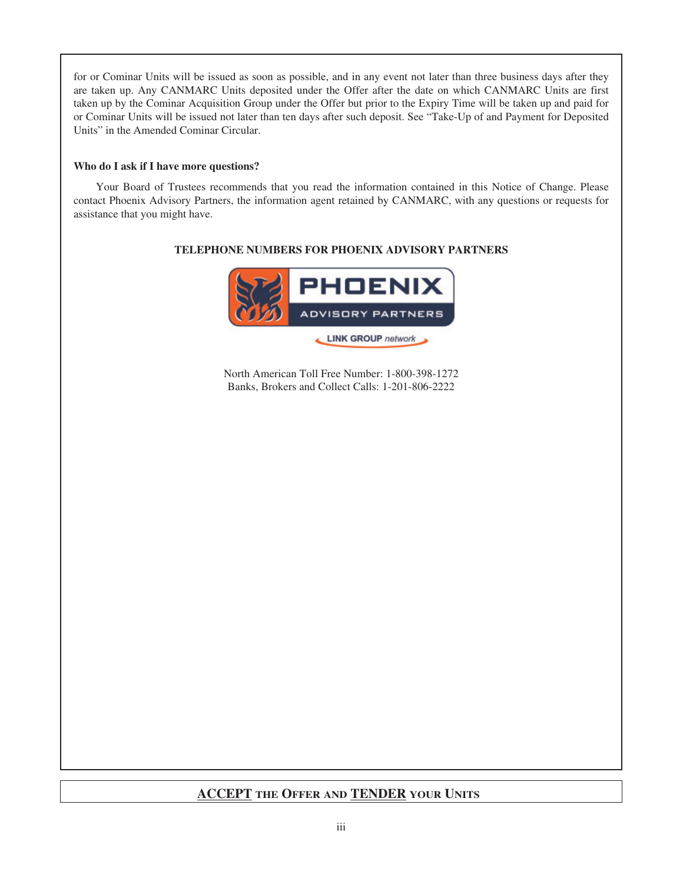for or Cominar Units will be issued as soon as possible, and in any event not later than three business days after they are taken up. Any CANMARC Units deposited under the Offer after the date on which CANMARC Units are first taken up by the Cominar Acquisition Group under the Offer but prior to the Expiry Time will be taken up and paid for or Cominar Units will be issued not later than ten days after such deposit. See "Take-Up of and Payment for Deposited Units" in the Amended Cominar Circular.

#### **Who do I ask if I have more questions?**

Your Board of Trustees recommends that you read the information contained in this Notice of Change. Please contact Phoenix Advisory Partners, the information agent retained by CANMARC, with any questions or requests for assistance that you might have.

## **PHOENIX** ADVISORY PARTNERS LINK GROUP network

**TELEPHONE NUMBERS FOR PHOENIX ADVISORY PARTNERS**

North American Toll Free Number: 1-800-398-1272 Banks, Brokers and Collect Calls: 1-201-806-2222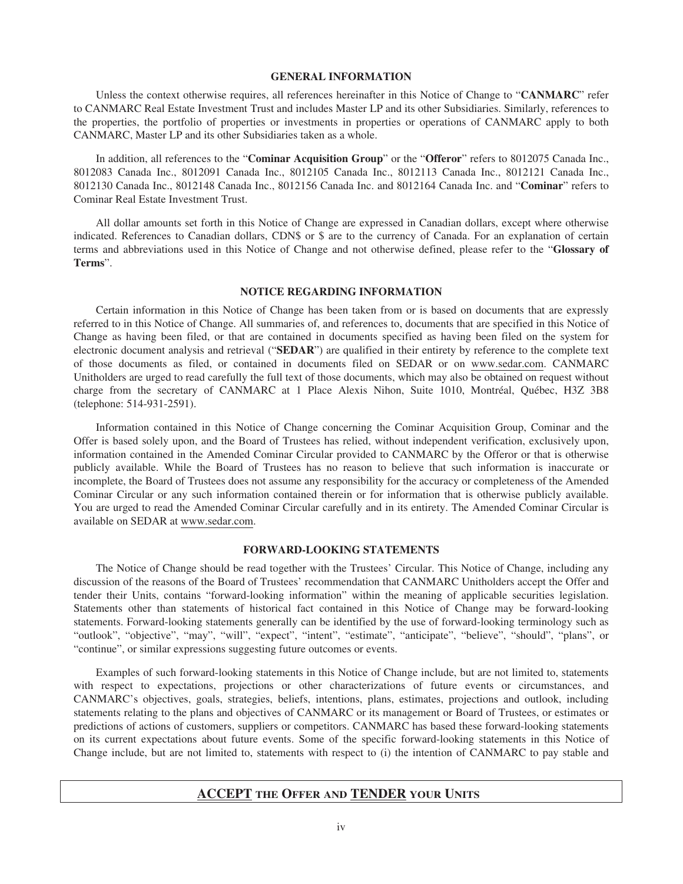#### **GENERAL INFORMATION**

Unless the context otherwise requires, all references hereinafter in this Notice of Change to "**CANMARC**" refer to CANMARC Real Estate Investment Trust and includes Master LP and its other Subsidiaries. Similarly, references to the properties, the portfolio of properties or investments in properties or operations of CANMARC apply to both CANMARC, Master LP and its other Subsidiaries taken as a whole.

In addition, all references to the "**Cominar Acquisition Group**" or the "**Offeror**" refers to 8012075 Canada Inc., 8012083 Canada Inc., 8012091 Canada Inc., 8012105 Canada Inc., 8012113 Canada Inc., 8012121 Canada Inc., 8012130 Canada Inc., 8012148 Canada Inc., 8012156 Canada Inc. and 8012164 Canada Inc. and "**Cominar**" refers to Cominar Real Estate Investment Trust.

All dollar amounts set forth in this Notice of Change are expressed in Canadian dollars, except where otherwise indicated. References to Canadian dollars, CDN\$ or \$ are to the currency of Canada. For an explanation of certain terms and abbreviations used in this Notice of Change and not otherwise defined, please refer to the "**Glossary of Terms**".

#### **NOTICE REGARDING INFORMATION**

Certain information in this Notice of Change has been taken from or is based on documents that are expressly referred to in this Notice of Change. All summaries of, and references to, documents that are specified in this Notice of Change as having been filed, or that are contained in documents specified as having been filed on the system for electronic document analysis and retrieval ("**SEDAR**") are qualified in their entirety by reference to the complete text of those documents as filed, or contained in documents filed on SEDAR or on www.sedar.com. CANMARC Unitholders are urged to read carefully the full text of those documents, which may also be obtained on request without charge from the secretary of CANMARC at 1 Place Alexis Nihon, Suite 1010, Montréal, Québec, H3Z 3B8 (telephone: 514-931-2591).

Information contained in this Notice of Change concerning the Cominar Acquisition Group, Cominar and the Offer is based solely upon, and the Board of Trustees has relied, without independent verification, exclusively upon, information contained in the Amended Cominar Circular provided to CANMARC by the Offeror or that is otherwise publicly available. While the Board of Trustees has no reason to believe that such information is inaccurate or incomplete, the Board of Trustees does not assume any responsibility for the accuracy or completeness of the Amended Cominar Circular or any such information contained therein or for information that is otherwise publicly available. You are urged to read the Amended Cominar Circular carefully and in its entirety. The Amended Cominar Circular is available on SEDAR at www.sedar.com.

#### **FORWARD-LOOKING STATEMENTS**

The Notice of Change should be read together with the Trustees' Circular. This Notice of Change, including any discussion of the reasons of the Board of Trustees' recommendation that CANMARC Unitholders accept the Offer and tender their Units, contains "forward-looking information" within the meaning of applicable securities legislation. Statements other than statements of historical fact contained in this Notice of Change may be forward-looking statements. Forward-looking statements generally can be identified by the use of forward-looking terminology such as "outlook", "objective", "may", "will", "expect", "intent", "estimate", "anticipate", "believe", "should", "plans", or "continue", or similar expressions suggesting future outcomes or events.

Examples of such forward-looking statements in this Notice of Change include, but are not limited to, statements with respect to expectations, projections or other characterizations of future events or circumstances, and CANMARC's objectives, goals, strategies, beliefs, intentions, plans, estimates, projections and outlook, including statements relating to the plans and objectives of CANMARC or its management or Board of Trustees, or estimates or predictions of actions of customers, suppliers or competitors. CANMARC has based these forward-looking statements on its current expectations about future events. Some of the specific forward-looking statements in this Notice of Change include, but are not limited to, statements with respect to (i) the intention of CANMARC to pay stable and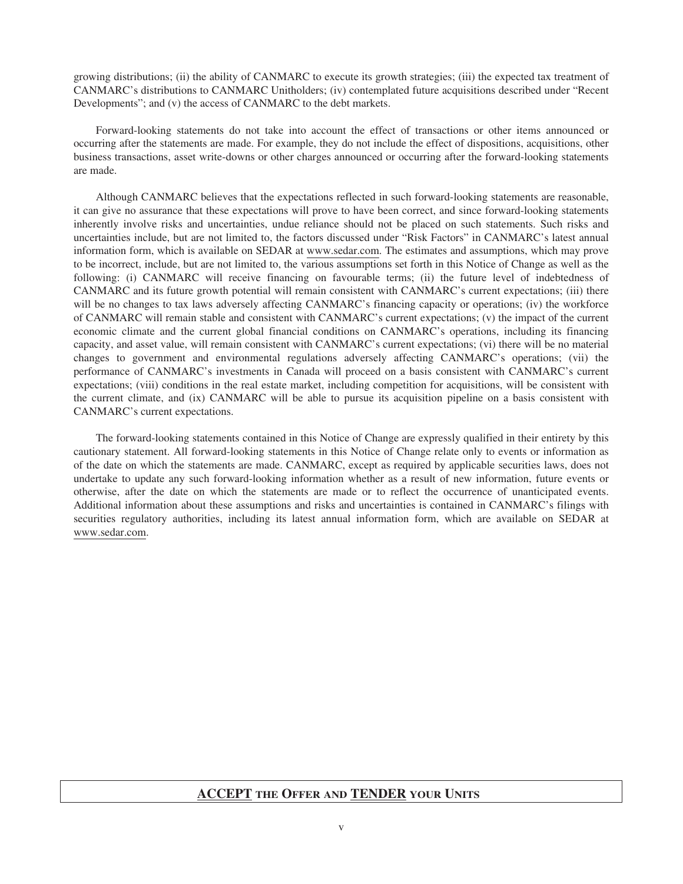growing distributions; (ii) the ability of CANMARC to execute its growth strategies; (iii) the expected tax treatment of CANMARC's distributions to CANMARC Unitholders; (iv) contemplated future acquisitions described under "Recent Developments"; and (v) the access of CANMARC to the debt markets.

Forward-looking statements do not take into account the effect of transactions or other items announced or occurring after the statements are made. For example, they do not include the effect of dispositions, acquisitions, other business transactions, asset write-downs or other charges announced or occurring after the forward-looking statements are made.

Although CANMARC believes that the expectations reflected in such forward-looking statements are reasonable, it can give no assurance that these expectations will prove to have been correct, and since forward-looking statements inherently involve risks and uncertainties, undue reliance should not be placed on such statements. Such risks and uncertainties include, but are not limited to, the factors discussed under "Risk Factors" in CANMARC's latest annual information form, which is available on SEDAR at www.sedar.com. The estimates and assumptions, which may prove to be incorrect, include, but are not limited to, the various assumptions set forth in this Notice of Change as well as the following: (i) CANMARC will receive financing on favourable terms; (ii) the future level of indebtedness of CANMARC and its future growth potential will remain consistent with CANMARC's current expectations; (iii) there will be no changes to tax laws adversely affecting CANMARC's financing capacity or operations; (iv) the workforce of CANMARC will remain stable and consistent with CANMARC's current expectations; (v) the impact of the current economic climate and the current global financial conditions on CANMARC's operations, including its financing capacity, and asset value, will remain consistent with CANMARC's current expectations; (vi) there will be no material changes to government and environmental regulations adversely affecting CANMARC's operations; (vii) the performance of CANMARC's investments in Canada will proceed on a basis consistent with CANMARC's current expectations; (viii) conditions in the real estate market, including competition for acquisitions, will be consistent with the current climate, and (ix) CANMARC will be able to pursue its acquisition pipeline on a basis consistent with CANMARC's current expectations.

The forward-looking statements contained in this Notice of Change are expressly qualified in their entirety by this cautionary statement. All forward-looking statements in this Notice of Change relate only to events or information as of the date on which the statements are made. CANMARC, except as required by applicable securities laws, does not undertake to update any such forward-looking information whether as a result of new information, future events or otherwise, after the date on which the statements are made or to reflect the occurrence of unanticipated events. Additional information about these assumptions and risks and uncertainties is contained in CANMARC's filings with securities regulatory authorities, including its latest annual information form, which are available on SEDAR at www.sedar.com.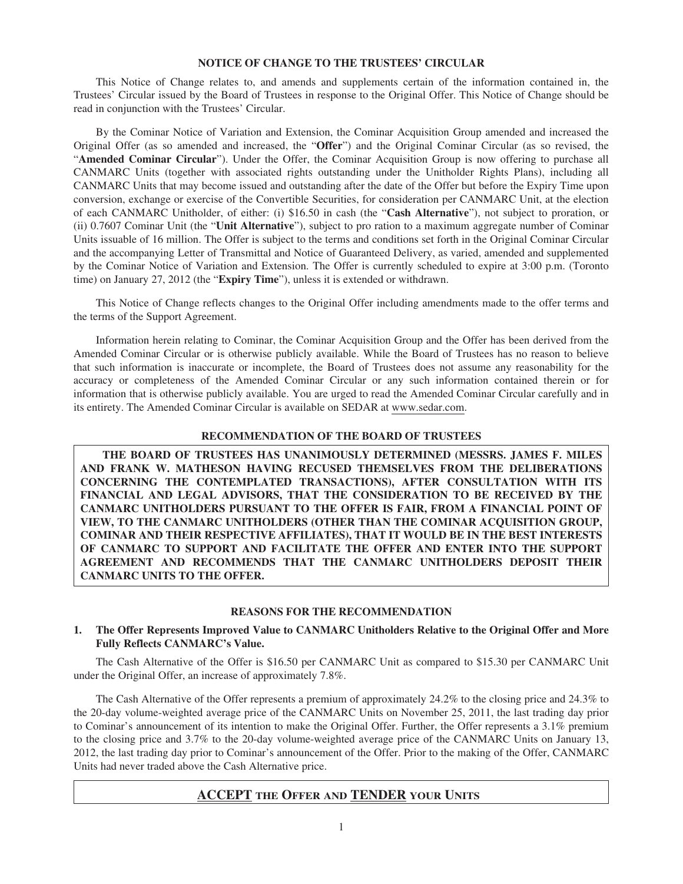#### **NOTICE OF CHANGE TO THE TRUSTEES' CIRCULAR**

This Notice of Change relates to, and amends and supplements certain of the information contained in, the Trustees' Circular issued by the Board of Trustees in response to the Original Offer. This Notice of Change should be read in conjunction with the Trustees' Circular.

By the Cominar Notice of Variation and Extension, the Cominar Acquisition Group amended and increased the Original Offer (as so amended and increased, the "**Offer**") and the Original Cominar Circular (as so revised, the "**Amended Cominar Circular**"). Under the Offer, the Cominar Acquisition Group is now offering to purchase all CANMARC Units (together with associated rights outstanding under the Unitholder Rights Plans), including all CANMARC Units that may become issued and outstanding after the date of the Offer but before the Expiry Time upon conversion, exchange or exercise of the Convertible Securities, for consideration per CANMARC Unit, at the election of each CANMARC Unitholder, of either: (i) \$16.50 in cash (the "**Cash Alternative**"), not subject to proration, or (ii) 0.7607 Cominar Unit (the "**Unit Alternative**"), subject to pro ration to a maximum aggregate number of Cominar Units issuable of 16 million. The Offer is subject to the terms and conditions set forth in the Original Cominar Circular and the accompanying Letter of Transmittal and Notice of Guaranteed Delivery, as varied, amended and supplemented by the Cominar Notice of Variation and Extension. The Offer is currently scheduled to expire at 3:00 p.m. (Toronto time) on January 27, 2012 (the "**Expiry Time**"), unless it is extended or withdrawn.

This Notice of Change reflects changes to the Original Offer including amendments made to the offer terms and the terms of the Support Agreement.

Information herein relating to Cominar, the Cominar Acquisition Group and the Offer has been derived from the Amended Cominar Circular or is otherwise publicly available. While the Board of Trustees has no reason to believe that such information is inaccurate or incomplete, the Board of Trustees does not assume any reasonability for the accuracy or completeness of the Amended Cominar Circular or any such information contained therein or for information that is otherwise publicly available. You are urged to read the Amended Cominar Circular carefully and in its entirety. The Amended Cominar Circular is available on SEDAR at www.sedar.com.

#### **RECOMMENDATION OF THE BOARD OF TRUSTEES**

**THE BOARD OF TRUSTEES HAS UNANIMOUSLY DETERMINED (MESSRS. JAMES F. MILES AND FRANK W. MATHESON HAVING RECUSED THEMSELVES FROM THE DELIBERATIONS CONCERNING THE CONTEMPLATED TRANSACTIONS), AFTER CONSULTATION WITH ITS FINANCIAL AND LEGAL ADVISORS, THAT THE CONSIDERATION TO BE RECEIVED BY THE CANMARC UNITHOLDERS PURSUANT TO THE OFFER IS FAIR, FROM A FINANCIAL POINT OF VIEW, TO THE CANMARC UNITHOLDERS (OTHER THAN THE COMINAR ACQUISITION GROUP, COMINAR AND THEIR RESPECTIVE AFFILIATES), THAT IT WOULD BE IN THE BEST INTERESTS OF CANMARC TO SUPPORT AND FACILITATE THE OFFER AND ENTER INTO THE SUPPORT AGREEMENT AND RECOMMENDS THAT THE CANMARC UNITHOLDERS DEPOSIT THEIR CANMARC UNITS TO THE OFFER.**

#### **REASONS FOR THE RECOMMENDATION**

#### **1. The Offer Represents Improved Value to CANMARC Unitholders Relative to the Original Offer and More Fully Reflects CANMARC's Value.**

The Cash Alternative of the Offer is \$16.50 per CANMARC Unit as compared to \$15.30 per CANMARC Unit under the Original Offer, an increase of approximately 7.8%.

The Cash Alternative of the Offer represents a premium of approximately 24.2% to the closing price and 24.3% to the 20-day volume-weighted average price of the CANMARC Units on November 25, 2011, the last trading day prior to Cominar's announcement of its intention to make the Original Offer. Further, the Offer represents a 3.1% premium to the closing price and 3.7% to the 20-day volume-weighted average price of the CANMARC Units on January 13, 2012, the last trading day prior to Cominar's announcement of the Offer. Prior to the making of the Offer, CANMARC Units had never traded above the Cash Alternative price.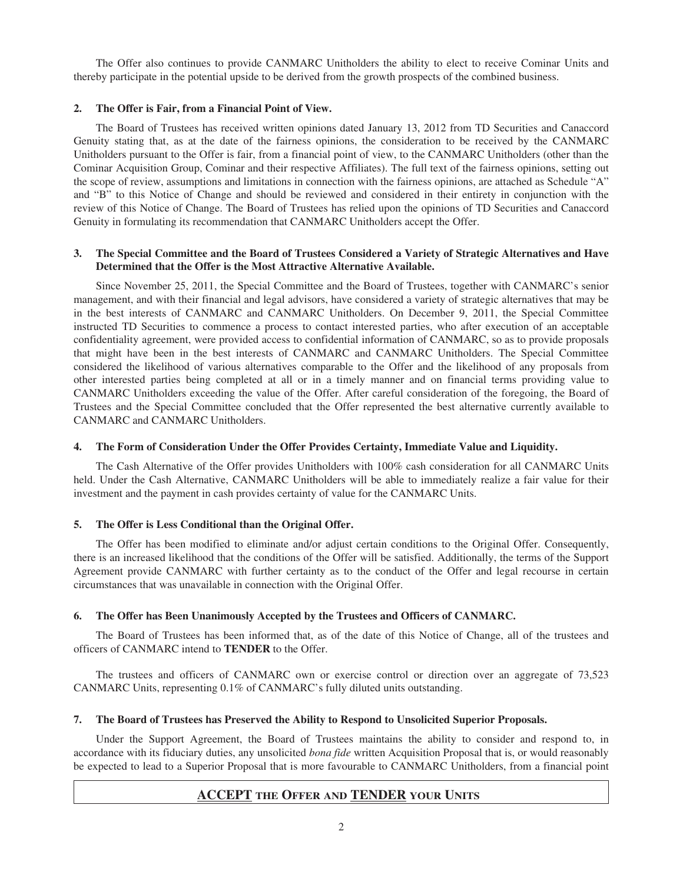The Offer also continues to provide CANMARC Unitholders the ability to elect to receive Cominar Units and thereby participate in the potential upside to be derived from the growth prospects of the combined business.

#### **2. The Offer is Fair, from a Financial Point of View.**

The Board of Trustees has received written opinions dated January 13, 2012 from TD Securities and Canaccord Genuity stating that, as at the date of the fairness opinions, the consideration to be received by the CANMARC Unitholders pursuant to the Offer is fair, from a financial point of view, to the CANMARC Unitholders (other than the Cominar Acquisition Group, Cominar and their respective Affiliates). The full text of the fairness opinions, setting out the scope of review, assumptions and limitations in connection with the fairness opinions, are attached as Schedule "A" and "B" to this Notice of Change and should be reviewed and considered in their entirety in conjunction with the review of this Notice of Change. The Board of Trustees has relied upon the opinions of TD Securities and Canaccord Genuity in formulating its recommendation that CANMARC Unitholders accept the Offer.

#### **3. The Special Committee and the Board of Trustees Considered a Variety of Strategic Alternatives and Have Determined that the Offer is the Most Attractive Alternative Available.**

Since November 25, 2011, the Special Committee and the Board of Trustees, together with CANMARC's senior management, and with their financial and legal advisors, have considered a variety of strategic alternatives that may be in the best interests of CANMARC and CANMARC Unitholders. On December 9, 2011, the Special Committee instructed TD Securities to commence a process to contact interested parties, who after execution of an acceptable confidentiality agreement, were provided access to confidential information of CANMARC, so as to provide proposals that might have been in the best interests of CANMARC and CANMARC Unitholders. The Special Committee considered the likelihood of various alternatives comparable to the Offer and the likelihood of any proposals from other interested parties being completed at all or in a timely manner and on financial terms providing value to CANMARC Unitholders exceeding the value of the Offer. After careful consideration of the foregoing, the Board of Trustees and the Special Committee concluded that the Offer represented the best alternative currently available to CANMARC and CANMARC Unitholders.

#### **4. The Form of Consideration Under the Offer Provides Certainty, Immediate Value and Liquidity.**

The Cash Alternative of the Offer provides Unitholders with 100% cash consideration for all CANMARC Units held. Under the Cash Alternative, CANMARC Unitholders will be able to immediately realize a fair value for their investment and the payment in cash provides certainty of value for the CANMARC Units.

#### **5. The Offer is Less Conditional than the Original Offer.**

The Offer has been modified to eliminate and/or adjust certain conditions to the Original Offer. Consequently, there is an increased likelihood that the conditions of the Offer will be satisfied. Additionally, the terms of the Support Agreement provide CANMARC with further certainty as to the conduct of the Offer and legal recourse in certain circumstances that was unavailable in connection with the Original Offer.

#### **6. The Offer has Been Unanimously Accepted by the Trustees and Officers of CANMARC.**

The Board of Trustees has been informed that, as of the date of this Notice of Change, all of the trustees and officers of CANMARC intend to **TENDER** to the Offer.

The trustees and officers of CANMARC own or exercise control or direction over an aggregate of 73,523 CANMARC Units, representing 0.1% of CANMARC's fully diluted units outstanding.

#### **7. The Board of Trustees has Preserved the Ability to Respond to Unsolicited Superior Proposals.**

Under the Support Agreement, the Board of Trustees maintains the ability to consider and respond to, in accordance with its fiduciary duties, any unsolicited *bona fide* written Acquisition Proposal that is, or would reasonably be expected to lead to a Superior Proposal that is more favourable to CANMARC Unitholders, from a financial point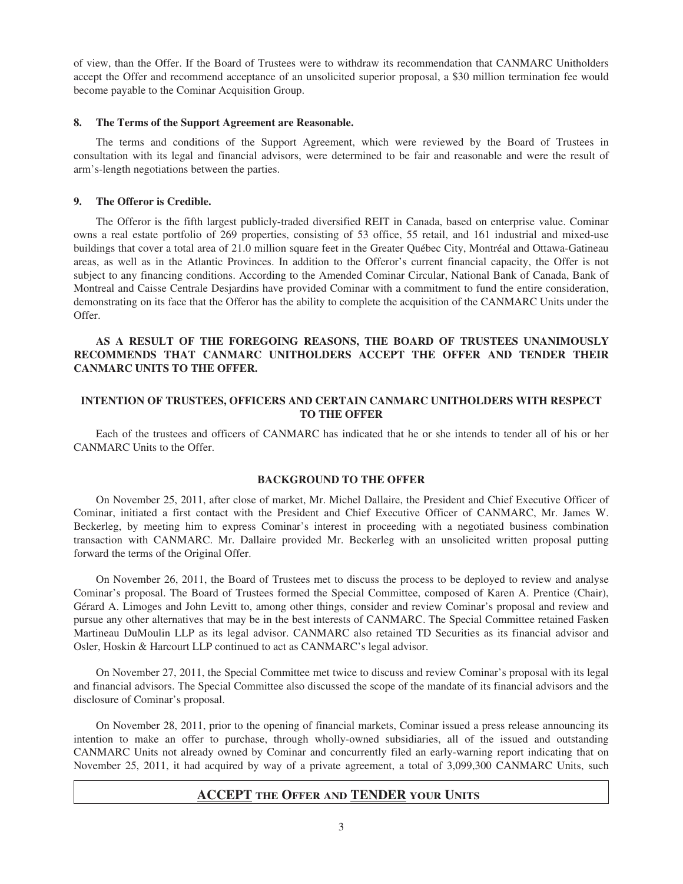of view, than the Offer. If the Board of Trustees were to withdraw its recommendation that CANMARC Unitholders accept the Offer and recommend acceptance of an unsolicited superior proposal, a \$30 million termination fee would become payable to the Cominar Acquisition Group.

#### **8. The Terms of the Support Agreement are Reasonable.**

The terms and conditions of the Support Agreement, which were reviewed by the Board of Trustees in consultation with its legal and financial advisors, were determined to be fair and reasonable and were the result of arm's-length negotiations between the parties.

#### **9. The Offeror is Credible.**

The Offeror is the fifth largest publicly-traded diversified REIT in Canada, based on enterprise value. Cominar owns a real estate portfolio of 269 properties, consisting of 53 office, 55 retail, and 161 industrial and mixed-use buildings that cover a total area of 21.0 million square feet in the Greater Québec City, Montréal and Ottawa-Gatineau areas, as well as in the Atlantic Provinces. In addition to the Offeror's current financial capacity, the Offer is not subject to any financing conditions. According to the Amended Cominar Circular, National Bank of Canada, Bank of Montreal and Caisse Centrale Desjardins have provided Cominar with a commitment to fund the entire consideration, demonstrating on its face that the Offeror has the ability to complete the acquisition of the CANMARC Units under the Offer.

#### **AS A RESULT OF THE FOREGOING REASONS, THE BOARD OF TRUSTEES UNANIMOUSLY RECOMMENDS THAT CANMARC UNITHOLDERS ACCEPT THE OFFER AND TENDER THEIR CANMARC UNITS TO THE OFFER.**

#### **INTENTION OF TRUSTEES, OFFICERS AND CERTAIN CANMARC UNITHOLDERS WITH RESPECT TO THE OFFER**

Each of the trustees and officers of CANMARC has indicated that he or she intends to tender all of his or her CANMARC Units to the Offer.

#### **BACKGROUND TO THE OFFER**

On November 25, 2011, after close of market, Mr. Michel Dallaire, the President and Chief Executive Officer of Cominar, initiated a first contact with the President and Chief Executive Officer of CANMARC, Mr. James W. Beckerleg, by meeting him to express Cominar's interest in proceeding with a negotiated business combination transaction with CANMARC. Mr. Dallaire provided Mr. Beckerleg with an unsolicited written proposal putting forward the terms of the Original Offer.

On November 26, 2011, the Board of Trustees met to discuss the process to be deployed to review and analyse Cominar's proposal. The Board of Trustees formed the Special Committee, composed of Karen A. Prentice (Chair), Gérard A. Limoges and John Levitt to, among other things, consider and review Cominar's proposal and review and pursue any other alternatives that may be in the best interests of CANMARC. The Special Committee retained Fasken Martineau DuMoulin LLP as its legal advisor. CANMARC also retained TD Securities as its financial advisor and Osler, Hoskin & Harcourt LLP continued to act as CANMARC's legal advisor.

On November 27, 2011, the Special Committee met twice to discuss and review Cominar's proposal with its legal and financial advisors. The Special Committee also discussed the scope of the mandate of its financial advisors and the disclosure of Cominar's proposal.

On November 28, 2011, prior to the opening of financial markets, Cominar issued a press release announcing its intention to make an offer to purchase, through wholly-owned subsidiaries, all of the issued and outstanding CANMARC Units not already owned by Cominar and concurrently filed an early-warning report indicating that on November 25, 2011, it had acquired by way of a private agreement, a total of 3,099,300 CANMARC Units, such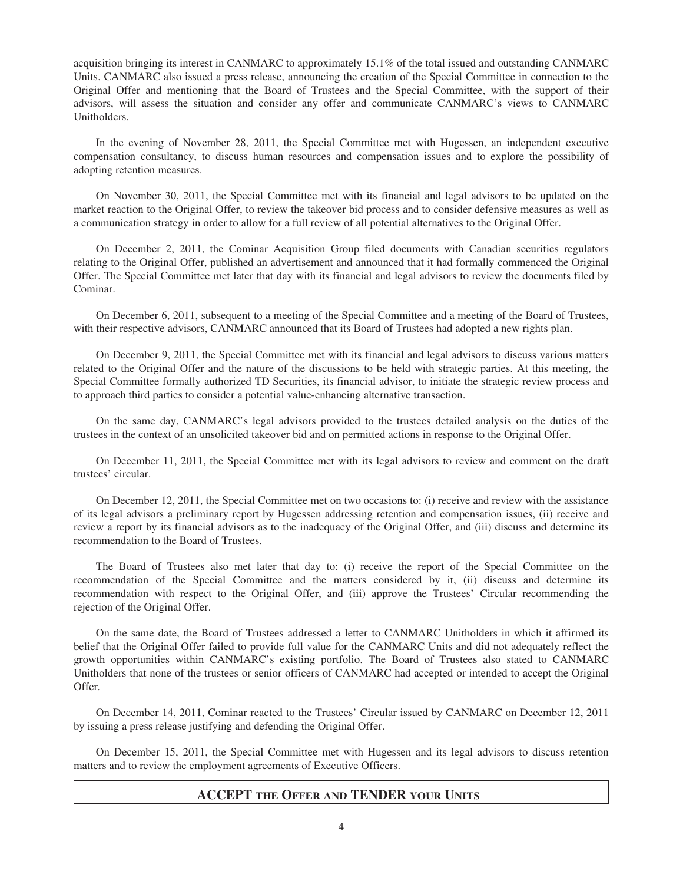acquisition bringing its interest in CANMARC to approximately 15.1% of the total issued and outstanding CANMARC Units. CANMARC also issued a press release, announcing the creation of the Special Committee in connection to the Original Offer and mentioning that the Board of Trustees and the Special Committee, with the support of their advisors, will assess the situation and consider any offer and communicate CANMARC's views to CANMARC Unitholders.

In the evening of November 28, 2011, the Special Committee met with Hugessen, an independent executive compensation consultancy, to discuss human resources and compensation issues and to explore the possibility of adopting retention measures.

On November 30, 2011, the Special Committee met with its financial and legal advisors to be updated on the market reaction to the Original Offer, to review the takeover bid process and to consider defensive measures as well as a communication strategy in order to allow for a full review of all potential alternatives to the Original Offer.

On December 2, 2011, the Cominar Acquisition Group filed documents with Canadian securities regulators relating to the Original Offer, published an advertisement and announced that it had formally commenced the Original Offer. The Special Committee met later that day with its financial and legal advisors to review the documents filed by Cominar.

On December 6, 2011, subsequent to a meeting of the Special Committee and a meeting of the Board of Trustees, with their respective advisors, CANMARC announced that its Board of Trustees had adopted a new rights plan.

On December 9, 2011, the Special Committee met with its financial and legal advisors to discuss various matters related to the Original Offer and the nature of the discussions to be held with strategic parties. At this meeting, the Special Committee formally authorized TD Securities, its financial advisor, to initiate the strategic review process and to approach third parties to consider a potential value-enhancing alternative transaction.

On the same day, CANMARC's legal advisors provided to the trustees detailed analysis on the duties of the trustees in the context of an unsolicited takeover bid and on permitted actions in response to the Original Offer.

On December 11, 2011, the Special Committee met with its legal advisors to review and comment on the draft trustees' circular.

On December 12, 2011, the Special Committee met on two occasions to: (i) receive and review with the assistance of its legal advisors a preliminary report by Hugessen addressing retention and compensation issues, (ii) receive and review a report by its financial advisors as to the inadequacy of the Original Offer, and (iii) discuss and determine its recommendation to the Board of Trustees.

The Board of Trustees also met later that day to: (i) receive the report of the Special Committee on the recommendation of the Special Committee and the matters considered by it, (ii) discuss and determine its recommendation with respect to the Original Offer, and (iii) approve the Trustees' Circular recommending the rejection of the Original Offer.

On the same date, the Board of Trustees addressed a letter to CANMARC Unitholders in which it affirmed its belief that the Original Offer failed to provide full value for the CANMARC Units and did not adequately reflect the growth opportunities within CANMARC's existing portfolio. The Board of Trustees also stated to CANMARC Unitholders that none of the trustees or senior officers of CANMARC had accepted or intended to accept the Original Offer*.*

On December 14, 2011, Cominar reacted to the Trustees' Circular issued by CANMARC on December 12, 2011 by issuing a press release justifying and defending the Original Offer.

On December 15, 2011, the Special Committee met with Hugessen and its legal advisors to discuss retention matters and to review the employment agreements of Executive Officers.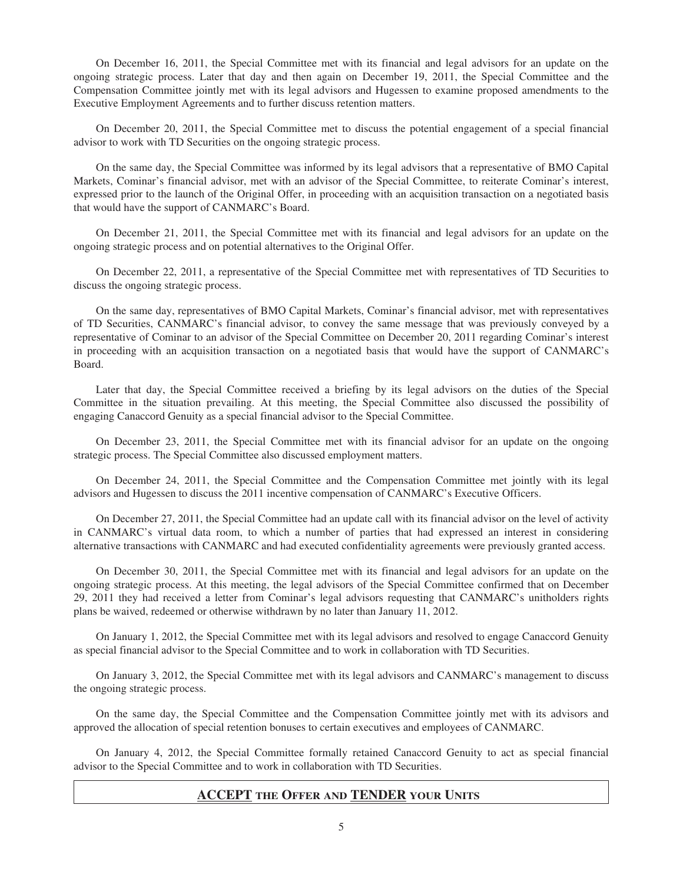On December 16, 2011, the Special Committee met with its financial and legal advisors for an update on the ongoing strategic process. Later that day and then again on December 19, 2011, the Special Committee and the Compensation Committee jointly met with its legal advisors and Hugessen to examine proposed amendments to the Executive Employment Agreements and to further discuss retention matters.

On December 20, 2011, the Special Committee met to discuss the potential engagement of a special financial advisor to work with TD Securities on the ongoing strategic process.

On the same day, the Special Committee was informed by its legal advisors that a representative of BMO Capital Markets, Cominar's financial advisor, met with an advisor of the Special Committee, to reiterate Cominar's interest, expressed prior to the launch of the Original Offer, in proceeding with an acquisition transaction on a negotiated basis that would have the support of CANMARC's Board.

On December 21, 2011, the Special Committee met with its financial and legal advisors for an update on the ongoing strategic process and on potential alternatives to the Original Offer.

On December 22, 2011, a representative of the Special Committee met with representatives of TD Securities to discuss the ongoing strategic process.

On the same day, representatives of BMO Capital Markets, Cominar's financial advisor, met with representatives of TD Securities, CANMARC's financial advisor, to convey the same message that was previously conveyed by a representative of Cominar to an advisor of the Special Committee on December 20, 2011 regarding Cominar's interest in proceeding with an acquisition transaction on a negotiated basis that would have the support of CANMARC's Board.

Later that day, the Special Committee received a briefing by its legal advisors on the duties of the Special Committee in the situation prevailing. At this meeting, the Special Committee also discussed the possibility of engaging Canaccord Genuity as a special financial advisor to the Special Committee.

On December 23, 2011, the Special Committee met with its financial advisor for an update on the ongoing strategic process. The Special Committee also discussed employment matters.

On December 24, 2011, the Special Committee and the Compensation Committee met jointly with its legal advisors and Hugessen to discuss the 2011 incentive compensation of CANMARC's Executive Officers.

On December 27, 2011, the Special Committee had an update call with its financial advisor on the level of activity in CANMARC's virtual data room, to which a number of parties that had expressed an interest in considering alternative transactions with CANMARC and had executed confidentiality agreements were previously granted access.

On December 30, 2011, the Special Committee met with its financial and legal advisors for an update on the ongoing strategic process. At this meeting, the legal advisors of the Special Committee confirmed that on December 29, 2011 they had received a letter from Cominar's legal advisors requesting that CANMARC's unitholders rights plans be waived, redeemed or otherwise withdrawn by no later than January 11, 2012.

On January 1, 2012, the Special Committee met with its legal advisors and resolved to engage Canaccord Genuity as special financial advisor to the Special Committee and to work in collaboration with TD Securities.

On January 3, 2012, the Special Committee met with its legal advisors and CANMARC's management to discuss the ongoing strategic process.

On the same day, the Special Committee and the Compensation Committee jointly met with its advisors and approved the allocation of special retention bonuses to certain executives and employees of CANMARC.

On January 4, 2012, the Special Committee formally retained Canaccord Genuity to act as special financial advisor to the Special Committee and to work in collaboration with TD Securities.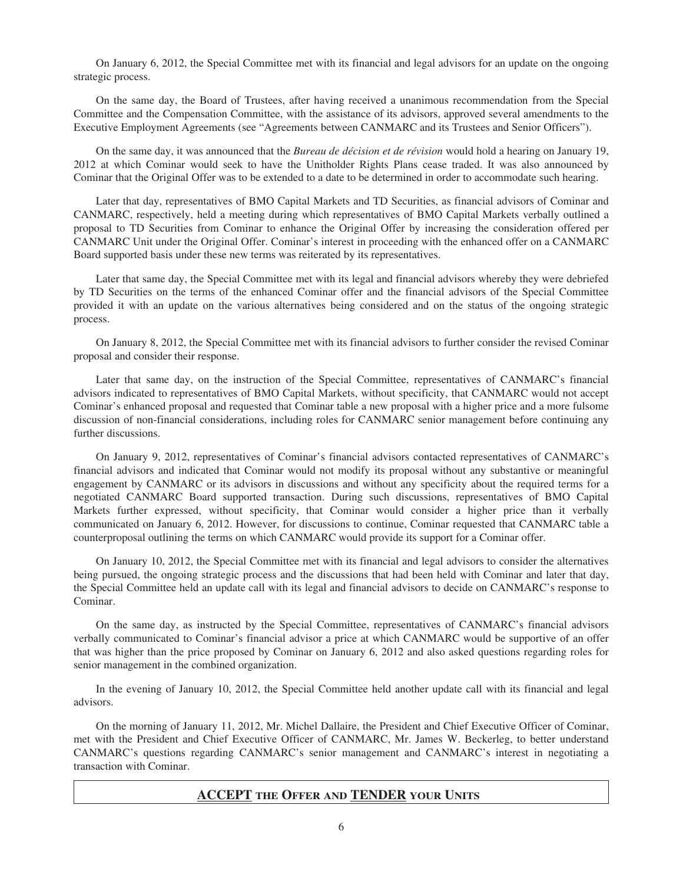On January 6, 2012, the Special Committee met with its financial and legal advisors for an update on the ongoing strategic process.

On the same day, the Board of Trustees, after having received a unanimous recommendation from the Special Committee and the Compensation Committee, with the assistance of its advisors, approved several amendments to the Executive Employment Agreements (see "Agreements between CANMARC and its Trustees and Senior Officers").

On the same day, it was announced that the *Bureau de décision et de révision* would hold a hearing on January 19, 2012 at which Cominar would seek to have the Unitholder Rights Plans cease traded. It was also announced by Cominar that the Original Offer was to be extended to a date to be determined in order to accommodate such hearing.

Later that day, representatives of BMO Capital Markets and TD Securities, as financial advisors of Cominar and CANMARC, respectively, held a meeting during which representatives of BMO Capital Markets verbally outlined a proposal to TD Securities from Cominar to enhance the Original Offer by increasing the consideration offered per CANMARC Unit under the Original Offer. Cominar's interest in proceeding with the enhanced offer on a CANMARC Board supported basis under these new terms was reiterated by its representatives.

Later that same day, the Special Committee met with its legal and financial advisors whereby they were debriefed by TD Securities on the terms of the enhanced Cominar offer and the financial advisors of the Special Committee provided it with an update on the various alternatives being considered and on the status of the ongoing strategic process.

On January 8, 2012, the Special Committee met with its financial advisors to further consider the revised Cominar proposal and consider their response.

Later that same day, on the instruction of the Special Committee, representatives of CANMARC's financial advisors indicated to representatives of BMO Capital Markets, without specificity, that CANMARC would not accept Cominar's enhanced proposal and requested that Cominar table a new proposal with a higher price and a more fulsome discussion of non-financial considerations, including roles for CANMARC senior management before continuing any further discussions.

On January 9, 2012, representatives of Cominar's financial advisors contacted representatives of CANMARC's financial advisors and indicated that Cominar would not modify its proposal without any substantive or meaningful engagement by CANMARC or its advisors in discussions and without any specificity about the required terms for a negotiated CANMARC Board supported transaction. During such discussions, representatives of BMO Capital Markets further expressed, without specificity, that Cominar would consider a higher price than it verbally communicated on January 6, 2012. However, for discussions to continue, Cominar requested that CANMARC table a counterproposal outlining the terms on which CANMARC would provide its support for a Cominar offer.

On January 10, 2012, the Special Committee met with its financial and legal advisors to consider the alternatives being pursued, the ongoing strategic process and the discussions that had been held with Cominar and later that day, the Special Committee held an update call with its legal and financial advisors to decide on CANMARC's response to Cominar.

On the same day, as instructed by the Special Committee, representatives of CANMARC's financial advisors verbally communicated to Cominar's financial advisor a price at which CANMARC would be supportive of an offer that was higher than the price proposed by Cominar on January 6, 2012 and also asked questions regarding roles for senior management in the combined organization.

In the evening of January 10, 2012, the Special Committee held another update call with its financial and legal advisors.

On the morning of January 11, 2012, Mr. Michel Dallaire, the President and Chief Executive Officer of Cominar, met with the President and Chief Executive Officer of CANMARC, Mr. James W. Beckerleg, to better understand CANMARC's questions regarding CANMARC's senior management and CANMARC's interest in negotiating a transaction with Cominar.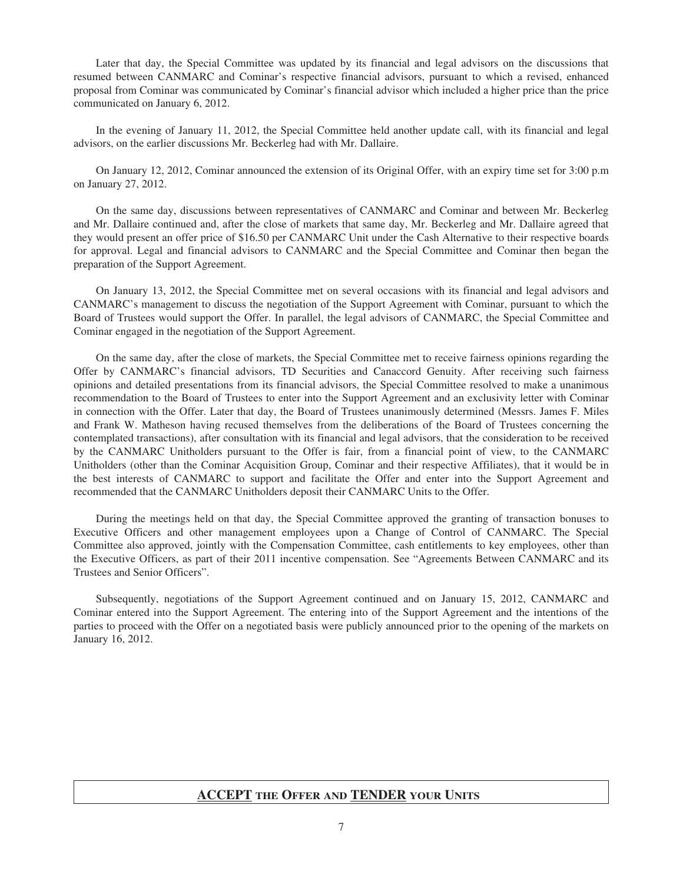Later that day, the Special Committee was updated by its financial and legal advisors on the discussions that resumed between CANMARC and Cominar's respective financial advisors, pursuant to which a revised, enhanced proposal from Cominar was communicated by Cominar's financial advisor which included a higher price than the price communicated on January 6, 2012.

In the evening of January 11, 2012, the Special Committee held another update call, with its financial and legal advisors, on the earlier discussions Mr. Beckerleg had with Mr. Dallaire.

On January 12, 2012, Cominar announced the extension of its Original Offer, with an expiry time set for 3:00 p.m on January 27, 2012.

On the same day, discussions between representatives of CANMARC and Cominar and between Mr. Beckerleg and Mr. Dallaire continued and, after the close of markets that same day, Mr. Beckerleg and Mr. Dallaire agreed that they would present an offer price of \$16.50 per CANMARC Unit under the Cash Alternative to their respective boards for approval. Legal and financial advisors to CANMARC and the Special Committee and Cominar then began the preparation of the Support Agreement.

On January 13, 2012, the Special Committee met on several occasions with its financial and legal advisors and CANMARC's management to discuss the negotiation of the Support Agreement with Cominar, pursuant to which the Board of Trustees would support the Offer. In parallel, the legal advisors of CANMARC, the Special Committee and Cominar engaged in the negotiation of the Support Agreement.

On the same day, after the close of markets, the Special Committee met to receive fairness opinions regarding the Offer by CANMARC's financial advisors, TD Securities and Canaccord Genuity. After receiving such fairness opinions and detailed presentations from its financial advisors, the Special Committee resolved to make a unanimous recommendation to the Board of Trustees to enter into the Support Agreement and an exclusivity letter with Cominar in connection with the Offer. Later that day, the Board of Trustees unanimously determined (Messrs. James F. Miles and Frank W. Matheson having recused themselves from the deliberations of the Board of Trustees concerning the contemplated transactions), after consultation with its financial and legal advisors, that the consideration to be received by the CANMARC Unitholders pursuant to the Offer is fair, from a financial point of view, to the CANMARC Unitholders (other than the Cominar Acquisition Group, Cominar and their respective Affiliates), that it would be in the best interests of CANMARC to support and facilitate the Offer and enter into the Support Agreement and recommended that the CANMARC Unitholders deposit their CANMARC Units to the Offer.

During the meetings held on that day, the Special Committee approved the granting of transaction bonuses to Executive Officers and other management employees upon a Change of Control of CANMARC. The Special Committee also approved, jointly with the Compensation Committee, cash entitlements to key employees, other than the Executive Officers, as part of their 2011 incentive compensation. See "Agreements Between CANMARC and its Trustees and Senior Officers".

Subsequently, negotiations of the Support Agreement continued and on January 15, 2012, CANMARC and Cominar entered into the Support Agreement. The entering into of the Support Agreement and the intentions of the parties to proceed with the Offer on a negotiated basis were publicly announced prior to the opening of the markets on January 16, 2012.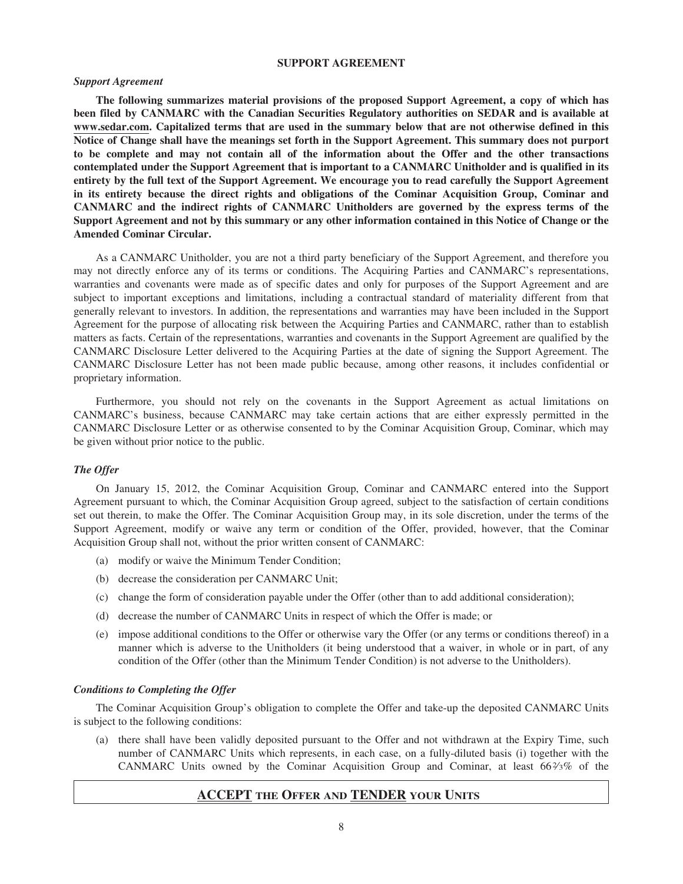#### **SUPPORT AGREEMENT**

#### *Support Agreement*

**The following summarizes material provisions of the proposed Support Agreement, a copy of which has been filed by CANMARC with the Canadian Securities Regulatory authorities on SEDAR and is available at www.sedar.com. Capitalized terms that are used in the summary below that are not otherwise defined in this Notice of Change shall have the meanings set forth in the Support Agreement. This summary does not purport to be complete and may not contain all of the information about the Offer and the other transactions contemplated under the Support Agreement that is important to a CANMARC Unitholder and is qualified in its entirety by the full text of the Support Agreement. We encourage you to read carefully the Support Agreement in its entirety because the direct rights and obligations of the Cominar Acquisition Group, Cominar and CANMARC and the indirect rights of CANMARC Unitholders are governed by the express terms of the Support Agreement and not by this summary or any other information contained in this Notice of Change or the Amended Cominar Circular.**

As a CANMARC Unitholder, you are not a third party beneficiary of the Support Agreement, and therefore you may not directly enforce any of its terms or conditions. The Acquiring Parties and CANMARC's representations, warranties and covenants were made as of specific dates and only for purposes of the Support Agreement and are subject to important exceptions and limitations, including a contractual standard of materiality different from that generally relevant to investors. In addition, the representations and warranties may have been included in the Support Agreement for the purpose of allocating risk between the Acquiring Parties and CANMARC, rather than to establish matters as facts. Certain of the representations, warranties and covenants in the Support Agreement are qualified by the CANMARC Disclosure Letter delivered to the Acquiring Parties at the date of signing the Support Agreement. The CANMARC Disclosure Letter has not been made public because, among other reasons, it includes confidential or proprietary information.

Furthermore, you should not rely on the covenants in the Support Agreement as actual limitations on CANMARC's business, because CANMARC may take certain actions that are either expressly permitted in the CANMARC Disclosure Letter or as otherwise consented to by the Cominar Acquisition Group, Cominar, which may be given without prior notice to the public.

#### *The Offer*

On January 15, 2012, the Cominar Acquisition Group, Cominar and CANMARC entered into the Support Agreement pursuant to which, the Cominar Acquisition Group agreed, subject to the satisfaction of certain conditions set out therein, to make the Offer. The Cominar Acquisition Group may, in its sole discretion, under the terms of the Support Agreement, modify or waive any term or condition of the Offer, provided, however, that the Cominar Acquisition Group shall not, without the prior written consent of CANMARC:

- (a) modify or waive the Minimum Tender Condition;
- (b) decrease the consideration per CANMARC Unit;
- (c) change the form of consideration payable under the Offer (other than to add additional consideration);
- (d) decrease the number of CANMARC Units in respect of which the Offer is made; or
- (e) impose additional conditions to the Offer or otherwise vary the Offer (or any terms or conditions thereof) in a manner which is adverse to the Unitholders (it being understood that a waiver, in whole or in part, of any condition of the Offer (other than the Minimum Tender Condition) is not adverse to the Unitholders).

#### *Conditions to Completing the Offer*

The Cominar Acquisition Group's obligation to complete the Offer and take-up the deposited CANMARC Units is subject to the following conditions:

(a) there shall have been validly deposited pursuant to the Offer and not withdrawn at the Expiry Time, such number of CANMARC Units which represents, in each case, on a fully-diluted basis (i) together with the CANMARC Units owned by the Cominar Acquisition Group and Cominar, at least 662⁄3% of the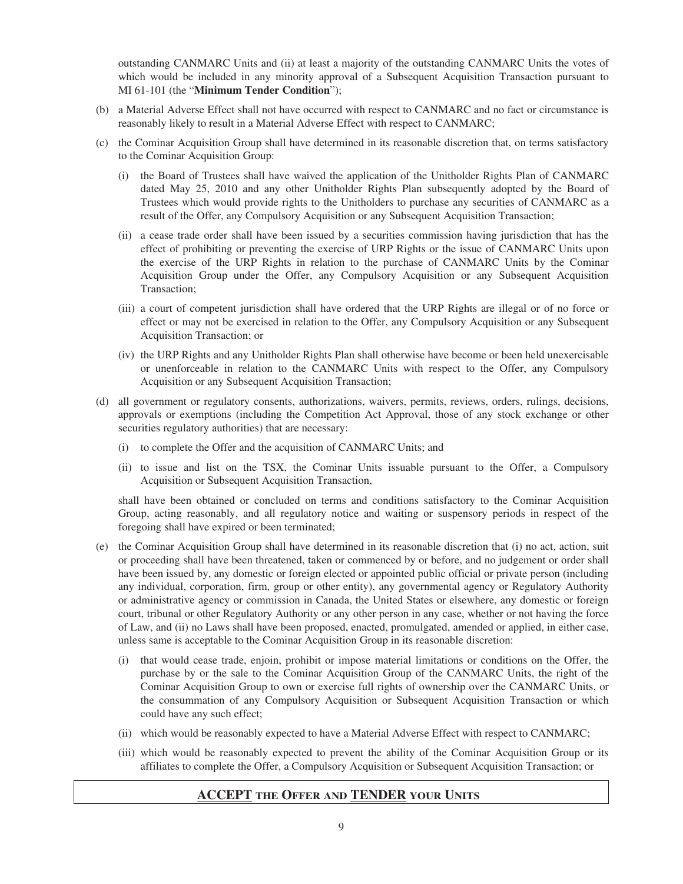outstanding CANMARC Units and (ii) at least a majority of the outstanding CANMARC Units the votes of which would be included in any minority approval of a Subsequent Acquisition Transaction pursuant to MI 61-101 (the "**Minimum Tender Condition**");

- (b) a Material Adverse Effect shall not have occurred with respect to CANMARC and no fact or circumstance is reasonably likely to result in a Material Adverse Effect with respect to CANMARC;
- (c) the Cominar Acquisition Group shall have determined in its reasonable discretion that, on terms satisfactory to the Cominar Acquisition Group:
	- (i) the Board of Trustees shall have waived the application of the Unitholder Rights Plan of CANMARC dated May 25, 2010 and any other Unitholder Rights Plan subsequently adopted by the Board of Trustees which would provide rights to the Unitholders to purchase any securities of CANMARC as a result of the Offer, any Compulsory Acquisition or any Subsequent Acquisition Transaction;
	- (ii) a cease trade order shall have been issued by a securities commission having jurisdiction that has the effect of prohibiting or preventing the exercise of URP Rights or the issue of CANMARC Units upon the exercise of the URP Rights in relation to the purchase of CANMARC Units by the Cominar Acquisition Group under the Offer, any Compulsory Acquisition or any Subsequent Acquisition Transaction;
	- (iii) a court of competent jurisdiction shall have ordered that the URP Rights are illegal or of no force or effect or may not be exercised in relation to the Offer, any Compulsory Acquisition or any Subsequent Acquisition Transaction; or
	- (iv) the URP Rights and any Unitholder Rights Plan shall otherwise have become or been held unexercisable or unenforceable in relation to the CANMARC Units with respect to the Offer, any Compulsory Acquisition or any Subsequent Acquisition Transaction;
- (d) all government or regulatory consents, authorizations, waivers, permits, reviews, orders, rulings, decisions, approvals or exemptions (including the Competition Act Approval, those of any stock exchange or other securities regulatory authorities) that are necessary:
	- (i) to complete the Offer and the acquisition of CANMARC Units; and
	- (ii) to issue and list on the TSX, the Cominar Units issuable pursuant to the Offer, a Compulsory Acquisition or Subsequent Acquisition Transaction,

shall have been obtained or concluded on terms and conditions satisfactory to the Cominar Acquisition Group, acting reasonably, and all regulatory notice and waiting or suspensory periods in respect of the foregoing shall have expired or been terminated;

- (e) the Cominar Acquisition Group shall have determined in its reasonable discretion that (i) no act, action, suit or proceeding shall have been threatened, taken or commenced by or before, and no judgement or order shall have been issued by, any domestic or foreign elected or appointed public official or private person (including any individual, corporation, firm, group or other entity), any governmental agency or Regulatory Authority or administrative agency or commission in Canada, the United States or elsewhere, any domestic or foreign court, tribunal or other Regulatory Authority or any other person in any case, whether or not having the force of Law, and (ii) no Laws shall have been proposed, enacted, promulgated, amended or applied, in either case, unless same is acceptable to the Cominar Acquisition Group in its reasonable discretion:
	- (i) that would cease trade, enjoin, prohibit or impose material limitations or conditions on the Offer, the purchase by or the sale to the Cominar Acquisition Group of the CANMARC Units, the right of the Cominar Acquisition Group to own or exercise full rights of ownership over the CANMARC Units, or the consummation of any Compulsory Acquisition or Subsequent Acquisition Transaction or which could have any such effect;
	- (ii) which would be reasonably expected to have a Material Adverse Effect with respect to CANMARC;
	- (iii) which would be reasonably expected to prevent the ability of the Cominar Acquisition Group or its affiliates to complete the Offer, a Compulsory Acquisition or Subsequent Acquisition Transaction; or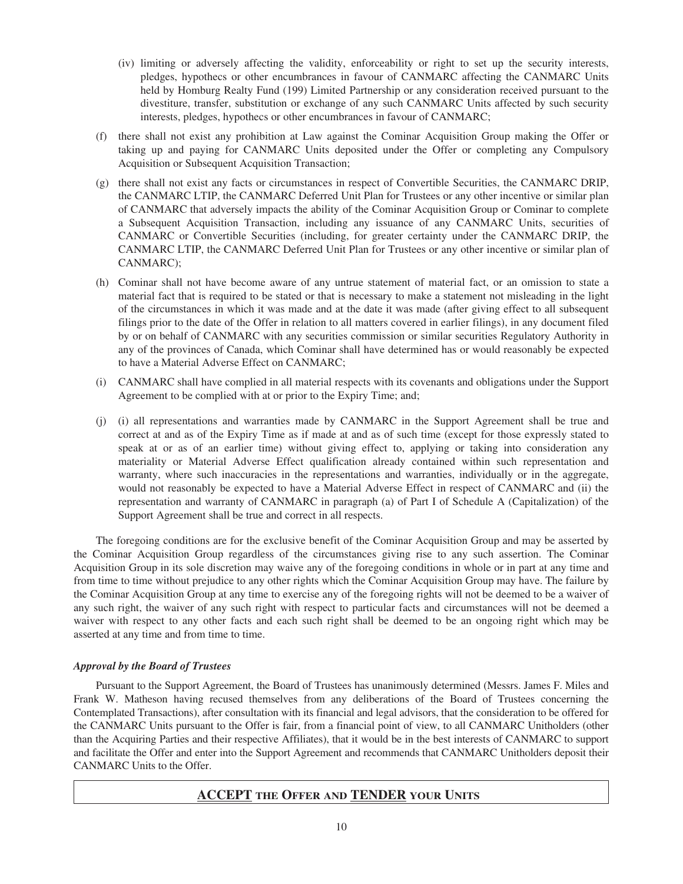- (iv) limiting or adversely affecting the validity, enforceability or right to set up the security interests, pledges, hypothecs or other encumbrances in favour of CANMARC affecting the CANMARC Units held by Homburg Realty Fund (199) Limited Partnership or any consideration received pursuant to the divestiture, transfer, substitution or exchange of any such CANMARC Units affected by such security interests, pledges, hypothecs or other encumbrances in favour of CANMARC;
- (f) there shall not exist any prohibition at Law against the Cominar Acquisition Group making the Offer or taking up and paying for CANMARC Units deposited under the Offer or completing any Compulsory Acquisition or Subsequent Acquisition Transaction;
- (g) there shall not exist any facts or circumstances in respect of Convertible Securities, the CANMARC DRIP, the CANMARC LTIP, the CANMARC Deferred Unit Plan for Trustees or any other incentive or similar plan of CANMARC that adversely impacts the ability of the Cominar Acquisition Group or Cominar to complete a Subsequent Acquisition Transaction, including any issuance of any CANMARC Units, securities of CANMARC or Convertible Securities (including, for greater certainty under the CANMARC DRIP, the CANMARC LTIP, the CANMARC Deferred Unit Plan for Trustees or any other incentive or similar plan of CANMARC);
- (h) Cominar shall not have become aware of any untrue statement of material fact, or an omission to state a material fact that is required to be stated or that is necessary to make a statement not misleading in the light of the circumstances in which it was made and at the date it was made (after giving effect to all subsequent filings prior to the date of the Offer in relation to all matters covered in earlier filings), in any document filed by or on behalf of CANMARC with any securities commission or similar securities Regulatory Authority in any of the provinces of Canada, which Cominar shall have determined has or would reasonably be expected to have a Material Adverse Effect on CANMARC;
- (i) CANMARC shall have complied in all material respects with its covenants and obligations under the Support Agreement to be complied with at or prior to the Expiry Time; and;
- (j) (i) all representations and warranties made by CANMARC in the Support Agreement shall be true and correct at and as of the Expiry Time as if made at and as of such time (except for those expressly stated to speak at or as of an earlier time) without giving effect to, applying or taking into consideration any materiality or Material Adverse Effect qualification already contained within such representation and warranty, where such inaccuracies in the representations and warranties, individually or in the aggregate, would not reasonably be expected to have a Material Adverse Effect in respect of CANMARC and (ii) the representation and warranty of CANMARC in paragraph (a) of Part I of Schedule A (Capitalization) of the Support Agreement shall be true and correct in all respects.

The foregoing conditions are for the exclusive benefit of the Cominar Acquisition Group and may be asserted by the Cominar Acquisition Group regardless of the circumstances giving rise to any such assertion. The Cominar Acquisition Group in its sole discretion may waive any of the foregoing conditions in whole or in part at any time and from time to time without prejudice to any other rights which the Cominar Acquisition Group may have. The failure by the Cominar Acquisition Group at any time to exercise any of the foregoing rights will not be deemed to be a waiver of any such right, the waiver of any such right with respect to particular facts and circumstances will not be deemed a waiver with respect to any other facts and each such right shall be deemed to be an ongoing right which may be asserted at any time and from time to time.

#### *Approval by the Board of Trustees*

Pursuant to the Support Agreement, the Board of Trustees has unanimously determined (Messrs. James F. Miles and Frank W. Matheson having recused themselves from any deliberations of the Board of Trustees concerning the Contemplated Transactions), after consultation with its financial and legal advisors, that the consideration to be offered for the CANMARC Units pursuant to the Offer is fair, from a financial point of view, to all CANMARC Unitholders (other than the Acquiring Parties and their respective Affiliates), that it would be in the best interests of CANMARC to support and facilitate the Offer and enter into the Support Agreement and recommends that CANMARC Unitholders deposit their CANMARC Units to the Offer.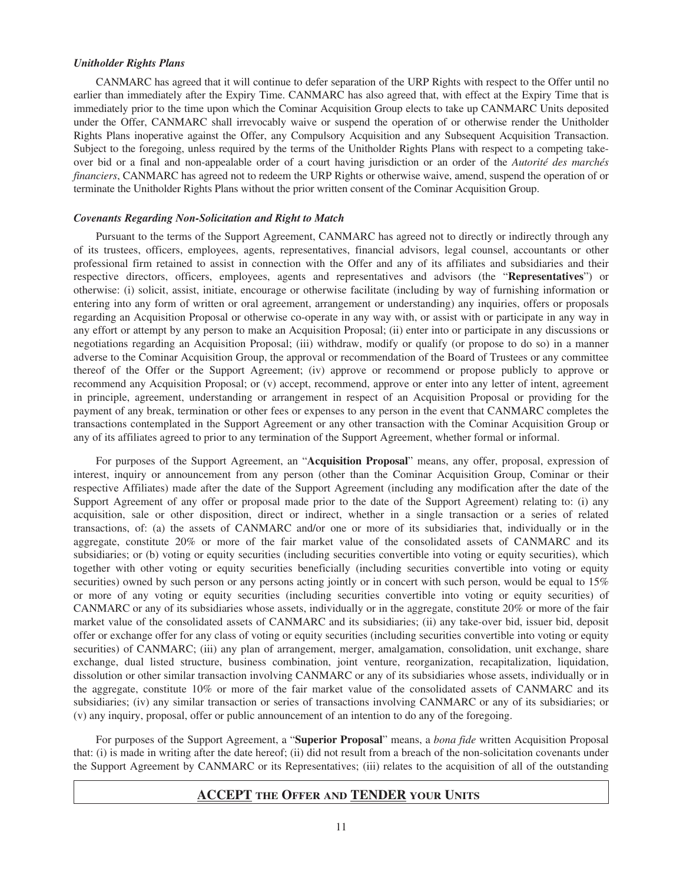#### *Unitholder Rights Plans*

CANMARC has agreed that it will continue to defer separation of the URP Rights with respect to the Offer until no earlier than immediately after the Expiry Time. CANMARC has also agreed that, with effect at the Expiry Time that is immediately prior to the time upon which the Cominar Acquisition Group elects to take up CANMARC Units deposited under the Offer, CANMARC shall irrevocably waive or suspend the operation of or otherwise render the Unitholder Rights Plans inoperative against the Offer, any Compulsory Acquisition and any Subsequent Acquisition Transaction. Subject to the foregoing, unless required by the terms of the Unitholder Rights Plans with respect to a competing takeover bid or a final and non-appealable order of a court having jurisdiction or an order of the *Autorité des marchés financiers*, CANMARC has agreed not to redeem the URP Rights or otherwise waive, amend, suspend the operation of or terminate the Unitholder Rights Plans without the prior written consent of the Cominar Acquisition Group.

#### *Covenants Regarding Non-Solicitation and Right to Match*

Pursuant to the terms of the Support Agreement, CANMARC has agreed not to directly or indirectly through any of its trustees, officers, employees, agents, representatives, financial advisors, legal counsel, accountants or other professional firm retained to assist in connection with the Offer and any of its affiliates and subsidiaries and their respective directors, officers, employees, agents and representatives and advisors (the "**Representatives**") or otherwise: (i) solicit, assist, initiate, encourage or otherwise facilitate (including by way of furnishing information or entering into any form of written or oral agreement, arrangement or understanding) any inquiries, offers or proposals regarding an Acquisition Proposal or otherwise co-operate in any way with, or assist with or participate in any way in any effort or attempt by any person to make an Acquisition Proposal; (ii) enter into or participate in any discussions or negotiations regarding an Acquisition Proposal; (iii) withdraw, modify or qualify (or propose to do so) in a manner adverse to the Cominar Acquisition Group, the approval or recommendation of the Board of Trustees or any committee thereof of the Offer or the Support Agreement; (iv) approve or recommend or propose publicly to approve or recommend any Acquisition Proposal; or (v) accept, recommend, approve or enter into any letter of intent, agreement in principle, agreement, understanding or arrangement in respect of an Acquisition Proposal or providing for the payment of any break, termination or other fees or expenses to any person in the event that CANMARC completes the transactions contemplated in the Support Agreement or any other transaction with the Cominar Acquisition Group or any of its affiliates agreed to prior to any termination of the Support Agreement, whether formal or informal.

For purposes of the Support Agreement, an "**Acquisition Proposal**" means, any offer, proposal, expression of interest, inquiry or announcement from any person (other than the Cominar Acquisition Group, Cominar or their respective Affiliates) made after the date of the Support Agreement (including any modification after the date of the Support Agreement of any offer or proposal made prior to the date of the Support Agreement) relating to: (i) any acquisition, sale or other disposition, direct or indirect, whether in a single transaction or a series of related transactions, of: (a) the assets of CANMARC and/or one or more of its subsidiaries that, individually or in the aggregate, constitute 20% or more of the fair market value of the consolidated assets of CANMARC and its subsidiaries; or (b) voting or equity securities (including securities convertible into voting or equity securities), which together with other voting or equity securities beneficially (including securities convertible into voting or equity securities) owned by such person or any persons acting jointly or in concert with such person, would be equal to 15% or more of any voting or equity securities (including securities convertible into voting or equity securities) of CANMARC or any of its subsidiaries whose assets, individually or in the aggregate, constitute 20% or more of the fair market value of the consolidated assets of CANMARC and its subsidiaries; (ii) any take-over bid, issuer bid, deposit offer or exchange offer for any class of voting or equity securities (including securities convertible into voting or equity securities) of CANMARC; (iii) any plan of arrangement, merger, amalgamation, consolidation, unit exchange, share exchange, dual listed structure, business combination, joint venture, reorganization, recapitalization, liquidation, dissolution or other similar transaction involving CANMARC or any of its subsidiaries whose assets, individually or in the aggregate, constitute 10% or more of the fair market value of the consolidated assets of CANMARC and its subsidiaries; (iv) any similar transaction or series of transactions involving CANMARC or any of its subsidiaries; or (v) any inquiry, proposal, offer or public announcement of an intention to do any of the foregoing.

For purposes of the Support Agreement, a "**Superior Proposal**" means, a *bona fide* written Acquisition Proposal that: (i) is made in writing after the date hereof; (ii) did not result from a breach of the non-solicitation covenants under the Support Agreement by CANMARC or its Representatives; (iii) relates to the acquisition of all of the outstanding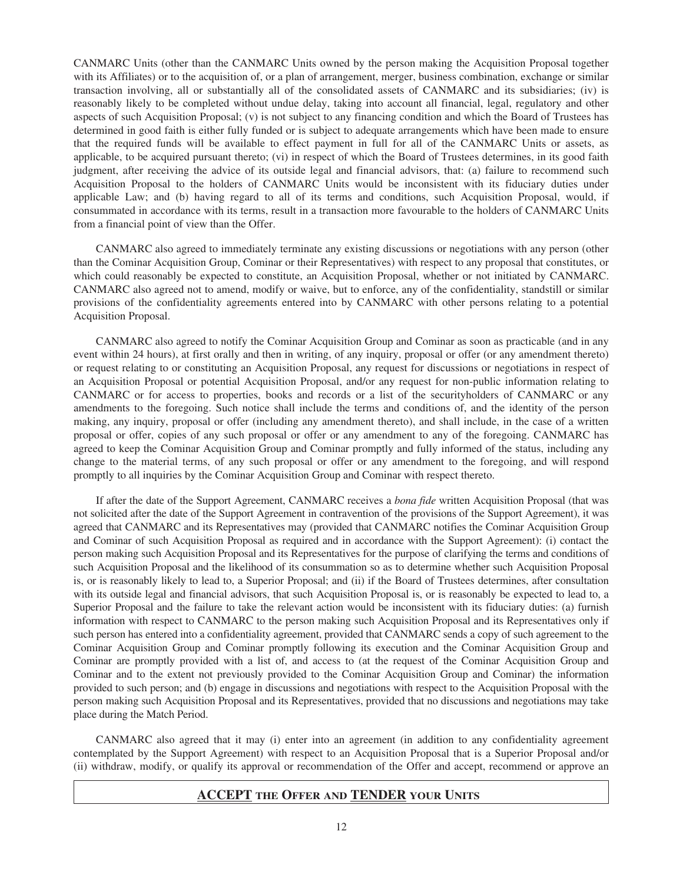CANMARC Units (other than the CANMARC Units owned by the person making the Acquisition Proposal together with its Affiliates) or to the acquisition of, or a plan of arrangement, merger, business combination, exchange or similar transaction involving, all or substantially all of the consolidated assets of CANMARC and its subsidiaries; (iv) is reasonably likely to be completed without undue delay, taking into account all financial, legal, regulatory and other aspects of such Acquisition Proposal; (v) is not subject to any financing condition and which the Board of Trustees has determined in good faith is either fully funded or is subject to adequate arrangements which have been made to ensure that the required funds will be available to effect payment in full for all of the CANMARC Units or assets, as applicable, to be acquired pursuant thereto; (vi) in respect of which the Board of Trustees determines, in its good faith judgment, after receiving the advice of its outside legal and financial advisors, that: (a) failure to recommend such Acquisition Proposal to the holders of CANMARC Units would be inconsistent with its fiduciary duties under applicable Law; and (b) having regard to all of its terms and conditions, such Acquisition Proposal, would, if consummated in accordance with its terms, result in a transaction more favourable to the holders of CANMARC Units from a financial point of view than the Offer.

CANMARC also agreed to immediately terminate any existing discussions or negotiations with any person (other than the Cominar Acquisition Group, Cominar or their Representatives) with respect to any proposal that constitutes, or which could reasonably be expected to constitute, an Acquisition Proposal, whether or not initiated by CANMARC. CANMARC also agreed not to amend, modify or waive, but to enforce, any of the confidentiality, standstill or similar provisions of the confidentiality agreements entered into by CANMARC with other persons relating to a potential Acquisition Proposal.

CANMARC also agreed to notify the Cominar Acquisition Group and Cominar as soon as practicable (and in any event within 24 hours), at first orally and then in writing, of any inquiry, proposal or offer (or any amendment thereto) or request relating to or constituting an Acquisition Proposal, any request for discussions or negotiations in respect of an Acquisition Proposal or potential Acquisition Proposal, and/or any request for non-public information relating to CANMARC or for access to properties, books and records or a list of the securityholders of CANMARC or any amendments to the foregoing. Such notice shall include the terms and conditions of, and the identity of the person making, any inquiry, proposal or offer (including any amendment thereto), and shall include, in the case of a written proposal or offer, copies of any such proposal or offer or any amendment to any of the foregoing. CANMARC has agreed to keep the Cominar Acquisition Group and Cominar promptly and fully informed of the status, including any change to the material terms, of any such proposal or offer or any amendment to the foregoing, and will respond promptly to all inquiries by the Cominar Acquisition Group and Cominar with respect thereto.

If after the date of the Support Agreement, CANMARC receives a *bona fide* written Acquisition Proposal (that was not solicited after the date of the Support Agreement in contravention of the provisions of the Support Agreement), it was agreed that CANMARC and its Representatives may (provided that CANMARC notifies the Cominar Acquisition Group and Cominar of such Acquisition Proposal as required and in accordance with the Support Agreement): (i) contact the person making such Acquisition Proposal and its Representatives for the purpose of clarifying the terms and conditions of such Acquisition Proposal and the likelihood of its consummation so as to determine whether such Acquisition Proposal is, or is reasonably likely to lead to, a Superior Proposal; and (ii) if the Board of Trustees determines, after consultation with its outside legal and financial advisors, that such Acquisition Proposal is, or is reasonably be expected to lead to, a Superior Proposal and the failure to take the relevant action would be inconsistent with its fiduciary duties: (a) furnish information with respect to CANMARC to the person making such Acquisition Proposal and its Representatives only if such person has entered into a confidentiality agreement, provided that CANMARC sends a copy of such agreement to the Cominar Acquisition Group and Cominar promptly following its execution and the Cominar Acquisition Group and Cominar are promptly provided with a list of, and access to (at the request of the Cominar Acquisition Group and Cominar and to the extent not previously provided to the Cominar Acquisition Group and Cominar) the information provided to such person; and (b) engage in discussions and negotiations with respect to the Acquisition Proposal with the person making such Acquisition Proposal and its Representatives, provided that no discussions and negotiations may take place during the Match Period.

CANMARC also agreed that it may (i) enter into an agreement (in addition to any confidentiality agreement contemplated by the Support Agreement) with respect to an Acquisition Proposal that is a Superior Proposal and/or (ii) withdraw, modify, or qualify its approval or recommendation of the Offer and accept, recommend or approve an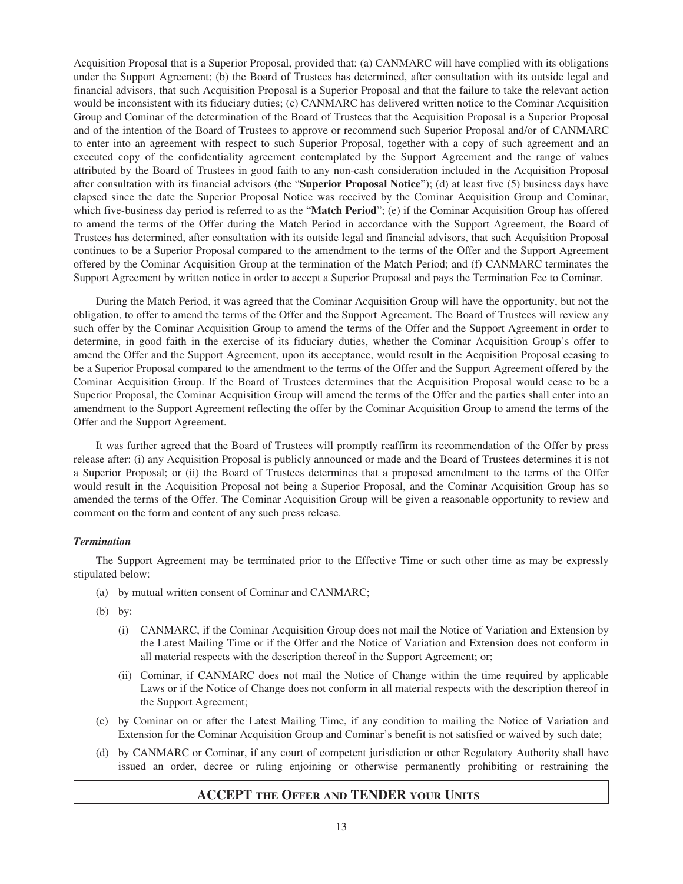Acquisition Proposal that is a Superior Proposal, provided that: (a) CANMARC will have complied with its obligations under the Support Agreement; (b) the Board of Trustees has determined, after consultation with its outside legal and financial advisors, that such Acquisition Proposal is a Superior Proposal and that the failure to take the relevant action would be inconsistent with its fiduciary duties; (c) CANMARC has delivered written notice to the Cominar Acquisition Group and Cominar of the determination of the Board of Trustees that the Acquisition Proposal is a Superior Proposal and of the intention of the Board of Trustees to approve or recommend such Superior Proposal and/or of CANMARC to enter into an agreement with respect to such Superior Proposal, together with a copy of such agreement and an executed copy of the confidentiality agreement contemplated by the Support Agreement and the range of values attributed by the Board of Trustees in good faith to any non-cash consideration included in the Acquisition Proposal after consultation with its financial advisors (the "**Superior Proposal Notice**"); (d) at least five (5) business days have elapsed since the date the Superior Proposal Notice was received by the Cominar Acquisition Group and Cominar, which five-business day period is referred to as the "**Match Period**"; (e) if the Cominar Acquisition Group has offered to amend the terms of the Offer during the Match Period in accordance with the Support Agreement, the Board of Trustees has determined, after consultation with its outside legal and financial advisors, that such Acquisition Proposal continues to be a Superior Proposal compared to the amendment to the terms of the Offer and the Support Agreement offered by the Cominar Acquisition Group at the termination of the Match Period; and (f) CANMARC terminates the Support Agreement by written notice in order to accept a Superior Proposal and pays the Termination Fee to Cominar.

During the Match Period, it was agreed that the Cominar Acquisition Group will have the opportunity, but not the obligation, to offer to amend the terms of the Offer and the Support Agreement. The Board of Trustees will review any such offer by the Cominar Acquisition Group to amend the terms of the Offer and the Support Agreement in order to determine, in good faith in the exercise of its fiduciary duties, whether the Cominar Acquisition Group's offer to amend the Offer and the Support Agreement, upon its acceptance, would result in the Acquisition Proposal ceasing to be a Superior Proposal compared to the amendment to the terms of the Offer and the Support Agreement offered by the Cominar Acquisition Group. If the Board of Trustees determines that the Acquisition Proposal would cease to be a Superior Proposal, the Cominar Acquisition Group will amend the terms of the Offer and the parties shall enter into an amendment to the Support Agreement reflecting the offer by the Cominar Acquisition Group to amend the terms of the Offer and the Support Agreement.

It was further agreed that the Board of Trustees will promptly reaffirm its recommendation of the Offer by press release after: (i) any Acquisition Proposal is publicly announced or made and the Board of Trustees determines it is not a Superior Proposal; or (ii) the Board of Trustees determines that a proposed amendment to the terms of the Offer would result in the Acquisition Proposal not being a Superior Proposal, and the Cominar Acquisition Group has so amended the terms of the Offer. The Cominar Acquisition Group will be given a reasonable opportunity to review and comment on the form and content of any such press release.

#### *Termination*

The Support Agreement may be terminated prior to the Effective Time or such other time as may be expressly stipulated below:

- (a) by mutual written consent of Cominar and CANMARC;
- (b) by:
	- (i) CANMARC, if the Cominar Acquisition Group does not mail the Notice of Variation and Extension by the Latest Mailing Time or if the Offer and the Notice of Variation and Extension does not conform in all material respects with the description thereof in the Support Agreement; or;
	- (ii) Cominar, if CANMARC does not mail the Notice of Change within the time required by applicable Laws or if the Notice of Change does not conform in all material respects with the description thereof in the Support Agreement;
- (c) by Cominar on or after the Latest Mailing Time, if any condition to mailing the Notice of Variation and Extension for the Cominar Acquisition Group and Cominar's benefit is not satisfied or waived by such date;
- (d) by CANMARC or Cominar, if any court of competent jurisdiction or other Regulatory Authority shall have issued an order, decree or ruling enjoining or otherwise permanently prohibiting or restraining the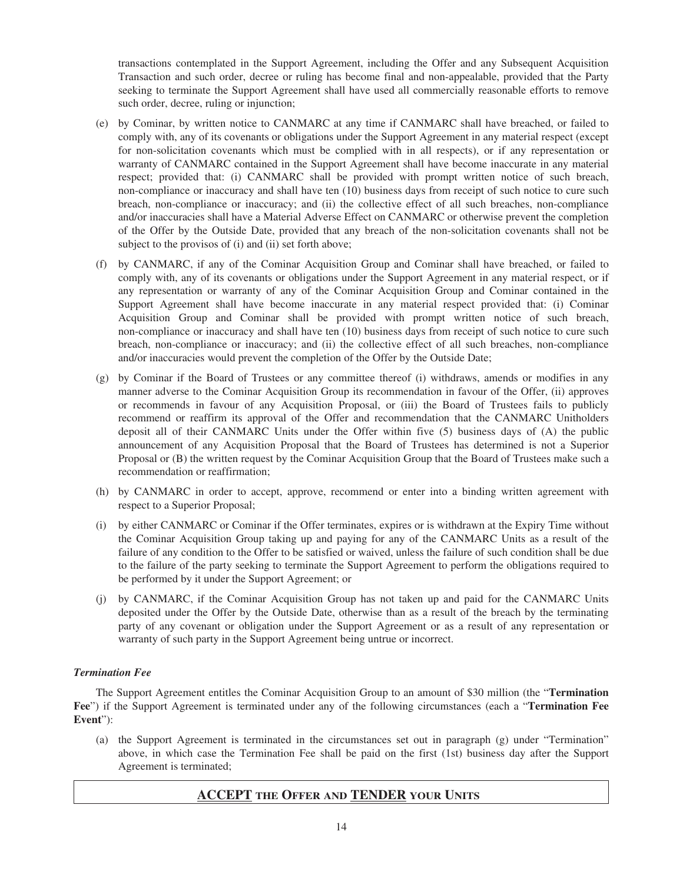transactions contemplated in the Support Agreement, including the Offer and any Subsequent Acquisition Transaction and such order, decree or ruling has become final and non-appealable, provided that the Party seeking to terminate the Support Agreement shall have used all commercially reasonable efforts to remove such order, decree, ruling or injunction;

- (e) by Cominar, by written notice to CANMARC at any time if CANMARC shall have breached, or failed to comply with, any of its covenants or obligations under the Support Agreement in any material respect (except for non-solicitation covenants which must be complied with in all respects), or if any representation or warranty of CANMARC contained in the Support Agreement shall have become inaccurate in any material respect; provided that: (i) CANMARC shall be provided with prompt written notice of such breach, non-compliance or inaccuracy and shall have ten (10) business days from receipt of such notice to cure such breach, non-compliance or inaccuracy; and (ii) the collective effect of all such breaches, non-compliance and/or inaccuracies shall have a Material Adverse Effect on CANMARC or otherwise prevent the completion of the Offer by the Outside Date, provided that any breach of the non-solicitation covenants shall not be subject to the provisos of (i) and (ii) set forth above;
- (f) by CANMARC, if any of the Cominar Acquisition Group and Cominar shall have breached, or failed to comply with, any of its covenants or obligations under the Support Agreement in any material respect, or if any representation or warranty of any of the Cominar Acquisition Group and Cominar contained in the Support Agreement shall have become inaccurate in any material respect provided that: (i) Cominar Acquisition Group and Cominar shall be provided with prompt written notice of such breach, non-compliance or inaccuracy and shall have ten (10) business days from receipt of such notice to cure such breach, non-compliance or inaccuracy; and (ii) the collective effect of all such breaches, non-compliance and/or inaccuracies would prevent the completion of the Offer by the Outside Date;
- (g) by Cominar if the Board of Trustees or any committee thereof (i) withdraws, amends or modifies in any manner adverse to the Cominar Acquisition Group its recommendation in favour of the Offer, (ii) approves or recommends in favour of any Acquisition Proposal, or (iii) the Board of Trustees fails to publicly recommend or reaffirm its approval of the Offer and recommendation that the CANMARC Unitholders deposit all of their CANMARC Units under the Offer within five (5) business days of (A) the public announcement of any Acquisition Proposal that the Board of Trustees has determined is not a Superior Proposal or (B) the written request by the Cominar Acquisition Group that the Board of Trustees make such a recommendation or reaffirmation;
- (h) by CANMARC in order to accept, approve, recommend or enter into a binding written agreement with respect to a Superior Proposal;
- (i) by either CANMARC or Cominar if the Offer terminates, expires or is withdrawn at the Expiry Time without the Cominar Acquisition Group taking up and paying for any of the CANMARC Units as a result of the failure of any condition to the Offer to be satisfied or waived, unless the failure of such condition shall be due to the failure of the party seeking to terminate the Support Agreement to perform the obligations required to be performed by it under the Support Agreement; or
- (j) by CANMARC, if the Cominar Acquisition Group has not taken up and paid for the CANMARC Units deposited under the Offer by the Outside Date, otherwise than as a result of the breach by the terminating party of any covenant or obligation under the Support Agreement or as a result of any representation or warranty of such party in the Support Agreement being untrue or incorrect.

#### *Termination Fee*

The Support Agreement entitles the Cominar Acquisition Group to an amount of \$30 million (the "**Termination Fee**") if the Support Agreement is terminated under any of the following circumstances (each a "**Termination Fee Event**"):

(a) the Support Agreement is terminated in the circumstances set out in paragraph (g) under "Termination" above, in which case the Termination Fee shall be paid on the first (1st) business day after the Support Agreement is terminated;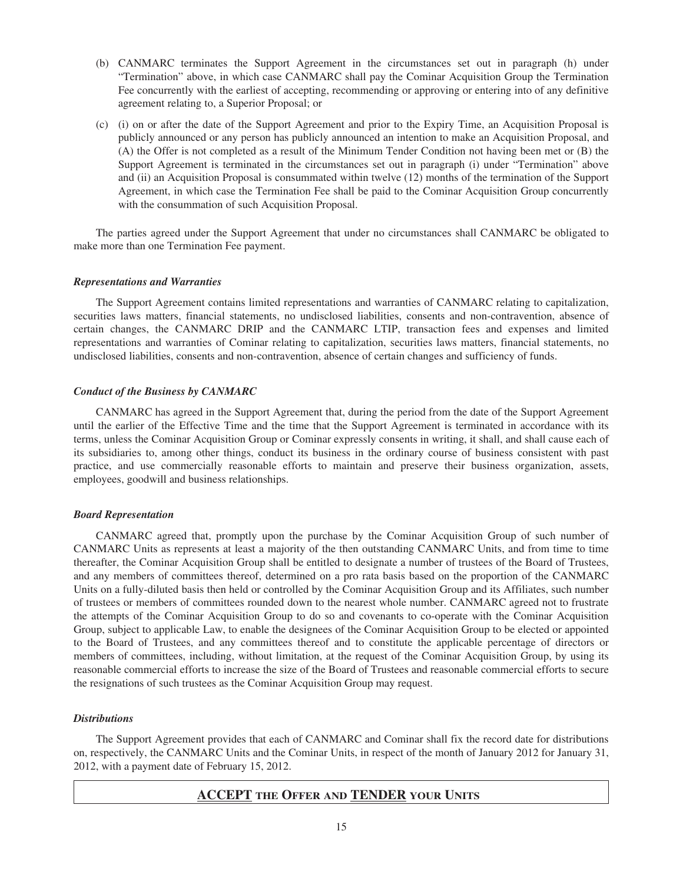- (b) CANMARC terminates the Support Agreement in the circumstances set out in paragraph (h) under "Termination" above, in which case CANMARC shall pay the Cominar Acquisition Group the Termination Fee concurrently with the earliest of accepting, recommending or approving or entering into of any definitive agreement relating to, a Superior Proposal; or
- (c) (i) on or after the date of the Support Agreement and prior to the Expiry Time, an Acquisition Proposal is publicly announced or any person has publicly announced an intention to make an Acquisition Proposal, and (A) the Offer is not completed as a result of the Minimum Tender Condition not having been met or (B) the Support Agreement is terminated in the circumstances set out in paragraph (i) under "Termination" above and (ii) an Acquisition Proposal is consummated within twelve (12) months of the termination of the Support Agreement, in which case the Termination Fee shall be paid to the Cominar Acquisition Group concurrently with the consummation of such Acquisition Proposal.

The parties agreed under the Support Agreement that under no circumstances shall CANMARC be obligated to make more than one Termination Fee payment.

#### *Representations and Warranties*

The Support Agreement contains limited representations and warranties of CANMARC relating to capitalization, securities laws matters, financial statements, no undisclosed liabilities, consents and non-contravention, absence of certain changes, the CANMARC DRIP and the CANMARC LTIP, transaction fees and expenses and limited representations and warranties of Cominar relating to capitalization, securities laws matters, financial statements, no undisclosed liabilities, consents and non-contravention, absence of certain changes and sufficiency of funds.

#### *Conduct of the Business by CANMARC*

CANMARC has agreed in the Support Agreement that, during the period from the date of the Support Agreement until the earlier of the Effective Time and the time that the Support Agreement is terminated in accordance with its terms, unless the Cominar Acquisition Group or Cominar expressly consents in writing, it shall, and shall cause each of its subsidiaries to, among other things, conduct its business in the ordinary course of business consistent with past practice, and use commercially reasonable efforts to maintain and preserve their business organization, assets, employees, goodwill and business relationships.

#### *Board Representation*

CANMARC agreed that, promptly upon the purchase by the Cominar Acquisition Group of such number of CANMARC Units as represents at least a majority of the then outstanding CANMARC Units, and from time to time thereafter, the Cominar Acquisition Group shall be entitled to designate a number of trustees of the Board of Trustees, and any members of committees thereof, determined on a pro rata basis based on the proportion of the CANMARC Units on a fully-diluted basis then held or controlled by the Cominar Acquisition Group and its Affiliates, such number of trustees or members of committees rounded down to the nearest whole number. CANMARC agreed not to frustrate the attempts of the Cominar Acquisition Group to do so and covenants to co-operate with the Cominar Acquisition Group, subject to applicable Law, to enable the designees of the Cominar Acquisition Group to be elected or appointed to the Board of Trustees, and any committees thereof and to constitute the applicable percentage of directors or members of committees, including, without limitation, at the request of the Cominar Acquisition Group, by using its reasonable commercial efforts to increase the size of the Board of Trustees and reasonable commercial efforts to secure the resignations of such trustees as the Cominar Acquisition Group may request.

#### *Distributions*

The Support Agreement provides that each of CANMARC and Cominar shall fix the record date for distributions on, respectively, the CANMARC Units and the Cominar Units, in respect of the month of January 2012 for January 31, 2012, with a payment date of February 15, 2012.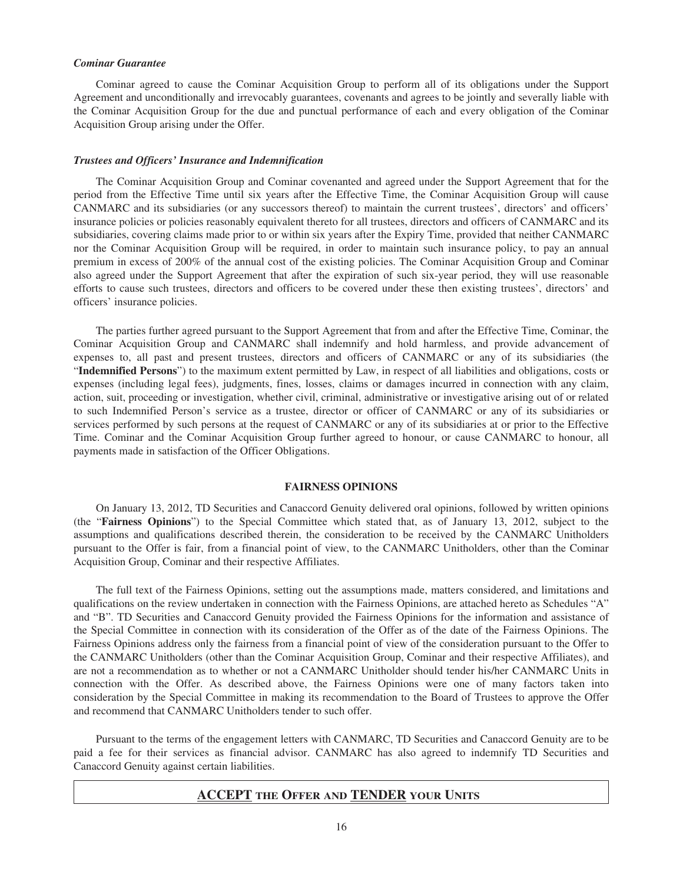#### *Cominar Guarantee*

Cominar agreed to cause the Cominar Acquisition Group to perform all of its obligations under the Support Agreement and unconditionally and irrevocably guarantees, covenants and agrees to be jointly and severally liable with the Cominar Acquisition Group for the due and punctual performance of each and every obligation of the Cominar Acquisition Group arising under the Offer.

#### *Trustees and Officers' Insurance and Indemnification*

The Cominar Acquisition Group and Cominar covenanted and agreed under the Support Agreement that for the period from the Effective Time until six years after the Effective Time, the Cominar Acquisition Group will cause CANMARC and its subsidiaries (or any successors thereof) to maintain the current trustees', directors' and officers' insurance policies or policies reasonably equivalent thereto for all trustees, directors and officers of CANMARC and its subsidiaries, covering claims made prior to or within six years after the Expiry Time, provided that neither CANMARC nor the Cominar Acquisition Group will be required, in order to maintain such insurance policy, to pay an annual premium in excess of 200% of the annual cost of the existing policies. The Cominar Acquisition Group and Cominar also agreed under the Support Agreement that after the expiration of such six-year period, they will use reasonable efforts to cause such trustees, directors and officers to be covered under these then existing trustees', directors' and officers' insurance policies.

The parties further agreed pursuant to the Support Agreement that from and after the Effective Time, Cominar, the Cominar Acquisition Group and CANMARC shall indemnify and hold harmless, and provide advancement of expenses to, all past and present trustees, directors and officers of CANMARC or any of its subsidiaries (the "**Indemnified Persons**") to the maximum extent permitted by Law, in respect of all liabilities and obligations, costs or expenses (including legal fees), judgments, fines, losses, claims or damages incurred in connection with any claim, action, suit, proceeding or investigation, whether civil, criminal, administrative or investigative arising out of or related to such Indemnified Person's service as a trustee, director or officer of CANMARC or any of its subsidiaries or services performed by such persons at the request of CANMARC or any of its subsidiaries at or prior to the Effective Time. Cominar and the Cominar Acquisition Group further agreed to honour, or cause CANMARC to honour, all payments made in satisfaction of the Officer Obligations.

#### **FAIRNESS OPINIONS**

On January 13, 2012, TD Securities and Canaccord Genuity delivered oral opinions, followed by written opinions (the "**Fairness Opinions**") to the Special Committee which stated that, as of January 13, 2012, subject to the assumptions and qualifications described therein, the consideration to be received by the CANMARC Unitholders pursuant to the Offer is fair, from a financial point of view, to the CANMARC Unitholders, other than the Cominar Acquisition Group, Cominar and their respective Affiliates.

The full text of the Fairness Opinions, setting out the assumptions made, matters considered, and limitations and qualifications on the review undertaken in connection with the Fairness Opinions, are attached hereto as Schedules "A" and "B". TD Securities and Canaccord Genuity provided the Fairness Opinions for the information and assistance of the Special Committee in connection with its consideration of the Offer as of the date of the Fairness Opinions. The Fairness Opinions address only the fairness from a financial point of view of the consideration pursuant to the Offer to the CANMARC Unitholders (other than the Cominar Acquisition Group, Cominar and their respective Affiliates), and are not a recommendation as to whether or not a CANMARC Unitholder should tender his/her CANMARC Units in connection with the Offer. As described above, the Fairness Opinions were one of many factors taken into consideration by the Special Committee in making its recommendation to the Board of Trustees to approve the Offer and recommend that CANMARC Unitholders tender to such offer.

Pursuant to the terms of the engagement letters with CANMARC, TD Securities and Canaccord Genuity are to be paid a fee for their services as financial advisor. CANMARC has also agreed to indemnify TD Securities and Canaccord Genuity against certain liabilities.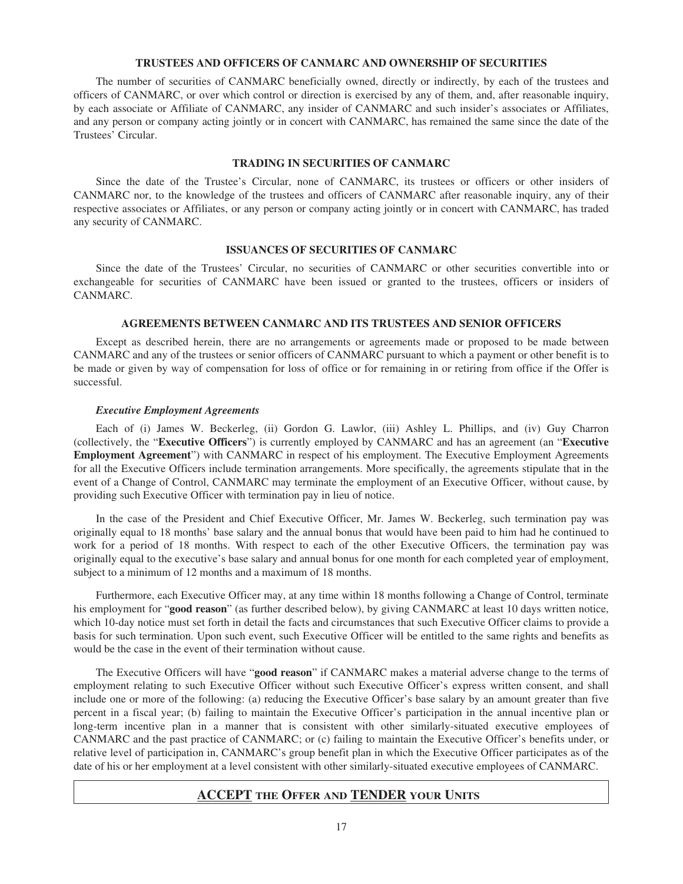#### **TRUSTEES AND OFFICERS OF CANMARC AND OWNERSHIP OF SECURITIES**

The number of securities of CANMARC beneficially owned, directly or indirectly, by each of the trustees and officers of CANMARC, or over which control or direction is exercised by any of them, and, after reasonable inquiry, by each associate or Affiliate of CANMARC, any insider of CANMARC and such insider's associates or Affiliates, and any person or company acting jointly or in concert with CANMARC, has remained the same since the date of the Trustees' Circular.

#### **TRADING IN SECURITIES OF CANMARC**

Since the date of the Trustee's Circular, none of CANMARC, its trustees or officers or other insiders of CANMARC nor, to the knowledge of the trustees and officers of CANMARC after reasonable inquiry, any of their respective associates or Affiliates, or any person or company acting jointly or in concert with CANMARC, has traded any security of CANMARC.

#### **ISSUANCES OF SECURITIES OF CANMARC**

Since the date of the Trustees' Circular, no securities of CANMARC or other securities convertible into or exchangeable for securities of CANMARC have been issued or granted to the trustees, officers or insiders of CANMARC.

#### **AGREEMENTS BETWEEN CANMARC AND ITS TRUSTEES AND SENIOR OFFICERS**

Except as described herein, there are no arrangements or agreements made or proposed to be made between CANMARC and any of the trustees or senior officers of CANMARC pursuant to which a payment or other benefit is to be made or given by way of compensation for loss of office or for remaining in or retiring from office if the Offer is successful.

#### *Executive Employment Agreements*

Each of (i) James W. Beckerleg, (ii) Gordon G. Lawlor, (iii) Ashley L. Phillips, and (iv) Guy Charron (collectively, the "**Executive Officers**") is currently employed by CANMARC and has an agreement (an "**Executive Employment Agreement**") with CANMARC in respect of his employment. The Executive Employment Agreements for all the Executive Officers include termination arrangements. More specifically, the agreements stipulate that in the event of a Change of Control, CANMARC may terminate the employment of an Executive Officer, without cause, by providing such Executive Officer with termination pay in lieu of notice.

In the case of the President and Chief Executive Officer, Mr. James W. Beckerleg, such termination pay was originally equal to 18 months' base salary and the annual bonus that would have been paid to him had he continued to work for a period of 18 months. With respect to each of the other Executive Officers, the termination pay was originally equal to the executive's base salary and annual bonus for one month for each completed year of employment, subject to a minimum of 12 months and a maximum of 18 months.

Furthermore, each Executive Officer may, at any time within 18 months following a Change of Control, terminate his employment for "**good reason**" (as further described below), by giving CANMARC at least 10 days written notice, which 10-day notice must set forth in detail the facts and circumstances that such Executive Officer claims to provide a basis for such termination. Upon such event, such Executive Officer will be entitled to the same rights and benefits as would be the case in the event of their termination without cause.

The Executive Officers will have "**good reason**" if CANMARC makes a material adverse change to the terms of employment relating to such Executive Officer without such Executive Officer's express written consent, and shall include one or more of the following: (a) reducing the Executive Officer's base salary by an amount greater than five percent in a fiscal year; (b) failing to maintain the Executive Officer's participation in the annual incentive plan or long-term incentive plan in a manner that is consistent with other similarly-situated executive employees of CANMARC and the past practice of CANMARC; or (c) failing to maintain the Executive Officer's benefits under, or relative level of participation in, CANMARC's group benefit plan in which the Executive Officer participates as of the date of his or her employment at a level consistent with other similarly-situated executive employees of CANMARC.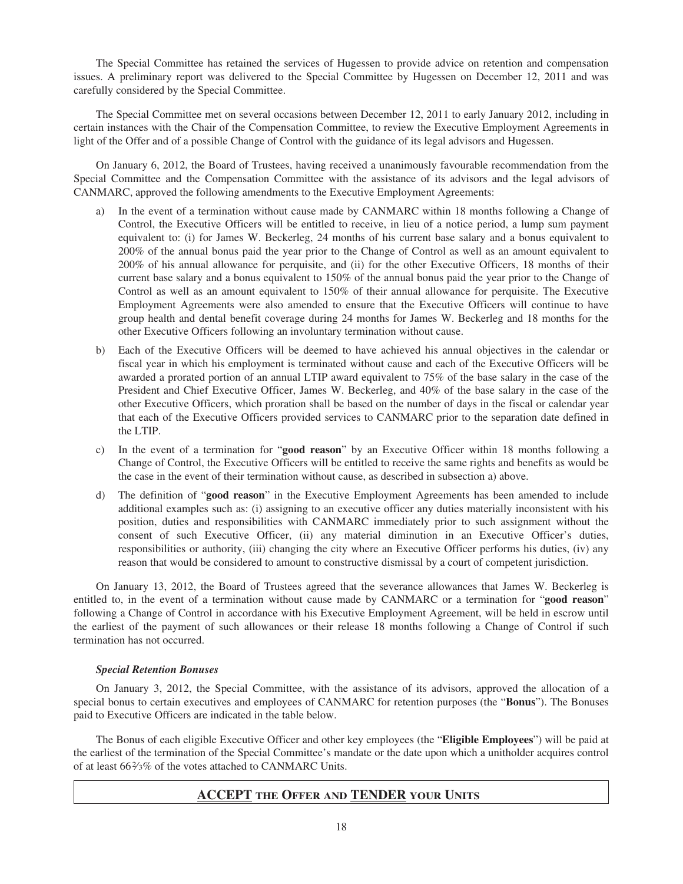The Special Committee has retained the services of Hugessen to provide advice on retention and compensation issues. A preliminary report was delivered to the Special Committee by Hugessen on December 12, 2011 and was carefully considered by the Special Committee.

The Special Committee met on several occasions between December 12, 2011 to early January 2012, including in certain instances with the Chair of the Compensation Committee, to review the Executive Employment Agreements in light of the Offer and of a possible Change of Control with the guidance of its legal advisors and Hugessen.

On January 6, 2012, the Board of Trustees, having received a unanimously favourable recommendation from the Special Committee and the Compensation Committee with the assistance of its advisors and the legal advisors of CANMARC, approved the following amendments to the Executive Employment Agreements:

- a) In the event of a termination without cause made by CANMARC within 18 months following a Change of Control, the Executive Officers will be entitled to receive, in lieu of a notice period, a lump sum payment equivalent to: (i) for James W. Beckerleg, 24 months of his current base salary and a bonus equivalent to 200% of the annual bonus paid the year prior to the Change of Control as well as an amount equivalent to 200% of his annual allowance for perquisite, and (ii) for the other Executive Officers, 18 months of their current base salary and a bonus equivalent to 150% of the annual bonus paid the year prior to the Change of Control as well as an amount equivalent to 150% of their annual allowance for perquisite. The Executive Employment Agreements were also amended to ensure that the Executive Officers will continue to have group health and dental benefit coverage during 24 months for James W. Beckerleg and 18 months for the other Executive Officers following an involuntary termination without cause.
- b) Each of the Executive Officers will be deemed to have achieved his annual objectives in the calendar or fiscal year in which his employment is terminated without cause and each of the Executive Officers will be awarded a prorated portion of an annual LTIP award equivalent to 75% of the base salary in the case of the President and Chief Executive Officer, James W. Beckerleg, and 40% of the base salary in the case of the other Executive Officers, which proration shall be based on the number of days in the fiscal or calendar year that each of the Executive Officers provided services to CANMARC prior to the separation date defined in the LTIP.
- c) In the event of a termination for "**good reason**" by an Executive Officer within 18 months following a Change of Control, the Executive Officers will be entitled to receive the same rights and benefits as would be the case in the event of their termination without cause, as described in subsection a) above.
- d) The definition of "**good reason**" in the Executive Employment Agreements has been amended to include additional examples such as: (i) assigning to an executive officer any duties materially inconsistent with his position, duties and responsibilities with CANMARC immediately prior to such assignment without the consent of such Executive Officer, (ii) any material diminution in an Executive Officer's duties, responsibilities or authority, (iii) changing the city where an Executive Officer performs his duties, (iv) any reason that would be considered to amount to constructive dismissal by a court of competent jurisdiction.

On January 13, 2012, the Board of Trustees agreed that the severance allowances that James W. Beckerleg is entitled to, in the event of a termination without cause made by CANMARC or a termination for "**good reason**" following a Change of Control in accordance with his Executive Employment Agreement, will be held in escrow until the earliest of the payment of such allowances or their release 18 months following a Change of Control if such termination has not occurred.

#### *Special Retention Bonuses*

On January 3, 2012, the Special Committee, with the assistance of its advisors, approved the allocation of a special bonus to certain executives and employees of CANMARC for retention purposes (the "**Bonus**"). The Bonuses paid to Executive Officers are indicated in the table below.

The Bonus of each eligible Executive Officer and other key employees (the "**Eligible Employees**") will be paid at the earliest of the termination of the Special Committee's mandate or the date upon which a unitholder acquires control of at least 662⁄3% of the votes attached to CANMARC Units.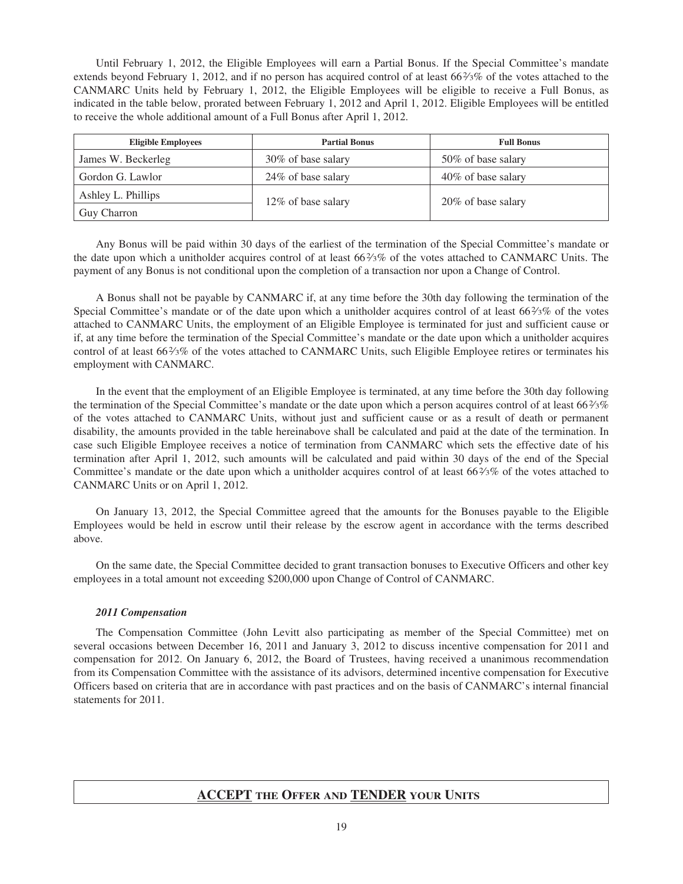Until February 1, 2012, the Eligible Employees will earn a Partial Bonus. If the Special Committee's mandate extends beyond February 1, 2012, and if no person has acquired control of at least  $66\frac{2}{3}\%$  of the votes attached to the CANMARC Units held by February 1, 2012, the Eligible Employees will be eligible to receive a Full Bonus, as indicated in the table below, prorated between February 1, 2012 and April 1, 2012. Eligible Employees will be entitled to receive the whole additional amount of a Full Bonus after April 1, 2012.

| <b>Eligible Employees</b> | <b>Partial Bonus</b> | <b>Full Bonus</b>   |
|---------------------------|----------------------|---------------------|
| James W. Beckerleg        | 30% of base salary   | 50\% of base salary |
| Gordon G. Lawlor          | 24% of base salary   | 40% of base salary  |
| Ashley L. Phillips        | 12\% of base salary  | 20% of base salary  |
| Guy Charron               |                      |                     |

Any Bonus will be paid within 30 days of the earliest of the termination of the Special Committee's mandate or the date upon which a unitholder acquires control of at least 66%% of the votes attached to CANMARC Units. The payment of any Bonus is not conditional upon the completion of a transaction nor upon a Change of Control.

A Bonus shall not be payable by CANMARC if, at any time before the 30th day following the termination of the Special Committee's mandate or of the date upon which a unitholder acquires control of at least 66%% of the votes attached to CANMARC Units, the employment of an Eligible Employee is terminated for just and sufficient cause or if, at any time before the termination of the Special Committee's mandate or the date upon which a unitholder acquires control of at least 66%% of the votes attached to CANMARC Units, such Eligible Employee retires or terminates his employment with CANMARC.

In the event that the employment of an Eligible Employee is terminated, at any time before the 30th day following the termination of the Special Committee's mandate or the date upon which a person acquires control of at least 66%3% of the votes attached to CANMARC Units, without just and sufficient cause or as a result of death or permanent disability, the amounts provided in the table hereinabove shall be calculated and paid at the date of the termination. In case such Eligible Employee receives a notice of termination from CANMARC which sets the effective date of his termination after April 1, 2012, such amounts will be calculated and paid within 30 days of the end of the Special Committee's mandate or the date upon which a unitholder acquires control of at least 662⁄3% of the votes attached to CANMARC Units or on April 1, 2012.

On January 13, 2012, the Special Committee agreed that the amounts for the Bonuses payable to the Eligible Employees would be held in escrow until their release by the escrow agent in accordance with the terms described above.

On the same date, the Special Committee decided to grant transaction bonuses to Executive Officers and other key employees in a total amount not exceeding \$200,000 upon Change of Control of CANMARC.

#### *2011 Compensation*

The Compensation Committee (John Levitt also participating as member of the Special Committee) met on several occasions between December 16, 2011 and January 3, 2012 to discuss incentive compensation for 2011 and compensation for 2012. On January 6, 2012, the Board of Trustees, having received a unanimous recommendation from its Compensation Committee with the assistance of its advisors, determined incentive compensation for Executive Officers based on criteria that are in accordance with past practices and on the basis of CANMARC's internal financial statements for 2011.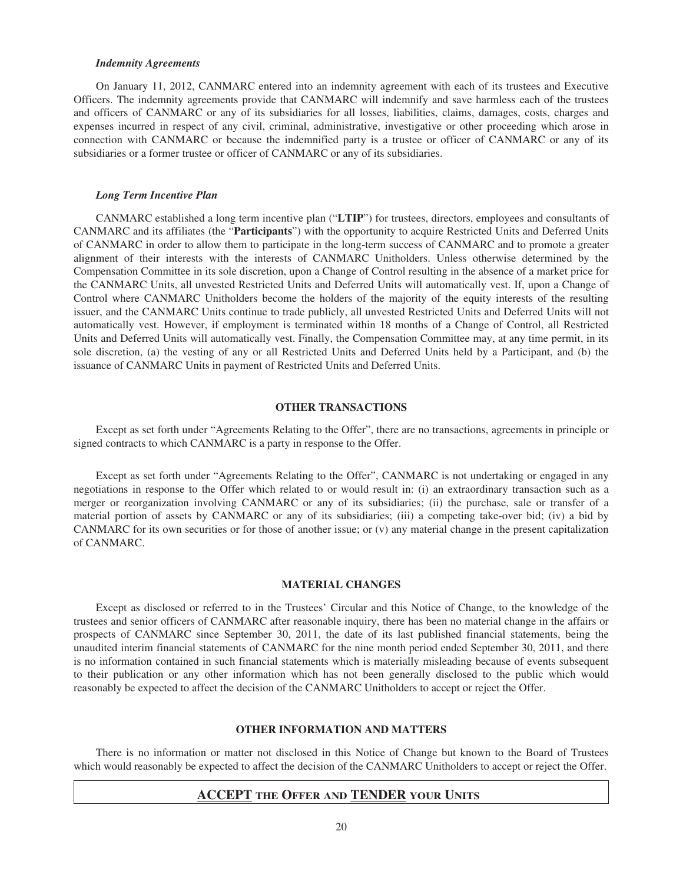#### *Indemnity Agreements*

On January 11, 2012, CANMARC entered into an indemnity agreement with each of its trustees and Executive Officers. The indemnity agreements provide that CANMARC will indemnify and save harmless each of the trustees and officers of CANMARC or any of its subsidiaries for all losses, liabilities, claims, damages, costs, charges and expenses incurred in respect of any civil, criminal, administrative, investigative or other proceeding which arose in connection with CANMARC or because the indemnified party is a trustee or officer of CANMARC or any of its subsidiaries or a former trustee or officer of CANMARC or any of its subsidiaries.

#### *Long Term Incentive Plan*

CANMARC established a long term incentive plan ("**LTIP**") for trustees, directors, employees and consultants of CANMARC and its affiliates (the "**Participants**") with the opportunity to acquire Restricted Units and Deferred Units of CANMARC in order to allow them to participate in the long-term success of CANMARC and to promote a greater alignment of their interests with the interests of CANMARC Unitholders. Unless otherwise determined by the Compensation Committee in its sole discretion, upon a Change of Control resulting in the absence of a market price for the CANMARC Units, all unvested Restricted Units and Deferred Units will automatically vest. If, upon a Change of Control where CANMARC Unitholders become the holders of the majority of the equity interests of the resulting issuer, and the CANMARC Units continue to trade publicly, all unvested Restricted Units and Deferred Units will not automatically vest. However, if employment is terminated within 18 months of a Change of Control, all Restricted Units and Deferred Units will automatically vest. Finally, the Compensation Committee may, at any time permit, in its sole discretion, (a) the vesting of any or all Restricted Units and Deferred Units held by a Participant, and (b) the issuance of CANMARC Units in payment of Restricted Units and Deferred Units.

#### **OTHER TRANSACTIONS**

Except as set forth under "Agreements Relating to the Offer", there are no transactions, agreements in principle or signed contracts to which CANMARC is a party in response to the Offer.

Except as set forth under "Agreements Relating to the Offer", CANMARC is not undertaking or engaged in any negotiations in response to the Offer which related to or would result in: (i) an extraordinary transaction such as a merger or reorganization involving CANMARC or any of its subsidiaries; (ii) the purchase, sale or transfer of a material portion of assets by CANMARC or any of its subsidiaries; (iii) a competing take-over bid; (iv) a bid by CANMARC for its own securities or for those of another issue; or (v) any material change in the present capitalization of CANMARC.

#### **MATERIAL CHANGES**

Except as disclosed or referred to in the Trustees' Circular and this Notice of Change, to the knowledge of the trustees and senior officers of CANMARC after reasonable inquiry, there has been no material change in the affairs or prospects of CANMARC since September 30, 2011, the date of its last published financial statements, being the unaudited interim financial statements of CANMARC for the nine month period ended September 30, 2011, and there is no information contained in such financial statements which is materially misleading because of events subsequent to their publication or any other information which has not been generally disclosed to the public which would reasonably be expected to affect the decision of the CANMARC Unitholders to accept or reject the Offer.

#### **OTHER INFORMATION AND MATTERS**

There is no information or matter not disclosed in this Notice of Change but known to the Board of Trustees which would reasonably be expected to affect the decision of the CANMARC Unitholders to accept or reject the Offer.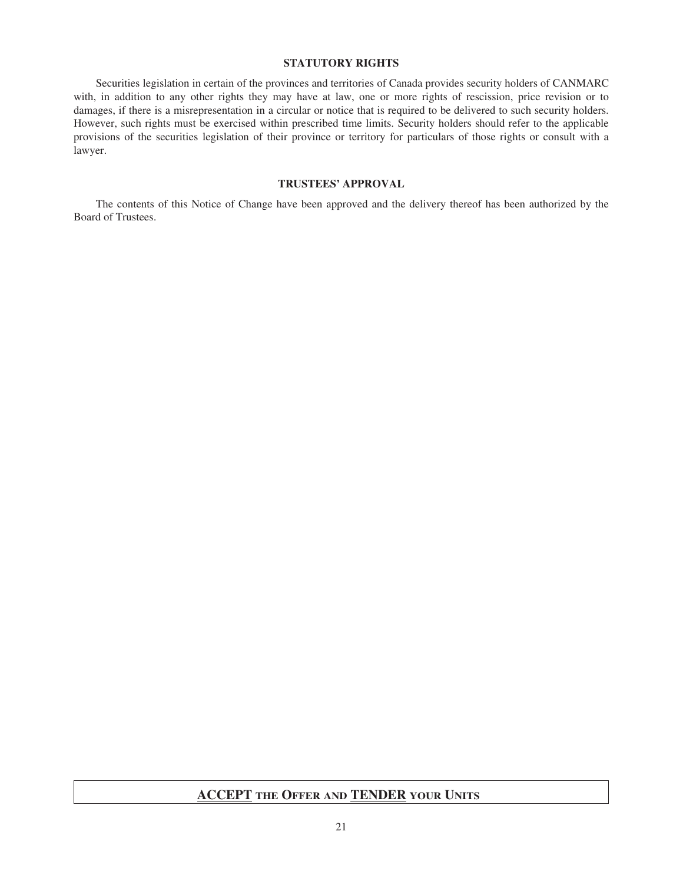#### **STATUTORY RIGHTS**

Securities legislation in certain of the provinces and territories of Canada provides security holders of CANMARC with, in addition to any other rights they may have at law, one or more rights of rescission, price revision or to damages, if there is a misrepresentation in a circular or notice that is required to be delivered to such security holders. However, such rights must be exercised within prescribed time limits. Security holders should refer to the applicable provisions of the securities legislation of their province or territory for particulars of those rights or consult with a lawyer.

#### **TRUSTEES' APPROVAL**

The contents of this Notice of Change have been approved and the delivery thereof has been authorized by the Board of Trustees.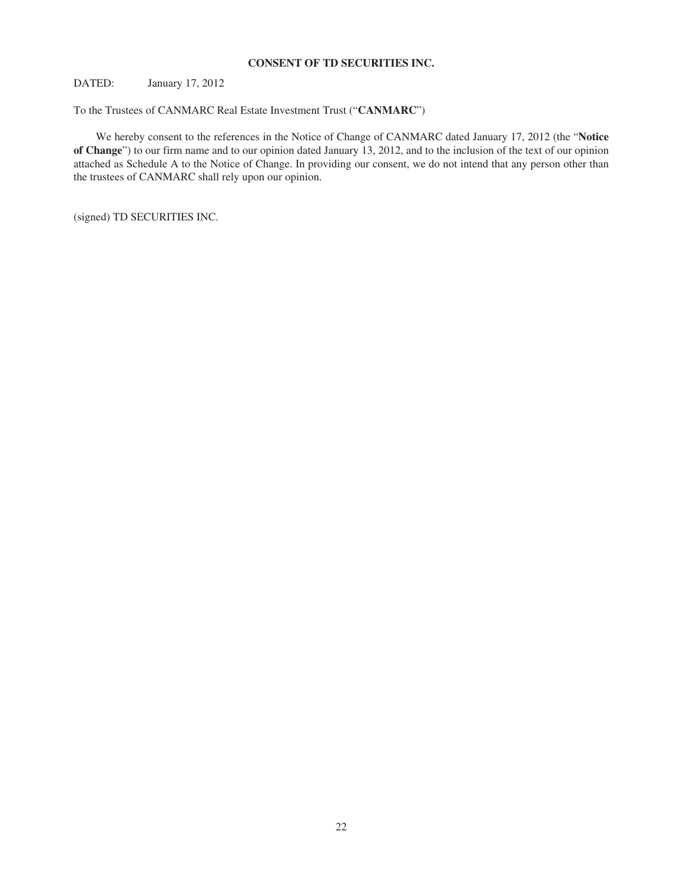#### **CONSENT OF TD SECURITIES INC.**

DATED: January 17, 2012

To the Trustees of CANMARC Real Estate Investment Trust ("**CANMARC**")

We hereby consent to the references in the Notice of Change of CANMARC dated January 17, 2012 (the "**Notice of Change**") to our firm name and to our opinion dated January 13, 2012, and to the inclusion of the text of our opinion attached as Schedule A to the Notice of Change. In providing our consent, we do not intend that any person other than the trustees of CANMARC shall rely upon our opinion.

(signed) TD SECURITIES INC.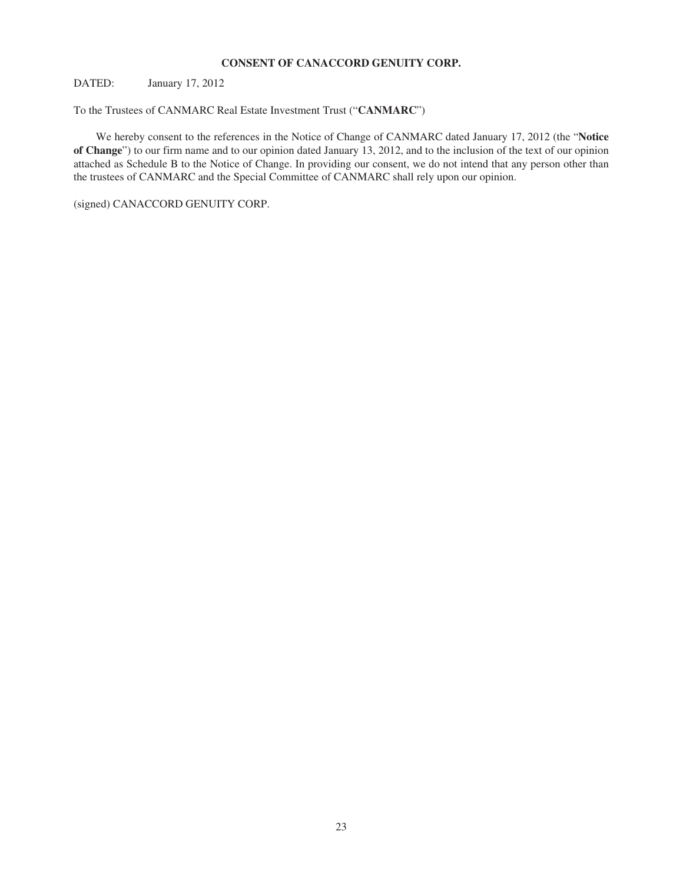#### **CONSENT OF CANACCORD GENUITY CORP.**

DATED: January 17, 2012

To the Trustees of CANMARC Real Estate Investment Trust ("**CANMARC**")

We hereby consent to the references in the Notice of Change of CANMARC dated January 17, 2012 (the "**Notice of Change**") to our firm name and to our opinion dated January 13, 2012, and to the inclusion of the text of our opinion attached as Schedule B to the Notice of Change. In providing our consent, we do not intend that any person other than the trustees of CANMARC and the Special Committee of CANMARC shall rely upon our opinion.

(signed) CANACCORD GENUITY CORP.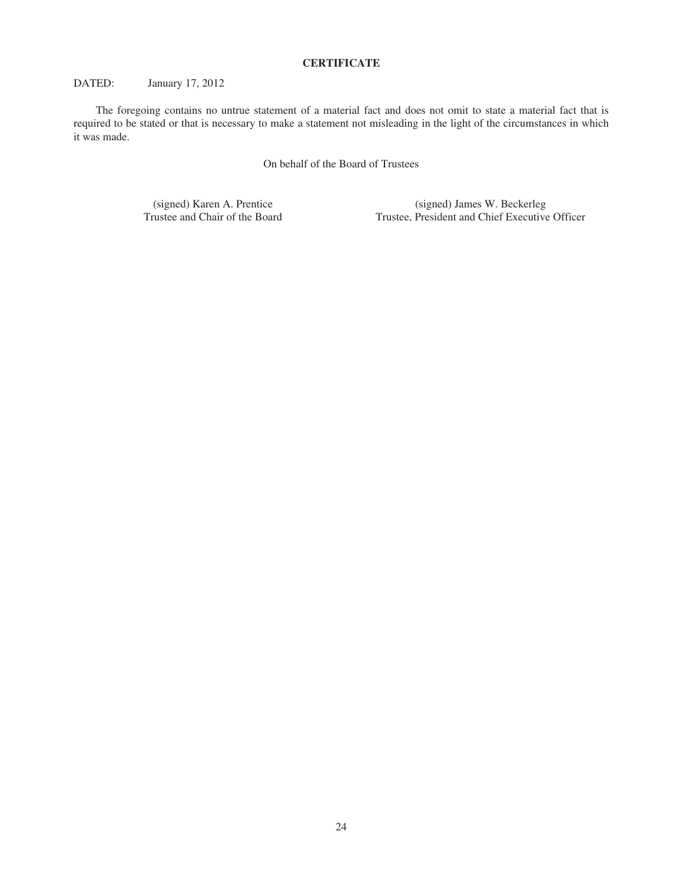#### **CERTIFICATE**

#### DATED: January 17, 2012

The foregoing contains no untrue statement of a material fact and does not omit to state a material fact that is required to be stated or that is necessary to make a statement not misleading in the light of the circumstances in which it was made.

On behalf of the Board of Trustees

(signed) Karen A. Prentice (signed) James W. Beckerleg<br>Trustee and Chair of the Board Trustee, President and Chief Executive Trustee, President and Chief Executive Officer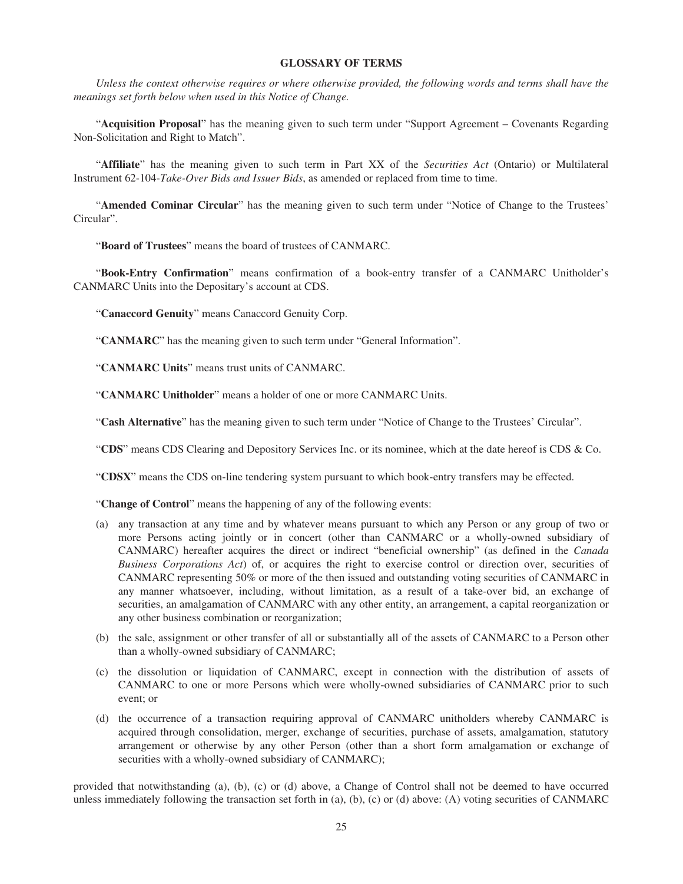#### **GLOSSARY OF TERMS**

*Unless the context otherwise requires or where otherwise provided, the following words and terms shall have the meanings set forth below when used in this Notice of Change.*

"**Acquisition Proposal**" has the meaning given to such term under "Support Agreement – Covenants Regarding Non-Solicitation and Right to Match".

"**Affiliate**" has the meaning given to such term in Part XX of the *Securities Act* (Ontario) or Multilateral Instrument 62-104-*Take-Over Bids and Issuer Bids*, as amended or replaced from time to time.

"**Amended Cominar Circular**" has the meaning given to such term under "Notice of Change to the Trustees' Circular".

"**Board of Trustees**" means the board of trustees of CANMARC.

"**Book-Entry Confirmation**" means confirmation of a book-entry transfer of a CANMARC Unitholder's CANMARC Units into the Depositary's account at CDS.

"**Canaccord Genuity**" means Canaccord Genuity Corp.

"**CANMARC**" has the meaning given to such term under "General Information".

"**CANMARC Units**" means trust units of CANMARC.

"**CANMARC Unitholder**" means a holder of one or more CANMARC Units.

"**Cash Alternative**" has the meaning given to such term under "Notice of Change to the Trustees' Circular".

"**CDS**" means CDS Clearing and Depository Services Inc. or its nominee, which at the date hereof is CDS & Co.

"**CDSX**" means the CDS on-line tendering system pursuant to which book-entry transfers may be effected.

"**Change of Control**" means the happening of any of the following events:

- (a) any transaction at any time and by whatever means pursuant to which any Person or any group of two or more Persons acting jointly or in concert (other than CANMARC or a wholly-owned subsidiary of CANMARC) hereafter acquires the direct or indirect "beneficial ownership" (as defined in the *Canada Business Corporations Act*) of, or acquires the right to exercise control or direction over, securities of CANMARC representing 50% or more of the then issued and outstanding voting securities of CANMARC in any manner whatsoever, including, without limitation, as a result of a take-over bid, an exchange of securities, an amalgamation of CANMARC with any other entity, an arrangement, a capital reorganization or any other business combination or reorganization;
- (b) the sale, assignment or other transfer of all or substantially all of the assets of CANMARC to a Person other than a wholly-owned subsidiary of CANMARC;
- (c) the dissolution or liquidation of CANMARC, except in connection with the distribution of assets of CANMARC to one or more Persons which were wholly-owned subsidiaries of CANMARC prior to such event; or
- (d) the occurrence of a transaction requiring approval of CANMARC unitholders whereby CANMARC is acquired through consolidation, merger, exchange of securities, purchase of assets, amalgamation, statutory arrangement or otherwise by any other Person (other than a short form amalgamation or exchange of securities with a wholly-owned subsidiary of CANMARC);

provided that notwithstanding (a), (b), (c) or (d) above, a Change of Control shall not be deemed to have occurred unless immediately following the transaction set forth in (a), (b), (c) or (d) above: (A) voting securities of CANMARC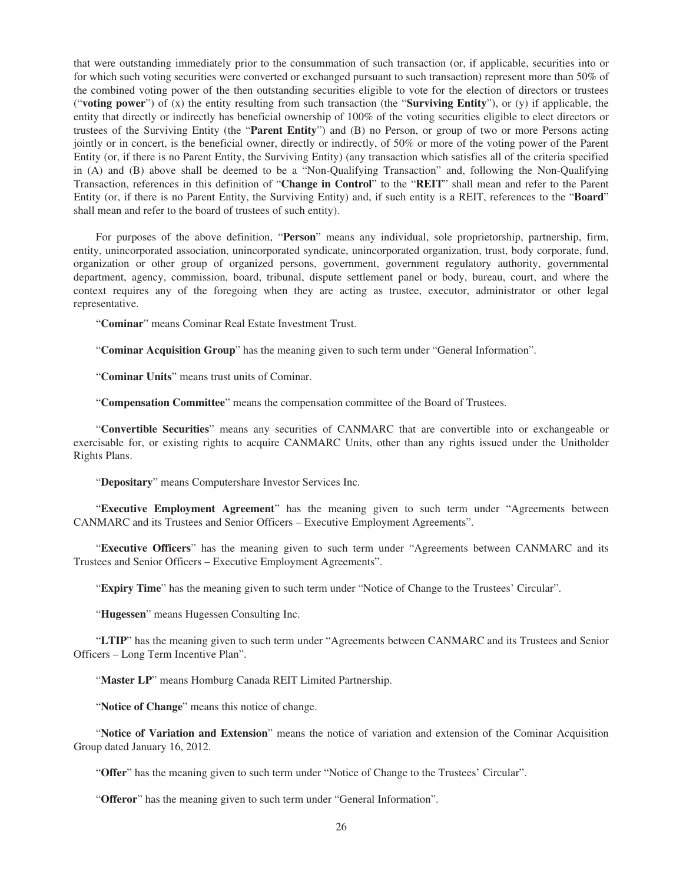that were outstanding immediately prior to the consummation of such transaction (or, if applicable, securities into or for which such voting securities were converted or exchanged pursuant to such transaction) represent more than 50% of the combined voting power of the then outstanding securities eligible to vote for the election of directors or trustees ("**voting power**") of (x) the entity resulting from such transaction (the "**Surviving Entity**"), or (y) if applicable, the entity that directly or indirectly has beneficial ownership of 100% of the voting securities eligible to elect directors or trustees of the Surviving Entity (the "**Parent Entity**") and (B) no Person, or group of two or more Persons acting jointly or in concert, is the beneficial owner, directly or indirectly, of 50% or more of the voting power of the Parent Entity (or, if there is no Parent Entity, the Surviving Entity) (any transaction which satisfies all of the criteria specified in (A) and (B) above shall be deemed to be a "Non-Qualifying Transaction" and, following the Non-Qualifying Transaction, references in this definition of "**Change in Control**" to the "**REIT**" shall mean and refer to the Parent Entity (or, if there is no Parent Entity, the Surviving Entity) and, if such entity is a REIT, references to the "**Board**" shall mean and refer to the board of trustees of such entity).

For purposes of the above definition, "**Person**" means any individual, sole proprietorship, partnership, firm, entity, unincorporated association, unincorporated syndicate, unincorporated organization, trust, body corporate, fund, organization or other group of organized persons, government, government regulatory authority, governmental department, agency, commission, board, tribunal, dispute settlement panel or body, bureau, court, and where the context requires any of the foregoing when they are acting as trustee, executor, administrator or other legal representative.

"**Cominar**" means Cominar Real Estate Investment Trust.

"**Cominar Acquisition Group**" has the meaning given to such term under "General Information".

"**Cominar Units**" means trust units of Cominar.

"**Compensation Committee**" means the compensation committee of the Board of Trustees.

"**Convertible Securities**" means any securities of CANMARC that are convertible into or exchangeable or exercisable for, or existing rights to acquire CANMARC Units, other than any rights issued under the Unitholder Rights Plans.

"**Depositary**" means Computershare Investor Services Inc.

"**Executive Employment Agreement**" has the meaning given to such term under "Agreements between CANMARC and its Trustees and Senior Officers – Executive Employment Agreements".

"**Executive Officers**" has the meaning given to such term under "Agreements between CANMARC and its Trustees and Senior Officers – Executive Employment Agreements".

"**Expiry Time**" has the meaning given to such term under "Notice of Change to the Trustees' Circular".

"**Hugessen**" means Hugessen Consulting Inc.

"**LTIP**" has the meaning given to such term under "Agreements between CANMARC and its Trustees and Senior Officers – Long Term Incentive Plan".

"**Master LP**" means Homburg Canada REIT Limited Partnership.

"**Notice of Change**" means this notice of change.

"**Notice of Variation and Extension**" means the notice of variation and extension of the Cominar Acquisition Group dated January 16, 2012.

"**Offer**" has the meaning given to such term under "Notice of Change to the Trustees' Circular".

"**Offeror**" has the meaning given to such term under "General Information".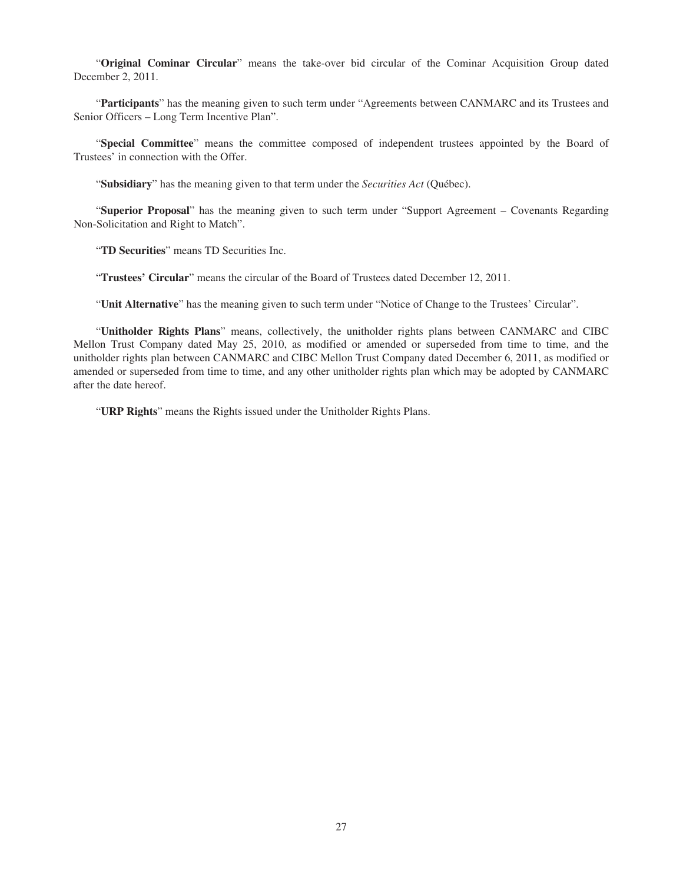"**Original Cominar Circular**" means the take-over bid circular of the Cominar Acquisition Group dated December 2, 2011.

"**Participants**" has the meaning given to such term under "Agreements between CANMARC and its Trustees and Senior Officers – Long Term Incentive Plan".

"**Special Committee**" means the committee composed of independent trustees appointed by the Board of Trustees' in connection with the Offer.

"**Subsidiary**" has the meaning given to that term under the *Securities Act* (Québec).

"**Superior Proposal**" has the meaning given to such term under "Support Agreement – Covenants Regarding Non-Solicitation and Right to Match".

"**TD Securities**" means TD Securities Inc.

"**Trustees' Circular**" means the circular of the Board of Trustees dated December 12, 2011.

"**Unit Alternative**" has the meaning given to such term under "Notice of Change to the Trustees' Circular".

"**Unitholder Rights Plans**" means, collectively, the unitholder rights plans between CANMARC and CIBC Mellon Trust Company dated May 25, 2010, as modified or amended or superseded from time to time, and the unitholder rights plan between CANMARC and CIBC Mellon Trust Company dated December 6, 2011, as modified or amended or superseded from time to time, and any other unitholder rights plan which may be adopted by CANMARC after the date hereof.

"**URP Rights**" means the Rights issued under the Unitholder Rights Plans.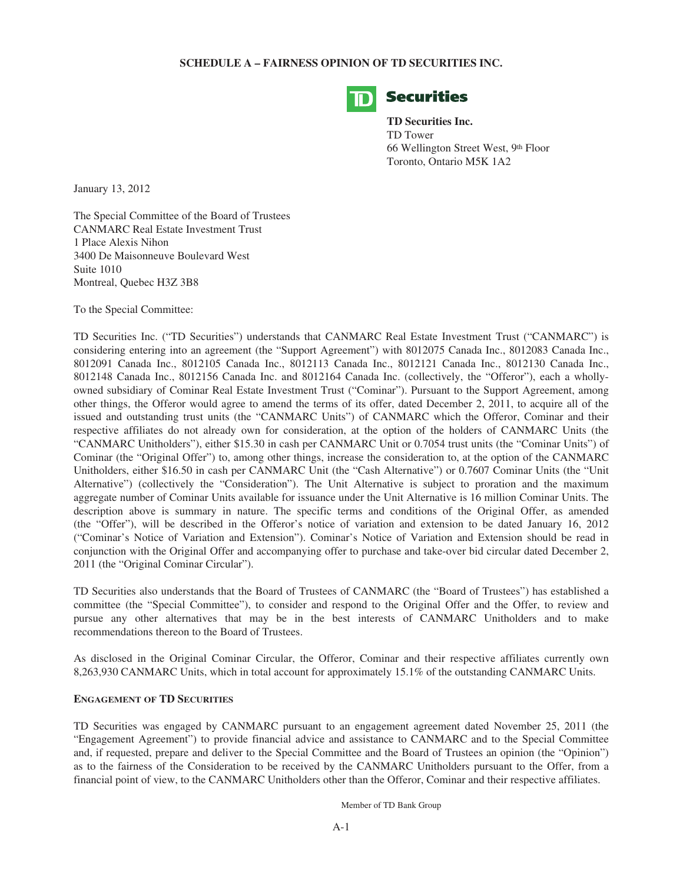#### **SCHEDULE A – FAIRNESS OPINION OF TD SECURITIES INC.**



#### **Securities**

**TD Securities Inc.** TD Tower 66 Wellington Street West, 9th Floor Toronto, Ontario M5K 1A2

January 13, 2012

The Special Committee of the Board of Trustees CANMARC Real Estate Investment Trust 1 Place Alexis Nihon 3400 De Maisonneuve Boulevard West Suite 1010 Montreal, Quebec H3Z 3B8

To the Special Committee:

TD Securities Inc. ("TD Securities") understands that CANMARC Real Estate Investment Trust ("CANMARC") is considering entering into an agreement (the "Support Agreement") with 8012075 Canada Inc., 8012083 Canada Inc., 8012091 Canada Inc., 8012105 Canada Inc., 8012113 Canada Inc., 8012121 Canada Inc., 8012130 Canada Inc., 8012148 Canada Inc., 8012156 Canada Inc. and 8012164 Canada Inc. (collectively, the "Offeror"), each a whollyowned subsidiary of Cominar Real Estate Investment Trust ("Cominar"). Pursuant to the Support Agreement, among other things, the Offeror would agree to amend the terms of its offer, dated December 2, 2011, to acquire all of the issued and outstanding trust units (the "CANMARC Units") of CANMARC which the Offeror, Cominar and their respective affiliates do not already own for consideration, at the option of the holders of CANMARC Units (the "CANMARC Unitholders"), either \$15.30 in cash per CANMARC Unit or 0.7054 trust units (the "Cominar Units") of Cominar (the "Original Offer") to, among other things, increase the consideration to, at the option of the CANMARC Unitholders, either \$16.50 in cash per CANMARC Unit (the "Cash Alternative") or 0.7607 Cominar Units (the "Unit Alternative") (collectively the "Consideration"). The Unit Alternative is subject to proration and the maximum aggregate number of Cominar Units available for issuance under the Unit Alternative is 16 million Cominar Units. The description above is summary in nature. The specific terms and conditions of the Original Offer, as amended (the "Offer"), will be described in the Offeror's notice of variation and extension to be dated January 16, 2012 ("Cominar's Notice of Variation and Extension"). Cominar's Notice of Variation and Extension should be read in conjunction with the Original Offer and accompanying offer to purchase and take-over bid circular dated December 2, 2011 (the "Original Cominar Circular").

TD Securities also understands that the Board of Trustees of CANMARC (the "Board of Trustees") has established a committee (the "Special Committee"), to consider and respond to the Original Offer and the Offer, to review and pursue any other alternatives that may be in the best interests of CANMARC Unitholders and to make recommendations thereon to the Board of Trustees.

As disclosed in the Original Cominar Circular, the Offeror, Cominar and their respective affiliates currently own 8,263,930 CANMARC Units, which in total account for approximately 15.1% of the outstanding CANMARC Units.

#### **ENGAGEMENT OF TD SECURITIES**

TD Securities was engaged by CANMARC pursuant to an engagement agreement dated November 25, 2011 (the "Engagement Agreement") to provide financial advice and assistance to CANMARC and to the Special Committee and, if requested, prepare and deliver to the Special Committee and the Board of Trustees an opinion (the "Opinion") as to the fairness of the Consideration to be received by the CANMARC Unitholders pursuant to the Offer, from a financial point of view, to the CANMARC Unitholders other than the Offeror, Cominar and their respective affiliates.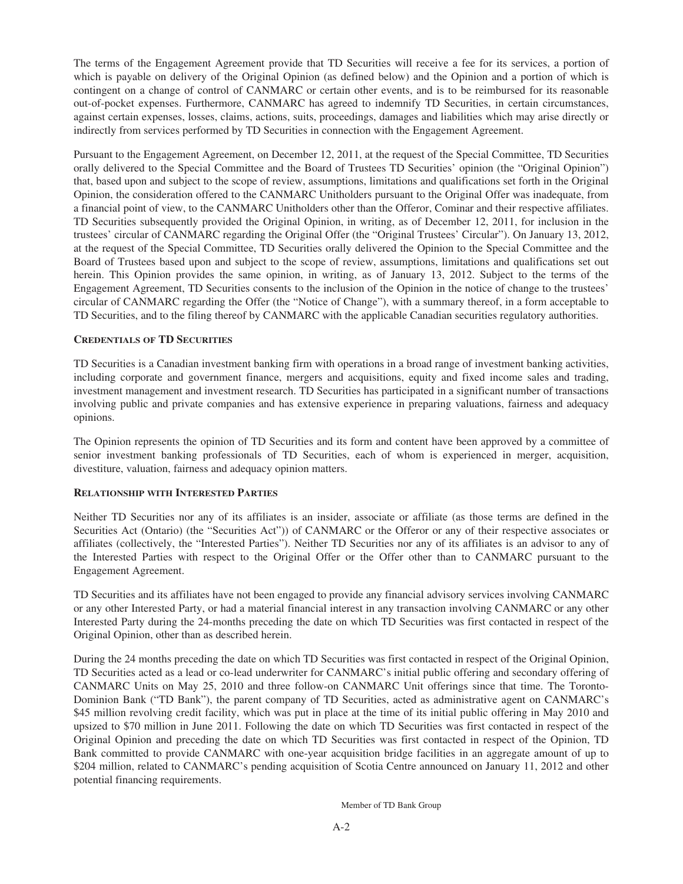The terms of the Engagement Agreement provide that TD Securities will receive a fee for its services, a portion of which is payable on delivery of the Original Opinion (as defined below) and the Opinion and a portion of which is contingent on a change of control of CANMARC or certain other events, and is to be reimbursed for its reasonable out-of-pocket expenses. Furthermore, CANMARC has agreed to indemnify TD Securities, in certain circumstances, against certain expenses, losses, claims, actions, suits, proceedings, damages and liabilities which may arise directly or indirectly from services performed by TD Securities in connection with the Engagement Agreement.

Pursuant to the Engagement Agreement, on December 12, 2011, at the request of the Special Committee, TD Securities orally delivered to the Special Committee and the Board of Trustees TD Securities' opinion (the "Original Opinion") that, based upon and subject to the scope of review, assumptions, limitations and qualifications set forth in the Original Opinion, the consideration offered to the CANMARC Unitholders pursuant to the Original Offer was inadequate, from a financial point of view, to the CANMARC Unitholders other than the Offeror, Cominar and their respective affiliates. TD Securities subsequently provided the Original Opinion, in writing, as of December 12, 2011, for inclusion in the trustees' circular of CANMARC regarding the Original Offer (the "Original Trustees' Circular"). On January 13, 2012, at the request of the Special Committee, TD Securities orally delivered the Opinion to the Special Committee and the Board of Trustees based upon and subject to the scope of review, assumptions, limitations and qualifications set out herein. This Opinion provides the same opinion, in writing, as of January 13, 2012. Subject to the terms of the Engagement Agreement, TD Securities consents to the inclusion of the Opinion in the notice of change to the trustees' circular of CANMARC regarding the Offer (the "Notice of Change"), with a summary thereof, in a form acceptable to TD Securities, and to the filing thereof by CANMARC with the applicable Canadian securities regulatory authorities.

#### **CREDENTIALS OF TD SECURITIES**

TD Securities is a Canadian investment banking firm with operations in a broad range of investment banking activities, including corporate and government finance, mergers and acquisitions, equity and fixed income sales and trading, investment management and investment research. TD Securities has participated in a significant number of transactions involving public and private companies and has extensive experience in preparing valuations, fairness and adequacy opinions.

The Opinion represents the opinion of TD Securities and its form and content have been approved by a committee of senior investment banking professionals of TD Securities, each of whom is experienced in merger, acquisition, divestiture, valuation, fairness and adequacy opinion matters.

#### **RELATIONSHIP WITH INTERESTED PARTIES**

Neither TD Securities nor any of its affiliates is an insider, associate or affiliate (as those terms are defined in the Securities Act (Ontario) (the "Securities Act")) of CANMARC or the Offeror or any of their respective associates or affiliates (collectively, the "Interested Parties"). Neither TD Securities nor any of its affiliates is an advisor to any of the Interested Parties with respect to the Original Offer or the Offer other than to CANMARC pursuant to the Engagement Agreement.

TD Securities and its affiliates have not been engaged to provide any financial advisory services involving CANMARC or any other Interested Party, or had a material financial interest in any transaction involving CANMARC or any other Interested Party during the 24-months preceding the date on which TD Securities was first contacted in respect of the Original Opinion, other than as described herein.

During the 24 months preceding the date on which TD Securities was first contacted in respect of the Original Opinion, TD Securities acted as a lead or co-lead underwriter for CANMARC's initial public offering and secondary offering of CANMARC Units on May 25, 2010 and three follow-on CANMARC Unit offerings since that time. The Toronto-Dominion Bank ("TD Bank"), the parent company of TD Securities, acted as administrative agent on CANMARC's \$45 million revolving credit facility, which was put in place at the time of its initial public offering in May 2010 and upsized to \$70 million in June 2011. Following the date on which TD Securities was first contacted in respect of the Original Opinion and preceding the date on which TD Securities was first contacted in respect of the Opinion, TD Bank committed to provide CANMARC with one-year acquisition bridge facilities in an aggregate amount of up to \$204 million, related to CANMARC's pending acquisition of Scotia Centre announced on January 11, 2012 and other potential financing requirements.

Member of TD Bank Group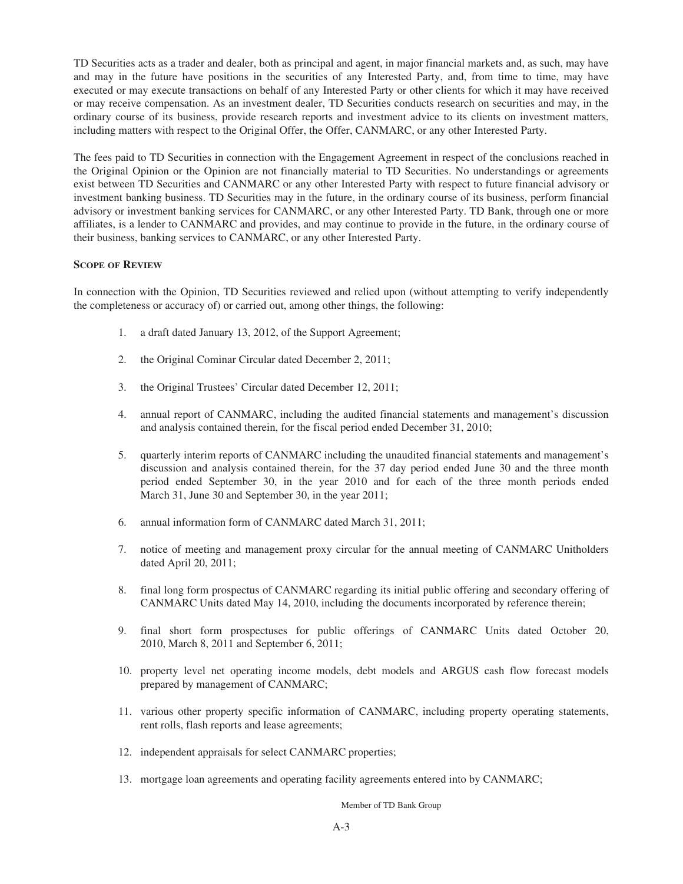TD Securities acts as a trader and dealer, both as principal and agent, in major financial markets and, as such, may have and may in the future have positions in the securities of any Interested Party, and, from time to time, may have executed or may execute transactions on behalf of any Interested Party or other clients for which it may have received or may receive compensation. As an investment dealer, TD Securities conducts research on securities and may, in the ordinary course of its business, provide research reports and investment advice to its clients on investment matters, including matters with respect to the Original Offer, the Offer, CANMARC, or any other Interested Party.

The fees paid to TD Securities in connection with the Engagement Agreement in respect of the conclusions reached in the Original Opinion or the Opinion are not financially material to TD Securities. No understandings or agreements exist between TD Securities and CANMARC or any other Interested Party with respect to future financial advisory or investment banking business. TD Securities may in the future, in the ordinary course of its business, perform financial advisory or investment banking services for CANMARC, or any other Interested Party. TD Bank, through one or more affiliates, is a lender to CANMARC and provides, and may continue to provide in the future, in the ordinary course of their business, banking services to CANMARC, or any other Interested Party.

#### **SCOPE OF REVIEW**

In connection with the Opinion, TD Securities reviewed and relied upon (without attempting to verify independently the completeness or accuracy of) or carried out, among other things, the following:

- 1. a draft dated January 13, 2012, of the Support Agreement;
- 2. the Original Cominar Circular dated December 2, 2011;
- 3. the Original Trustees' Circular dated December 12, 2011;
- 4. annual report of CANMARC, including the audited financial statements and management's discussion and analysis contained therein, for the fiscal period ended December 31, 2010;
- 5. quarterly interim reports of CANMARC including the unaudited financial statements and management's discussion and analysis contained therein, for the 37 day period ended June 30 and the three month period ended September 30, in the year 2010 and for each of the three month periods ended March 31, June 30 and September 30, in the year 2011;
- 6. annual information form of CANMARC dated March 31, 2011;
- 7. notice of meeting and management proxy circular for the annual meeting of CANMARC Unitholders dated April 20, 2011;
- 8. final long form prospectus of CANMARC regarding its initial public offering and secondary offering of CANMARC Units dated May 14, 2010, including the documents incorporated by reference therein;
- 9. final short form prospectuses for public offerings of CANMARC Units dated October 20, 2010, March 8, 2011 and September 6, 2011;
- 10. property level net operating income models, debt models and ARGUS cash flow forecast models prepared by management of CANMARC;
- 11. various other property specific information of CANMARC, including property operating statements, rent rolls, flash reports and lease agreements;
- 12. independent appraisals for select CANMARC properties;
- 13. mortgage loan agreements and operating facility agreements entered into by CANMARC;

#### Member of TD Bank Group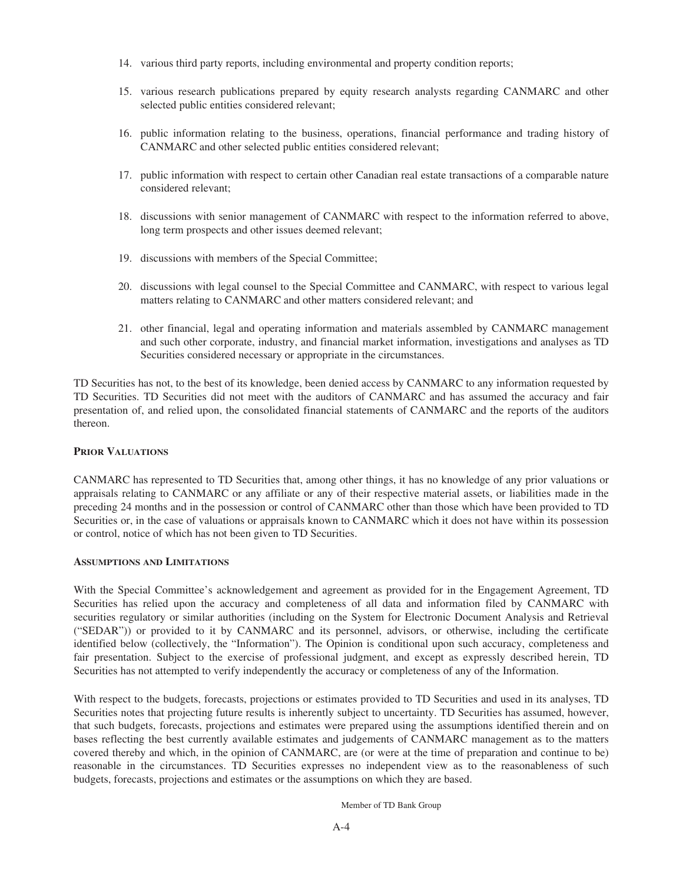- 14. various third party reports, including environmental and property condition reports;
- 15. various research publications prepared by equity research analysts regarding CANMARC and other selected public entities considered relevant;
- 16. public information relating to the business, operations, financial performance and trading history of CANMARC and other selected public entities considered relevant;
- 17. public information with respect to certain other Canadian real estate transactions of a comparable nature considered relevant;
- 18. discussions with senior management of CANMARC with respect to the information referred to above, long term prospects and other issues deemed relevant;
- 19. discussions with members of the Special Committee;
- 20. discussions with legal counsel to the Special Committee and CANMARC, with respect to various legal matters relating to CANMARC and other matters considered relevant; and
- 21. other financial, legal and operating information and materials assembled by CANMARC management and such other corporate, industry, and financial market information, investigations and analyses as TD Securities considered necessary or appropriate in the circumstances.

TD Securities has not, to the best of its knowledge, been denied access by CANMARC to any information requested by TD Securities. TD Securities did not meet with the auditors of CANMARC and has assumed the accuracy and fair presentation of, and relied upon, the consolidated financial statements of CANMARC and the reports of the auditors thereon.

#### **PRIOR VALUATIONS**

CANMARC has represented to TD Securities that, among other things, it has no knowledge of any prior valuations or appraisals relating to CANMARC or any affiliate or any of their respective material assets, or liabilities made in the preceding 24 months and in the possession or control of CANMARC other than those which have been provided to TD Securities or, in the case of valuations or appraisals known to CANMARC which it does not have within its possession or control, notice of which has not been given to TD Securities.

#### **ASSUMPTIONS AND LIMITATIONS**

With the Special Committee's acknowledgement and agreement as provided for in the Engagement Agreement, TD Securities has relied upon the accuracy and completeness of all data and information filed by CANMARC with securities regulatory or similar authorities (including on the System for Electronic Document Analysis and Retrieval ("SEDAR")) or provided to it by CANMARC and its personnel, advisors, or otherwise, including the certificate identified below (collectively, the "Information"). The Opinion is conditional upon such accuracy, completeness and fair presentation. Subject to the exercise of professional judgment, and except as expressly described herein, TD Securities has not attempted to verify independently the accuracy or completeness of any of the Information.

With respect to the budgets, forecasts, projections or estimates provided to TD Securities and used in its analyses, TD Securities notes that projecting future results is inherently subject to uncertainty. TD Securities has assumed, however, that such budgets, forecasts, projections and estimates were prepared using the assumptions identified therein and on bases reflecting the best currently available estimates and judgements of CANMARC management as to the matters covered thereby and which, in the opinion of CANMARC, are (or were at the time of preparation and continue to be) reasonable in the circumstances. TD Securities expresses no independent view as to the reasonableness of such budgets, forecasts, projections and estimates or the assumptions on which they are based.

Member of TD Bank Group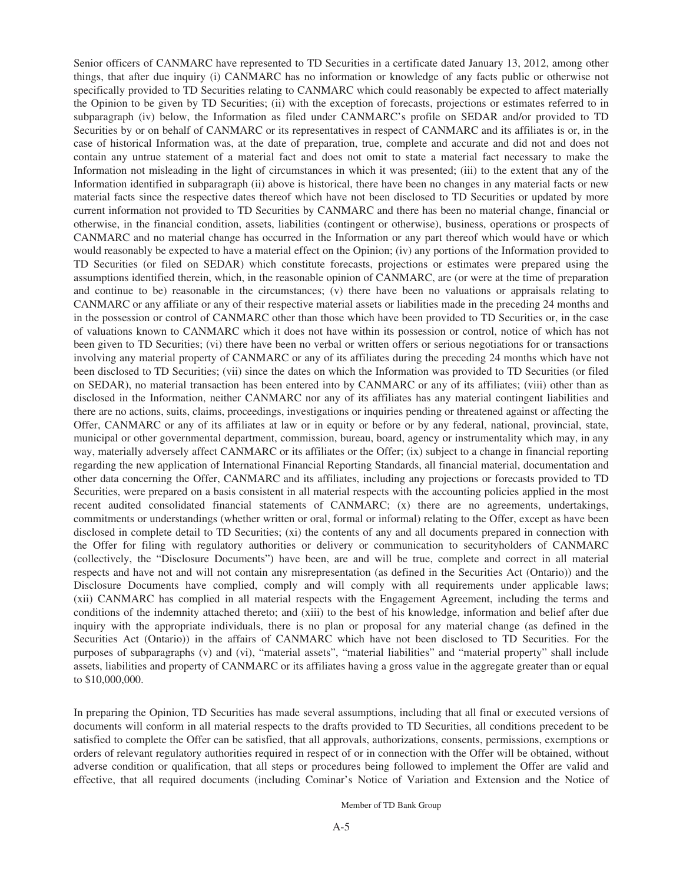Senior officers of CANMARC have represented to TD Securities in a certificate dated January 13, 2012, among other things, that after due inquiry (i) CANMARC has no information or knowledge of any facts public or otherwise not specifically provided to TD Securities relating to CANMARC which could reasonably be expected to affect materially the Opinion to be given by TD Securities; (ii) with the exception of forecasts, projections or estimates referred to in subparagraph (iv) below, the Information as filed under CANMARC's profile on SEDAR and/or provided to TD Securities by or on behalf of CANMARC or its representatives in respect of CANMARC and its affiliates is or, in the case of historical Information was, at the date of preparation, true, complete and accurate and did not and does not contain any untrue statement of a material fact and does not omit to state a material fact necessary to make the Information not misleading in the light of circumstances in which it was presented; (iii) to the extent that any of the Information identified in subparagraph (ii) above is historical, there have been no changes in any material facts or new material facts since the respective dates thereof which have not been disclosed to TD Securities or updated by more current information not provided to TD Securities by CANMARC and there has been no material change, financial or otherwise, in the financial condition, assets, liabilities (contingent or otherwise), business, operations or prospects of CANMARC and no material change has occurred in the Information or any part thereof which would have or which would reasonably be expected to have a material effect on the Opinion; (iv) any portions of the Information provided to TD Securities (or filed on SEDAR) which constitute forecasts, projections or estimates were prepared using the assumptions identified therein, which, in the reasonable opinion of CANMARC, are (or were at the time of preparation and continue to be) reasonable in the circumstances; (v) there have been no valuations or appraisals relating to CANMARC or any affiliate or any of their respective material assets or liabilities made in the preceding 24 months and in the possession or control of CANMARC other than those which have been provided to TD Securities or, in the case of valuations known to CANMARC which it does not have within its possession or control, notice of which has not been given to TD Securities; (vi) there have been no verbal or written offers or serious negotiations for or transactions involving any material property of CANMARC or any of its affiliates during the preceding 24 months which have not been disclosed to TD Securities; (vii) since the dates on which the Information was provided to TD Securities (or filed on SEDAR), no material transaction has been entered into by CANMARC or any of its affiliates; (viii) other than as disclosed in the Information, neither CANMARC nor any of its affiliates has any material contingent liabilities and there are no actions, suits, claims, proceedings, investigations or inquiries pending or threatened against or affecting the Offer, CANMARC or any of its affiliates at law or in equity or before or by any federal, national, provincial, state, municipal or other governmental department, commission, bureau, board, agency or instrumentality which may, in any way, materially adversely affect CANMARC or its affiliates or the Offer; (ix) subject to a change in financial reporting regarding the new application of International Financial Reporting Standards, all financial material, documentation and other data concerning the Offer, CANMARC and its affiliates, including any projections or forecasts provided to TD Securities, were prepared on a basis consistent in all material respects with the accounting policies applied in the most recent audited consolidated financial statements of CANMARC; (x) there are no agreements, undertakings, commitments or understandings (whether written or oral, formal or informal) relating to the Offer, except as have been disclosed in complete detail to TD Securities; (xi) the contents of any and all documents prepared in connection with the Offer for filing with regulatory authorities or delivery or communication to securityholders of CANMARC (collectively, the "Disclosure Documents") have been, are and will be true, complete and correct in all material respects and have not and will not contain any misrepresentation (as defined in the Securities Act (Ontario)) and the Disclosure Documents have complied, comply and will comply with all requirements under applicable laws; (xii) CANMARC has complied in all material respects with the Engagement Agreement, including the terms and conditions of the indemnity attached thereto; and (xiii) to the best of his knowledge, information and belief after due inquiry with the appropriate individuals, there is no plan or proposal for any material change (as defined in the Securities Act (Ontario)) in the affairs of CANMARC which have not been disclosed to TD Securities. For the purposes of subparagraphs (v) and (vi), "material assets", "material liabilities" and "material property" shall include assets, liabilities and property of CANMARC or its affiliates having a gross value in the aggregate greater than or equal to \$10,000,000.

In preparing the Opinion, TD Securities has made several assumptions, including that all final or executed versions of documents will conform in all material respects to the drafts provided to TD Securities, all conditions precedent to be satisfied to complete the Offer can be satisfied, that all approvals, authorizations, consents, permissions, exemptions or orders of relevant regulatory authorities required in respect of or in connection with the Offer will be obtained, without adverse condition or qualification, that all steps or procedures being followed to implement the Offer are valid and effective, that all required documents (including Cominar's Notice of Variation and Extension and the Notice of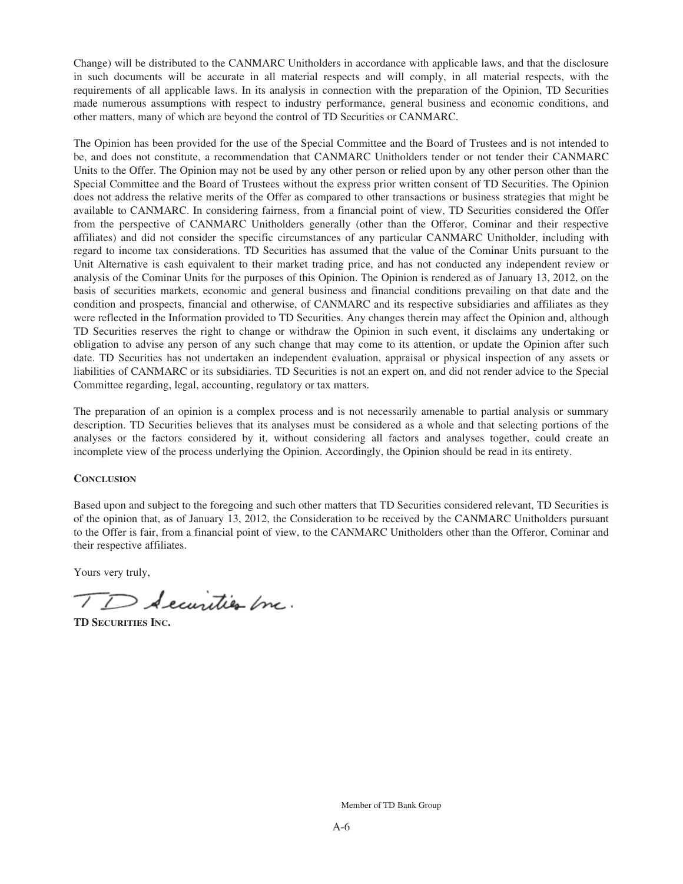Change) will be distributed to the CANMARC Unitholders in accordance with applicable laws, and that the disclosure in such documents will be accurate in all material respects and will comply, in all material respects, with the requirements of all applicable laws. In its analysis in connection with the preparation of the Opinion, TD Securities made numerous assumptions with respect to industry performance, general business and economic conditions, and other matters, many of which are beyond the control of TD Securities or CANMARC.

The Opinion has been provided for the use of the Special Committee and the Board of Trustees and is not intended to be, and does not constitute, a recommendation that CANMARC Unitholders tender or not tender their CANMARC Units to the Offer. The Opinion may not be used by any other person or relied upon by any other person other than the Special Committee and the Board of Trustees without the express prior written consent of TD Securities. The Opinion does not address the relative merits of the Offer as compared to other transactions or business strategies that might be available to CANMARC. In considering fairness, from a financial point of view, TD Securities considered the Offer from the perspective of CANMARC Unitholders generally (other than the Offeror, Cominar and their respective affiliates) and did not consider the specific circumstances of any particular CANMARC Unitholder, including with regard to income tax considerations. TD Securities has assumed that the value of the Cominar Units pursuant to the Unit Alternative is cash equivalent to their market trading price, and has not conducted any independent review or analysis of the Cominar Units for the purposes of this Opinion. The Opinion is rendered as of January 13, 2012, on the basis of securities markets, economic and general business and financial conditions prevailing on that date and the condition and prospects, financial and otherwise, of CANMARC and its respective subsidiaries and affiliates as they were reflected in the Information provided to TD Securities. Any changes therein may affect the Opinion and, although TD Securities reserves the right to change or withdraw the Opinion in such event, it disclaims any undertaking or obligation to advise any person of any such change that may come to its attention, or update the Opinion after such date. TD Securities has not undertaken an independent evaluation, appraisal or physical inspection of any assets or liabilities of CANMARC or its subsidiaries. TD Securities is not an expert on, and did not render advice to the Special Committee regarding, legal, accounting, regulatory or tax matters.

The preparation of an opinion is a complex process and is not necessarily amenable to partial analysis or summary description. TD Securities believes that its analyses must be considered as a whole and that selecting portions of the analyses or the factors considered by it, without considering all factors and analyses together, could create an incomplete view of the process underlying the Opinion. Accordingly, the Opinion should be read in its entirety.

#### **CONCLUSION**

Based upon and subject to the foregoing and such other matters that TD Securities considered relevant, TD Securities is of the opinion that, as of January 13, 2012, the Consideration to be received by the CANMARC Unitholders pursuant to the Offer is fair, from a financial point of view, to the CANMARC Unitholders other than the Offeror, Cominar and their respective affiliates.

Yours very truly,

TD Securities Inc.

**TD SECURITIES INC.**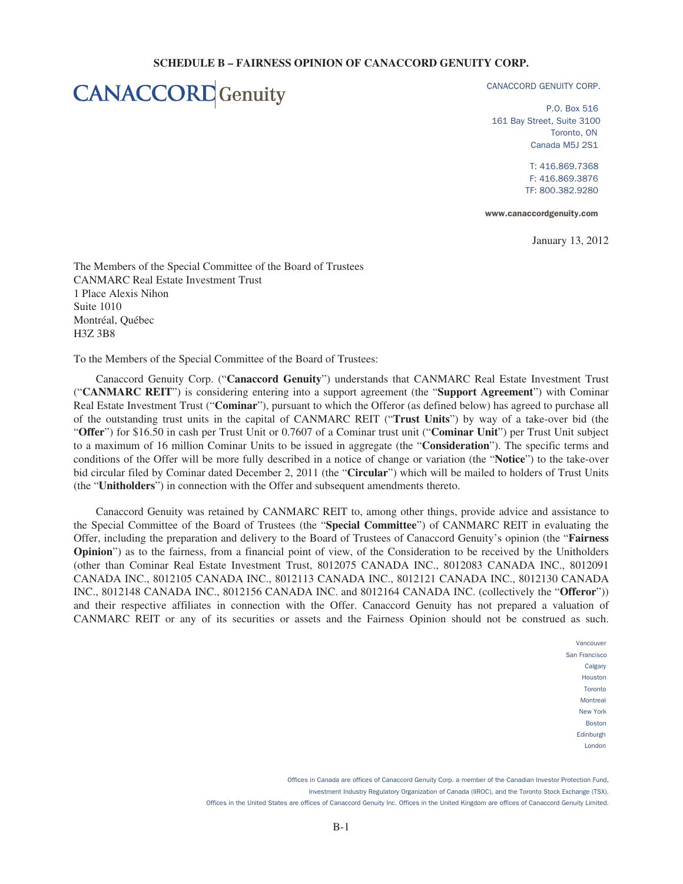#### **SCHEDULE B – FAIRNESS OPINION OF CANACCORD GENUITY CORP.**

## **CANACCORD** Genuity

CANACCORD GENUITY CORP.

P.O. Box 516 161 Bay Street, Suite 3100 Toronto, ON Canada M5J 2S1

> T: 416.869.7368 F: 416.869.3876 TF: 800.382.9280

www.canaccordgenuity.com

January 13, 2012

The Members of the Special Committee of the Board of Trustees CANMARC Real Estate Investment Trust 1 Place Alexis Nihon Suite 1010 Montréal, Québec H3Z 3B8

To the Members of the Special Committee of the Board of Trustees:

Canaccord Genuity Corp. ("**Canaccord Genuity**") understands that CANMARC Real Estate Investment Trust ("**CANMARC REIT**") is considering entering into a support agreement (the "**Support Agreement**") with Cominar Real Estate Investment Trust ("**Cominar**"), pursuant to which the Offeror (as defined below) has agreed to purchase all of the outstanding trust units in the capital of CANMARC REIT ("**Trust Units**") by way of a take-over bid (the "**Offer**") for \$16.50 in cash per Trust Unit or 0.7607 of a Cominar trust unit ("**Cominar Unit**") per Trust Unit subject to a maximum of 16 million Cominar Units to be issued in aggregate (the "**Consideration**"). The specific terms and conditions of the Offer will be more fully described in a notice of change or variation (the "**Notice**") to the take-over bid circular filed by Cominar dated December 2, 2011 (the "**Circular**") which will be mailed to holders of Trust Units (the "**Unitholders**") in connection with the Offer and subsequent amendments thereto.

Canaccord Genuity was retained by CANMARC REIT to, among other things, provide advice and assistance to the Special Committee of the Board of Trustees (the "**Special Committee**") of CANMARC REIT in evaluating the Offer, including the preparation and delivery to the Board of Trustees of Canaccord Genuity's opinion (the "**Fairness Opinion**") as to the fairness, from a financial point of view, of the Consideration to be received by the Unitholders (other than Cominar Real Estate Investment Trust, 8012075 CANADA INC., 8012083 CANADA INC., 8012091 CANADA INC., 8012105 CANADA INC., 8012113 CANADA INC., 8012121 CANADA INC., 8012130 CANADA INC., 8012148 CANADA INC., 8012156 CANADA INC. and 8012164 CANADA INC. (collectively the "**Offeror**")) and their respective affiliates in connection with the Offer. Canaccord Genuity has not prepared a valuation of CANMARC REIT or any of its securities or assets and the Fairness Opinion should not be construed as such.

> Vancouver San Francisco Calgary Houston Toronto **Montreal** New York Boston Edinburgh London

 Offices in Canada are offices of Canaccord Genuity Corp. a member of the Canadian Investor Protection Fund, Investment Industry Regulatory Organization of Canada (IIROC), and the Toronto Stock Exchange (TSX). Offices in the United States are offices of Canaccord Genuity Inc. Offices in the United Kingdom are offices of Canaccord Genuity Limited.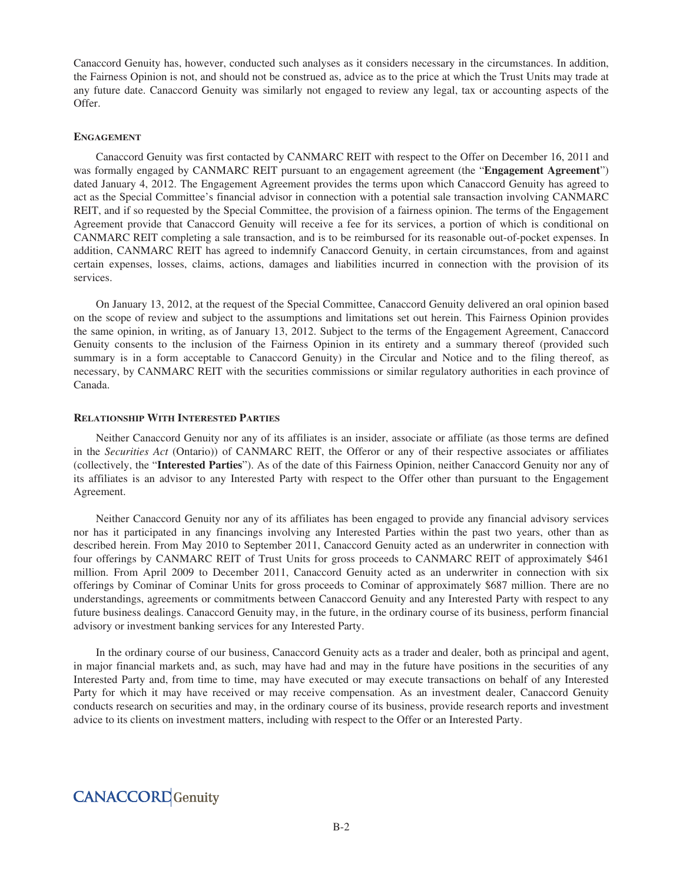Canaccord Genuity has, however, conducted such analyses as it considers necessary in the circumstances. In addition, the Fairness Opinion is not, and should not be construed as, advice as to the price at which the Trust Units may trade at any future date. Canaccord Genuity was similarly not engaged to review any legal, tax or accounting aspects of the Offer.

#### **ENGAGEMENT**

Canaccord Genuity was first contacted by CANMARC REIT with respect to the Offer on December 16, 2011 and was formally engaged by CANMARC REIT pursuant to an engagement agreement (the "**Engagement Agreement**") dated January 4, 2012. The Engagement Agreement provides the terms upon which Canaccord Genuity has agreed to act as the Special Committee's financial advisor in connection with a potential sale transaction involving CANMARC REIT, and if so requested by the Special Committee, the provision of a fairness opinion. The terms of the Engagement Agreement provide that Canaccord Genuity will receive a fee for its services, a portion of which is conditional on CANMARC REIT completing a sale transaction, and is to be reimbursed for its reasonable out-of-pocket expenses. In addition, CANMARC REIT has agreed to indemnify Canaccord Genuity, in certain circumstances, from and against certain expenses, losses, claims, actions, damages and liabilities incurred in connection with the provision of its services.

On January 13, 2012, at the request of the Special Committee, Canaccord Genuity delivered an oral opinion based on the scope of review and subject to the assumptions and limitations set out herein. This Fairness Opinion provides the same opinion, in writing, as of January 13, 2012. Subject to the terms of the Engagement Agreement, Canaccord Genuity consents to the inclusion of the Fairness Opinion in its entirety and a summary thereof (provided such summary is in a form acceptable to Canaccord Genuity) in the Circular and Notice and to the filing thereof, as necessary, by CANMARC REIT with the securities commissions or similar regulatory authorities in each province of Canada.

#### **RELATIONSHIP WITH INTERESTED PARTIES**

Neither Canaccord Genuity nor any of its affiliates is an insider, associate or affiliate (as those terms are defined in the *Securities Act* (Ontario)) of CANMARC REIT, the Offeror or any of their respective associates or affiliates (collectively, the "**Interested Parties**"). As of the date of this Fairness Opinion, neither Canaccord Genuity nor any of its affiliates is an advisor to any Interested Party with respect to the Offer other than pursuant to the Engagement Agreement.

Neither Canaccord Genuity nor any of its affiliates has been engaged to provide any financial advisory services nor has it participated in any financings involving any Interested Parties within the past two years, other than as described herein. From May 2010 to September 2011, Canaccord Genuity acted as an underwriter in connection with four offerings by CANMARC REIT of Trust Units for gross proceeds to CANMARC REIT of approximately \$461 million. From April 2009 to December 2011, Canaccord Genuity acted as an underwriter in connection with six offerings by Cominar of Cominar Units for gross proceeds to Cominar of approximately \$687 million. There are no understandings, agreements or commitments between Canaccord Genuity and any Interested Party with respect to any future business dealings. Canaccord Genuity may, in the future, in the ordinary course of its business, perform financial advisory or investment banking services for any Interested Party.

In the ordinary course of our business, Canaccord Genuity acts as a trader and dealer, both as principal and agent, in major financial markets and, as such, may have had and may in the future have positions in the securities of any Interested Party and, from time to time, may have executed or may execute transactions on behalf of any Interested Party for which it may have received or may receive compensation. As an investment dealer, Canaccord Genuity conducts research on securities and may, in the ordinary course of its business, provide research reports and investment advice to its clients on investment matters, including with respect to the Offer or an Interested Party.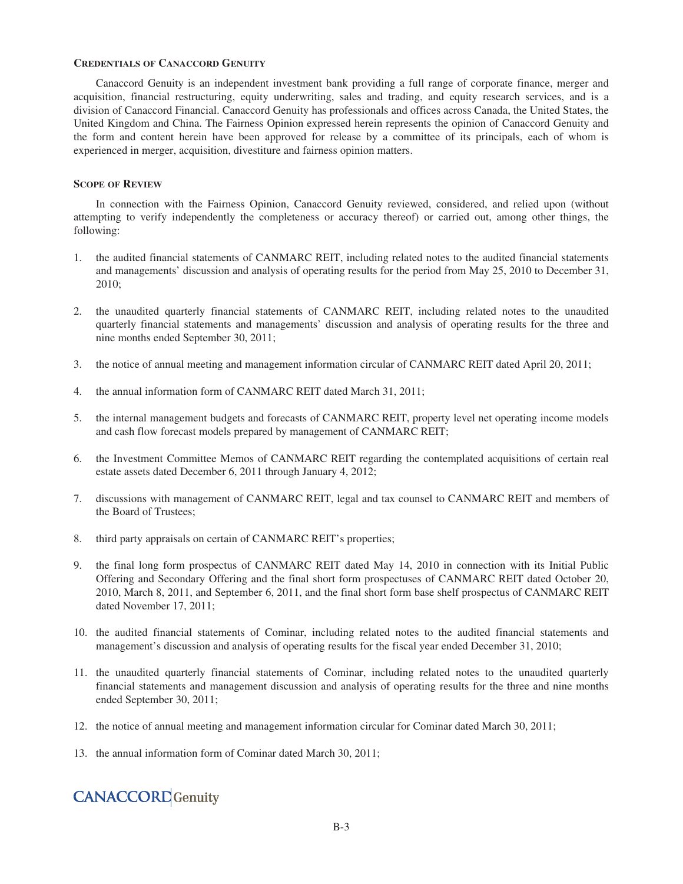#### **CREDENTIALS OF CANACCORD GENUITY**

Canaccord Genuity is an independent investment bank providing a full range of corporate finance, merger and acquisition, financial restructuring, equity underwriting, sales and trading, and equity research services, and is a division of Canaccord Financial. Canaccord Genuity has professionals and offices across Canada, the United States, the United Kingdom and China. The Fairness Opinion expressed herein represents the opinion of Canaccord Genuity and the form and content herein have been approved for release by a committee of its principals, each of whom is experienced in merger, acquisition, divestiture and fairness opinion matters.

#### **SCOPE OF REVIEW**

In connection with the Fairness Opinion, Canaccord Genuity reviewed, considered, and relied upon (without attempting to verify independently the completeness or accuracy thereof) or carried out, among other things, the following:

- 1. the audited financial statements of CANMARC REIT, including related notes to the audited financial statements and managements' discussion and analysis of operating results for the period from May 25, 2010 to December 31, 2010;
- 2. the unaudited quarterly financial statements of CANMARC REIT, including related notes to the unaudited quarterly financial statements and managements' discussion and analysis of operating results for the three and nine months ended September 30, 2011;
- 3. the notice of annual meeting and management information circular of CANMARC REIT dated April 20, 2011;
- 4. the annual information form of CANMARC REIT dated March 31, 2011;
- 5. the internal management budgets and forecasts of CANMARC REIT, property level net operating income models and cash flow forecast models prepared by management of CANMARC REIT;
- 6. the Investment Committee Memos of CANMARC REIT regarding the contemplated acquisitions of certain real estate assets dated December 6, 2011 through January 4, 2012;
- 7. discussions with management of CANMARC REIT, legal and tax counsel to CANMARC REIT and members of the Board of Trustees;
- 8. third party appraisals on certain of CANMARC REIT's properties;
- 9. the final long form prospectus of CANMARC REIT dated May 14, 2010 in connection with its Initial Public Offering and Secondary Offering and the final short form prospectuses of CANMARC REIT dated October 20, 2010, March 8, 2011, and September 6, 2011, and the final short form base shelf prospectus of CANMARC REIT dated November 17, 2011;
- 10. the audited financial statements of Cominar, including related notes to the audited financial statements and management's discussion and analysis of operating results for the fiscal year ended December 31, 2010;
- 11. the unaudited quarterly financial statements of Cominar, including related notes to the unaudited quarterly financial statements and management discussion and analysis of operating results for the three and nine months ended September 30, 2011;
- 12. the notice of annual meeting and management information circular for Cominar dated March 30, 2011;
- 13. the annual information form of Cominar dated March 30, 2011;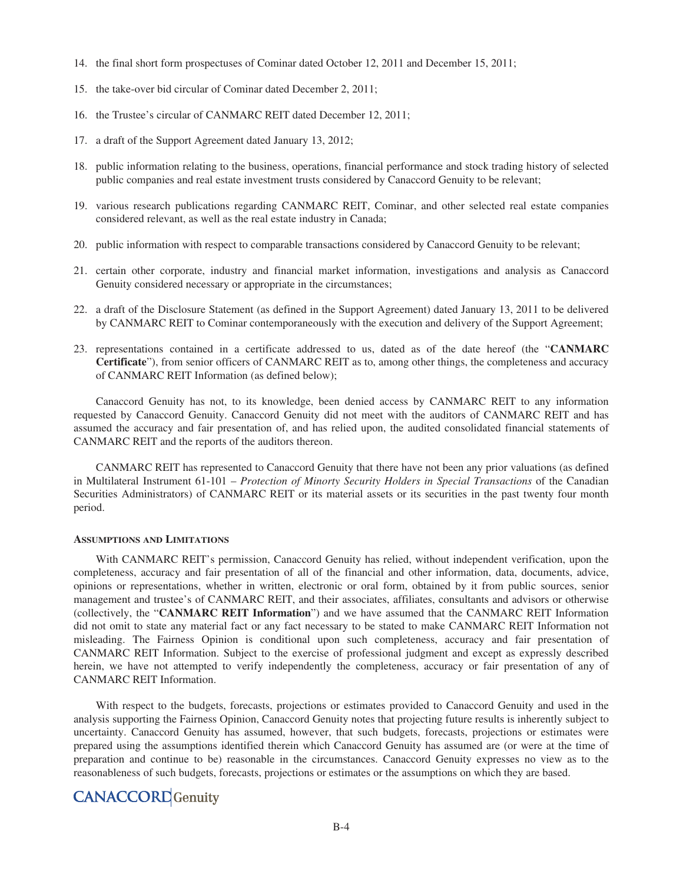- 14. the final short form prospectuses of Cominar dated October 12, 2011 and December 15, 2011;
- 15. the take-over bid circular of Cominar dated December 2, 2011;
- 16. the Trustee's circular of CANMARC REIT dated December 12, 2011;
- 17. a draft of the Support Agreement dated January 13, 2012;
- 18. public information relating to the business, operations, financial performance and stock trading history of selected public companies and real estate investment trusts considered by Canaccord Genuity to be relevant;
- 19. various research publications regarding CANMARC REIT, Cominar, and other selected real estate companies considered relevant, as well as the real estate industry in Canada;
- 20. public information with respect to comparable transactions considered by Canaccord Genuity to be relevant;
- 21. certain other corporate, industry and financial market information, investigations and analysis as Canaccord Genuity considered necessary or appropriate in the circumstances;
- 22. a draft of the Disclosure Statement (as defined in the Support Agreement) dated January 13, 2011 to be delivered by CANMARC REIT to Cominar contemporaneously with the execution and delivery of the Support Agreement;
- 23. representations contained in a certificate addressed to us, dated as of the date hereof (the "**CANMARC Certificate**"), from senior officers of CANMARC REIT as to, among other things, the completeness and accuracy of CANMARC REIT Information (as defined below);

Canaccord Genuity has not, to its knowledge, been denied access by CANMARC REIT to any information requested by Canaccord Genuity. Canaccord Genuity did not meet with the auditors of CANMARC REIT and has assumed the accuracy and fair presentation of, and has relied upon, the audited consolidated financial statements of CANMARC REIT and the reports of the auditors thereon.

CANMARC REIT has represented to Canaccord Genuity that there have not been any prior valuations (as defined in Multilateral Instrument 61-101 – *Protection of Minorty Security Holders in Special Transactions* of the Canadian Securities Administrators) of CANMARC REIT or its material assets or its securities in the past twenty four month period.

#### **ASSUMPTIONS AND LIMITATIONS**

With CANMARC REIT's permission, Canaccord Genuity has relied, without independent verification, upon the completeness, accuracy and fair presentation of all of the financial and other information, data, documents, advice, opinions or representations, whether in written, electronic or oral form, obtained by it from public sources, senior management and trustee's of CANMARC REIT, and their associates, affiliates, consultants and advisors or otherwise (collectively, the "**CANMARC REIT Information**") and we have assumed that the CANMARC REIT Information did not omit to state any material fact or any fact necessary to be stated to make CANMARC REIT Information not misleading. The Fairness Opinion is conditional upon such completeness, accuracy and fair presentation of CANMARC REIT Information. Subject to the exercise of professional judgment and except as expressly described herein, we have not attempted to verify independently the completeness, accuracy or fair presentation of any of CANMARC REIT Information.

With respect to the budgets, forecasts, projections or estimates provided to Canaccord Genuity and used in the analysis supporting the Fairness Opinion, Canaccord Genuity notes that projecting future results is inherently subject to uncertainty. Canaccord Genuity has assumed, however, that such budgets, forecasts, projections or estimates were prepared using the assumptions identified therein which Canaccord Genuity has assumed are (or were at the time of preparation and continue to be) reasonable in the circumstances. Canaccord Genuity expresses no view as to the reasonableness of such budgets, forecasts, projections or estimates or the assumptions on which they are based.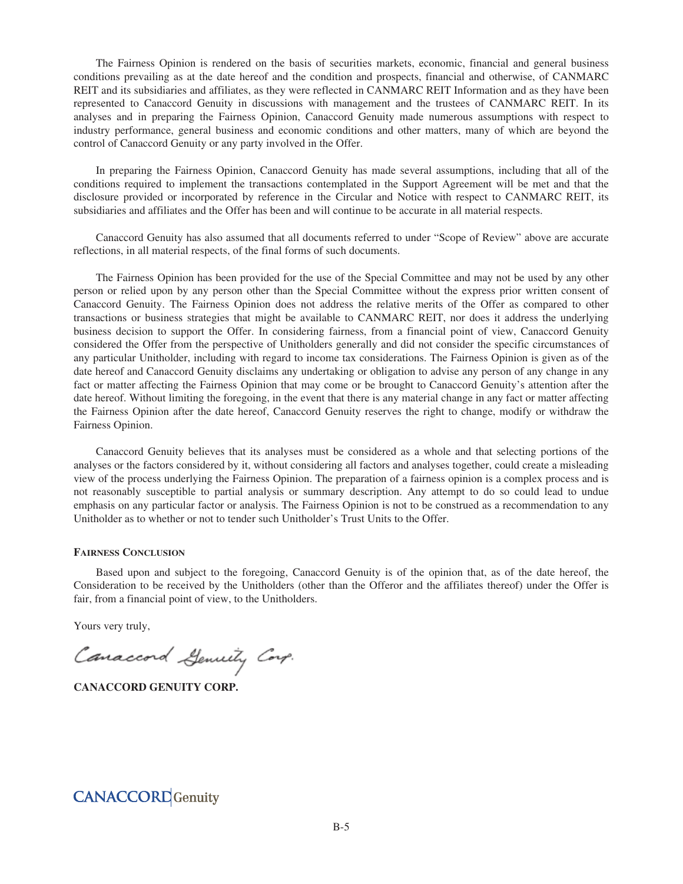The Fairness Opinion is rendered on the basis of securities markets, economic, financial and general business conditions prevailing as at the date hereof and the condition and prospects, financial and otherwise, of CANMARC REIT and its subsidiaries and affiliates, as they were reflected in CANMARC REIT Information and as they have been represented to Canaccord Genuity in discussions with management and the trustees of CANMARC REIT. In its analyses and in preparing the Fairness Opinion, Canaccord Genuity made numerous assumptions with respect to industry performance, general business and economic conditions and other matters, many of which are beyond the control of Canaccord Genuity or any party involved in the Offer.

In preparing the Fairness Opinion, Canaccord Genuity has made several assumptions, including that all of the conditions required to implement the transactions contemplated in the Support Agreement will be met and that the disclosure provided or incorporated by reference in the Circular and Notice with respect to CANMARC REIT, its subsidiaries and affiliates and the Offer has been and will continue to be accurate in all material respects.

Canaccord Genuity has also assumed that all documents referred to under "Scope of Review" above are accurate reflections, in all material respects, of the final forms of such documents.

The Fairness Opinion has been provided for the use of the Special Committee and may not be used by any other person or relied upon by any person other than the Special Committee without the express prior written consent of Canaccord Genuity. The Fairness Opinion does not address the relative merits of the Offer as compared to other transactions or business strategies that might be available to CANMARC REIT, nor does it address the underlying business decision to support the Offer. In considering fairness, from a financial point of view, Canaccord Genuity considered the Offer from the perspective of Unitholders generally and did not consider the specific circumstances of any particular Unitholder, including with regard to income tax considerations. The Fairness Opinion is given as of the date hereof and Canaccord Genuity disclaims any undertaking or obligation to advise any person of any change in any fact or matter affecting the Fairness Opinion that may come or be brought to Canaccord Genuity's attention after the date hereof. Without limiting the foregoing, in the event that there is any material change in any fact or matter affecting the Fairness Opinion after the date hereof, Canaccord Genuity reserves the right to change, modify or withdraw the Fairness Opinion.

Canaccord Genuity believes that its analyses must be considered as a whole and that selecting portions of the analyses or the factors considered by it, without considering all factors and analyses together, could create a misleading view of the process underlying the Fairness Opinion. The preparation of a fairness opinion is a complex process and is not reasonably susceptible to partial analysis or summary description. Any attempt to do so could lead to undue emphasis on any particular factor or analysis. The Fairness Opinion is not to be construed as a recommendation to any Unitholder as to whether or not to tender such Unitholder's Trust Units to the Offer.

#### **FAIRNESS CONCLUSION**

Based upon and subject to the foregoing, Canaccord Genuity is of the opinion that, as of the date hereof, the Consideration to be received by the Unitholders (other than the Offeror and the affiliates thereof) under the Offer is fair, from a financial point of view, to the Unitholders.

Yours very truly,

Canaccord Genuity Corp.

**CANACCORD GENUITY CORP.**